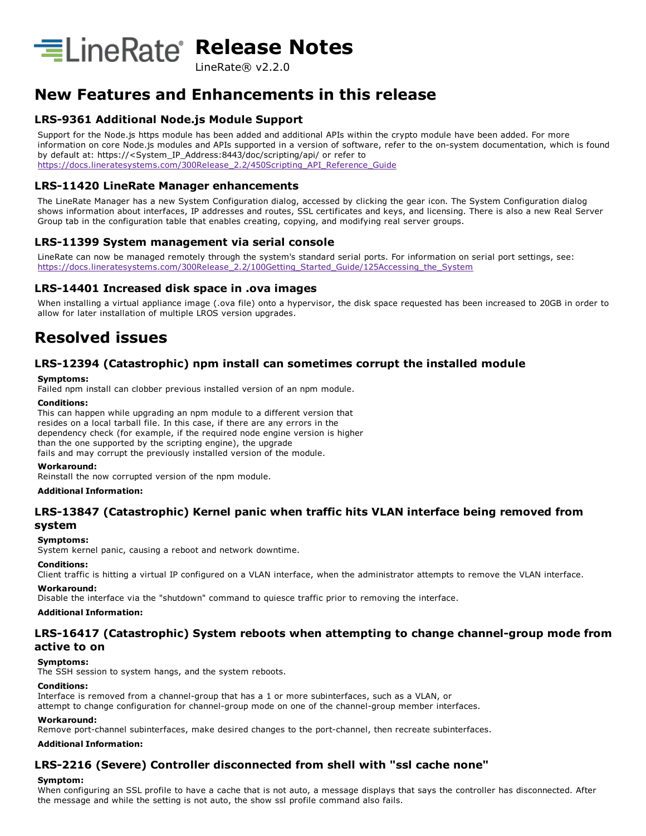# **Release Notes**

LineRate® v2.2.0

# **New Features and Enhancements in this release**

## **LRS9361 Additional Node.js Module Support**

Support for the Node.js https module has been added and additional APIs within the crypto module have been added. For more information on core Node. is modules and APIs supported in a version of software, refer to the on-system documentation, which is found by default at: https://<System\_IP\_Address:8443/doc/scripting/api/ or refer to [https://docs.lineratesystems.com/300Release\\_2.2/450Scripting\\_API\\_Reference\\_Guide](https://docs.lineratesystems.com/300Release_2.2/450Scripting_API_Reference_Guide)

### **LRS11420 LineRate Manager enhancements**

The LineRate Manager has a new System Configuration dialog, accessed by clicking the gear icon. The System Configuration dialog shows information about interfaces, IP addresses and routes, SSL certificates and keys, and licensing. There is also a new Real Server Group tab in the configuration table that enables creating, copying, and modifying real server groups.

### **LRS11399 System management via serial console**

LineRate can now be managed remotely through the system's standard serial ports. For information on serial port settings, see: [https://docs.lineratesystems.com/300Release\\_2.2/100Getting\\_Started\\_Guide/125Accessing\\_the\\_System](https://docs.lineratesystems.com/300Release_2.2/100Getting_Started_Guide/125Accessing_the_System)

### **LRS14401 Increased disk space in .ova images**

When installing a virtual appliance image (.ova file) onto a hypervisor, the disk space requested has been increased to 20GB in order to allow for later installation of multiple LROS version upgrades.

# **Resolved issues**

### **LRS12394 (Catastrophic) npm install can sometimes corrupt the installed module**

### **Symptoms:**

Failed npm install can clobber previous installed version of an npm module.

#### **Conditions:**

This can happen while upgrading an npm module to a different version that resides on a local tarball file. In this case, if there are any errors in the dependency check (for example, if the required node engine version is higher than the one supported by the scripting engine), the upgrade fails and may corrupt the previously installed version of the module.

#### **Workaround:**

Reinstall the now corrupted version of the npm module.

### **Additional Information:**

### **LRS13847 (Catastrophic) Kernel panic when traffic hits VLAN interface being removed from system**

#### **Symptoms:**

System kernel panic, causing a reboot and network downtime.

#### **Conditions:**

Client traffic is hitting a virtual IP configured on a VLAN interface, when the administrator attempts to remove the VLAN interface.

#### **Workaround:**

Disable the interface via the "shutdown" command to quiesce traffic prior to removing the interface.

#### **Additional Information:**

### **LRS16417 (Catastrophic) System reboots when attempting to change channelgroup mode from active to on**

## **Symptoms:**

The SSH session to system hangs, and the system reboots.

#### **Conditions:**

Interface is removed from a channel-group that has a 1 or more subinterfaces, such as a VLAN, or

attempt to change configuration for channel-group mode on one of the channel-group member interfaces.

#### **Workaround:**

Remove port-channel subinterfaces, make desired changes to the port-channel, then recreate subinterfaces.

#### **Additional Information:**

### **LRS2216 (Severe) Controller disconnected from shell with "ssl cache none"**

#### **Symptom:**

When configuring an SSL profile to have a cache that is not auto, a message displays that says the controller has disconnected. After the message and while the setting is not auto, the show ssl profile command also fails.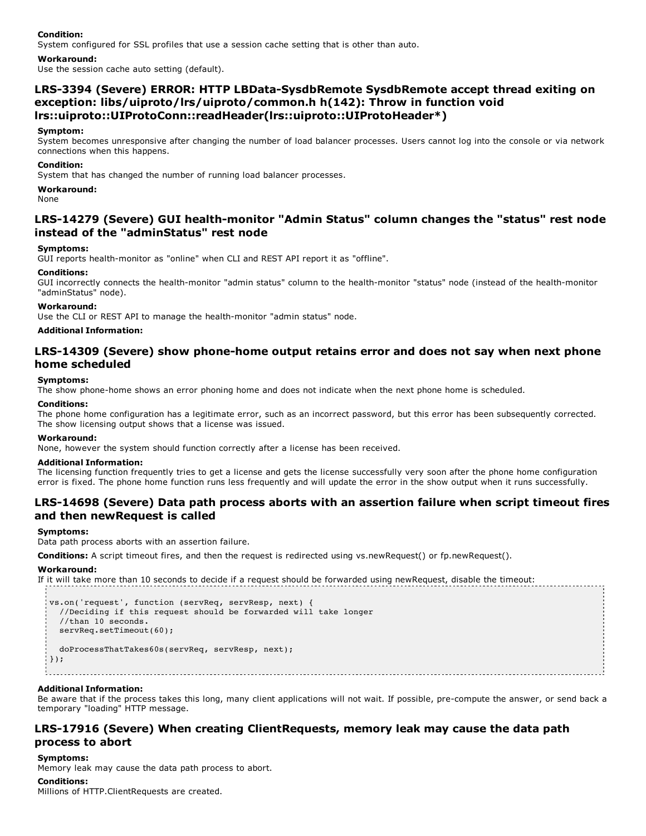#### **Condition:**

System configured for SSL profiles that use a session cache setting that is other than auto.

#### **Workaround:**

Use the session cache auto setting (default).

### **LRS-3394** (Severe) **ERROR: HTTP LBData-SysdbRemote SysdbRemote** accept thread exiting on **exception: libs/uiproto/lrs/uiproto/common.h h(142): Throw in function void lrs::uiproto::UIProtoConn::readHeader(lrs::uiproto::UIProtoHeader\*)**

#### **Symptom:**

System becomes unresponsive after changing the number of load balancer processes. Users cannot log into the console or via network connections when this happens.

#### **Condition:**

System that has changed the number of running load balancer processes.

#### **Workaround:**

None

### **LRS14279 (Severe) GUI healthmonitor "Admin Status" column changes the "status" rest node instead of the "adminStatus" rest node**

#### **Symptoms:**

GUI reports health-monitor as "online" when CLI and REST API report it as "offline".

### **Conditions:**

GUI incorrectly connects the health-monitor "admin status" column to the health-monitor "status" node (instead of the health-monitor "adminStatus" node).

#### **Workaround:**

Use the CLI or REST API to manage the health-monitor "admin status" node.

#### **Additional Information:**

### **LRS14309 (Severe) show phonehome output retains error and does not say when next phone home scheduled**

#### **Symptoms:**

The show phone-home shows an error phoning home and does not indicate when the next phone home is scheduled.

#### **Conditions:**

The phone home configuration has a legitimate error, such as an incorrect password, but this error has been subsequently corrected. The show licensing output shows that a license was issued.

#### **Workaround:**

None, however the system should function correctly after a license has been received.

#### **Additional Information:**

The licensing function frequently tries to get a license and gets the license successfully very soon after the phone home configuration error is fixed. The phone home function runs less frequently and will update the error in the show output when it runs successfully.

### **LRS14698 (Severe) Data path process aborts with an assertion failure when script timeout fires and then newRequest is called**

#### **Symptoms:**

Data path process aborts with an assertion failure.

**Conditions:** A script timeout fires, and then the request is redirected using vs.newRequest() or fp.newRequest().

#### **Workaround:**

If it will take more than 10 seconds to decide if a request should be forwarded using newRequest, disable the timeout:

```
vs.on('request', function (servReq, servResp, next) {
 //Deciding if this request should be forwarded will take longer
  //than 10 seconds.
 servReq.setTimeout(60);
 doProcessThatTakes60s(servReq, servResp, next);
});
```
### **Additional Information:**

Be aware that if the process takes this long, many client applications will not wait. If possible, pre-compute the answer, or send back a temporary "loading" HTTP message.

### **LRS17916 (Severe) When creating ClientRequests, memory leak may cause the data path process to abort**

#### **Symptoms:**

Memory leak may cause the data path process to abort.

#### **Conditions:**

Millions of HTTP.ClientRequests are created.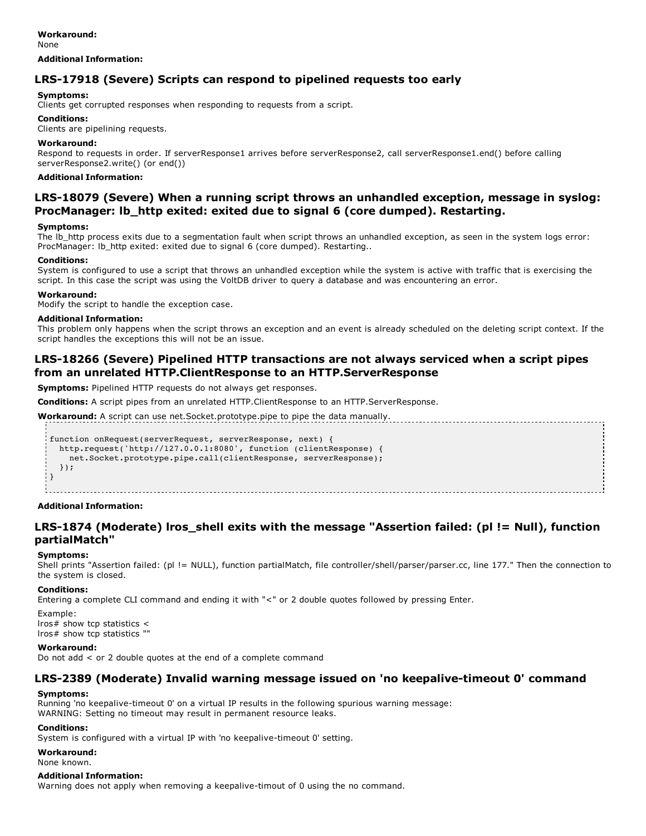### **LRS17918 (Severe) Scripts can respond to pipelined requests too early**

#### **Symptoms:**

Clients get corrupted responses when responding to requests from a script.

#### **Conditions:**

Clients are pipelining requests.

#### **Workaround:**

Respond to requests in order. If serverResponse1 arrives before serverResponse2, call serverResponse1.end() before calling serverResponse2.write() (or end())

#### **Additional Information:**

### **LRS18079 (Severe) When a running script throws an unhandled exception, message in syslog: ProcManager: lb\_http exited: exited due to signal 6 (core dumped). Restarting.**

#### **Symptoms:**

The Ib http process exits due to a segmentation fault when script throws an unhandled exception, as seen in the system logs error: ProcManager: lb\_http exited: exited due to signal 6 (core dumped). Restarting..

#### **Conditions:**

System is configured to use a script that throws an unhandled exception while the system is active with traffic that is exercising the script. In this case the script was using the VoltDB driver to query a database and was encountering an error.

#### **Workaround:**

Modify the script to handle the exception case.

#### **Additional Information:**

This problem only happens when the script throws an exception and an event is already scheduled on the deleting script context. If the script handles the exceptions this will not be an issue.

### **LRS18266 (Severe) Pipelined HTTP transactions are not always serviced when a script pipes from an unrelated HTTP.ClientResponse to an HTTP.ServerResponse**

**Symptoms:** Pipelined HTTP requests do not always get responses.

**Conditions:** A script pipes from an unrelated HTTP.ClientResponse to an HTTP.ServerResponse.

**Workaround:** A script can use net.Socket.prototype.pipe to pipe the data manually.

```
function onRequest(serverRequest, serverResponse, next) {
 http.request('http://127.0.0.1:8080', function (clientResponse) {
    net.Socket.prototype.pipe.call(clientResponse, serverResponse);
  });
}
```
#### **Additional Information:**

l<br>Listia de la calega de la calega de la calega

### **LRS1874 (Moderate) lros\_shell exits with the message "Assertion failed: (pl != Null), function partialMatch"**

### **Symptoms:**

Shell prints "Assertion failed: (pl != NULL), function partialMatch, file controller/shell/parser/parser.cc, line 177." Then the connection to the system is closed.

### **Conditions:**

Entering a complete CLI command and ending it with "<" or 2 double quotes followed by pressing Enter.

Example: lros# show tcp statistics < lros# show tcp statistics ""

#### **Workaround:**

Do not add < or 2 double quotes at the end of a complete command

### **LRS2389 (Moderate) Invalid warning message issued on 'no keepalivetimeout 0' command**

#### **Symptoms:**

Running 'no keepalive-timeout 0' on a virtual IP results in the following spurious warning message: WARNING: Setting no timeout may result in permanent resource leaks.

#### **Conditions:**

System is configured with a virtual IP with 'no keepalive-timeout 0' setting.

#### **Workaround:**

None known.

#### **Additional Information:**

Warning does not apply when removing a keepalive-timout of 0 using the no command.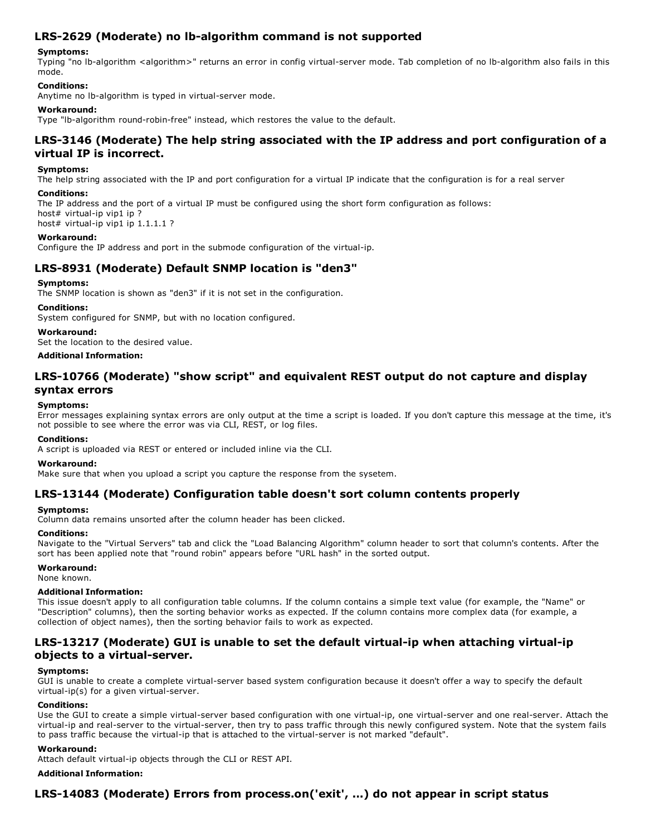### **LRS-2629** (Moderate) no Ib-algorithm command is not supported

#### **Symptoms:**

Typing "no Ib-algorithm <algorithm>" returns an error in config virtual-server mode. Tab completion of no Ib-algorithm also fails in this mode.

#### **Conditions:**

Anytime no Ib-algorithm is typed in virtual-server mode.

#### **Workaround:**

Type "lb-algorithm round-robin-free" instead, which restores the value to the default.

### **LRS3146 (Moderate) The help string associated with the IP address and port configuration of a virtual IP is incorrect.**

#### **Symptoms:**

The help string associated with the IP and port configuration for a virtual IP indicate that the configuration is for a real server

#### **Conditions:**

The IP address and the port of a virtual IP must be configured using the short form configuration as follows: host# virtual-ip vip1 ip ? host# virtual-ip vip1 ip  $1.1.1.1$  ?

#### **Workaround:**

Configure the IP address and port in the submode configuration of the virtual-ip.

### **LRS8931 (Moderate) Default SNMP location is "den3"**

#### **Symptoms:**

The SNMP location is shown as "den3" if it is not set in the configuration.

#### **Conditions:**

System configured for SNMP, but with no location configured.

#### **Workaround:**

Set the location to the desired value.

#### **Additional Information:**

### **LRS10766 (Moderate) "show script" and equivalent REST output do not capture and display syntax errors**

#### **Symptoms:**

Error messages explaining syntax errors are only output at the time a script is loaded. If you don't capture this message at the time, it's not possible to see where the error was via CLI, REST, or log files.

#### **Conditions:**

A script is uploaded via REST or entered or included inline via the CLI.

#### **Workaround:**

Make sure that when you upload a script you capture the response from the sysetem.

### **LRS13144 (Moderate) Configuration table doesn't sort column contents properly**

#### **Symptoms:**

Column data remains unsorted after the column header has been clicked.

#### **Conditions:**

Navigate to the "Virtual Servers" tab and click the "Load Balancing Algorithm" column header to sort that column's contents. After the sort has been applied note that "round robin" appears before "URL hash" in the sorted output.

#### **Workaround:**

None known.

#### **Additional Information:**

This issue doesn't apply to all configuration table columns. If the column contains a simple text value (for example, the "Name" or "Description" columns), then the sorting behavior works as expected. If the column contains more complex data (for example, a collection of object names), then the sorting behavior fails to work as expected.

### **LRS13217 (Moderate) GUI is unable to set the default virtualip when attaching virtualip objects** to a virtual-server.

#### **Symptoms:**

GUI is unable to create a complete virtual-server based system configuration because it doesn't offer a way to specify the default virtual-ip(s) for a given virtual-server.

#### **Conditions:**

Use the GUI to create a simple virtual-server based configuration with one virtual-ip, one virtual-server and one real-server. Attach the virtual-ip and real-server to the virtual-server, then try to pass traffic through this newly configured system. Note that the system fails to pass traffic because the virtual-ip that is attached to the virtual-server is not marked "default".

#### **Workaround:**

Attach default virtual-ip objects through the CLI or REST API.

#### **Additional Information:**

### **LRS14083 (Moderate) Errors from process.on('exit', ...) do not appear in script status**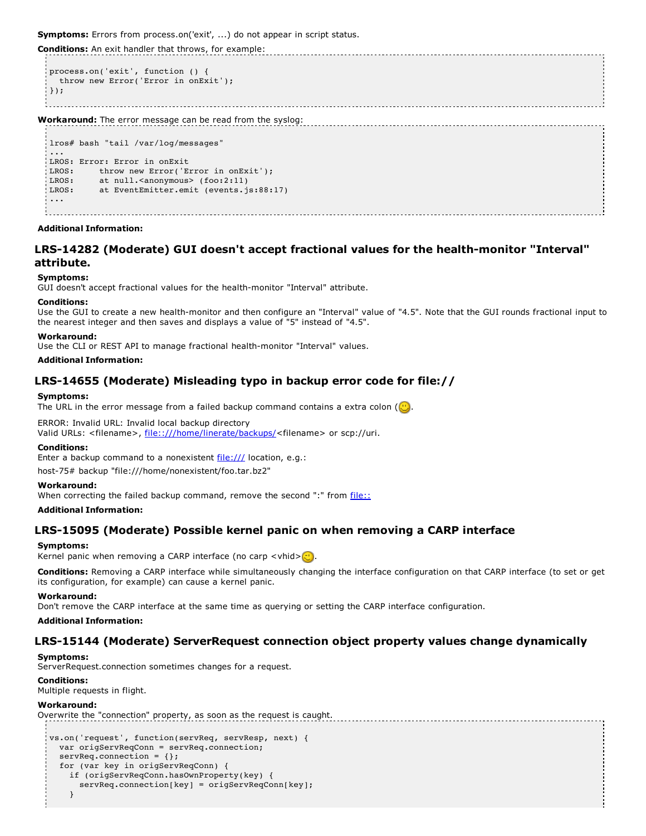**Symptoms:** Errors from process.on('exit', ...) do not appear in script status.

**Conditions:** An exit handler that throws, for example:

```
process.on('exit', function () {
 throw new Error('Error in onExit');
});
```
**Workaround:** The error message can be read from the syslog:

```
lros# bash "tail /var/log/messages"
...
LROS: Error: Error in onExit
LROS: throw new Error('Error in onExit'):
LROS: at null.<anonymous> (foo:2:11)<br>LROS: at EventEmitter.emit (events.i
          at EventEmitter.emit (events.js:88:17)
...
```
#### **Additional Information:**

### **LRS14282 (Moderate) GUI doesn't accept fractional values for the healthmonitor "Interval" attribute.**

#### **Symptoms:**

GUI doesn't accept fractional values for the health-monitor "Interval" attribute.

#### **Conditions:**

Use the GUI to create a new health-monitor and then configure an "Interval" value of "4.5". Note that the GUI rounds fractional input to the nearest integer and then saves and displays a value of "5" instead of "4.5".

#### **Workaround:**

Use the CLI or REST API to manage fractional health-monitor "Interval" values.

#### **Additional Information:**

#### **LRS14655 (Moderate) Misleading typo in backup error code for file://**

#### **Symptoms:**

The URL in the error message from a failed backup command contains a extra colon  $(\mathbb{C})$ .

ERROR: Invalid URL: Invalid local backup directory

Valid URLs: <filename>, [file::///home/linerate/backups/<](file:///:///home/linerate/backups/)filename> or scp://uri.

#### **Conditions:**

Enter a backup command to a nonexistent <file:///> location, e.g.:

host-75# backup "file:///home/nonexistent/foo.tar.bz2"

#### **Workaround:**

When correcting the failed backup command, remove the second ":" from [file::](file:///:)

#### **Additional Information:**

### **LRS15095 (Moderate) Possible kernel panic on when removing a CARP interface**

#### **Symptoms:**

Kernel panic when removing a CARP interface (no carp  $\langle$  vhid $\rangle$ .

**Conditions:** Removing a CARP interface while simultaneously changing the interface configuration on that CARP interface (to set or get its configuration, for example) can cause a kernel panic.

#### **Workaround:**

Don't remove the CARP interface at the same time as querying or setting the CARP interface configuration.

### **Additional Information:**

### **LRS15144 (Moderate) ServerRequest connection object property values change dynamically**

#### **Symptoms:**

ServerRequest.connection sometimes changes for a request.

#### **Conditions:**

Multiple requests in flight.

#### **Workaround:**

Overwrite the "connection" property, as soon as the request is caught.

```
vs.on('request', function(servReq, servResp, next) {
 var origServReqConn = servReq.connection;
 servReq.connection = {};
  for (var key in origServReqConn) {
    if (origServReqConn.hasOwnProperty(key) {
      servReq.connection[key] = origServReqConn[key];
    }
```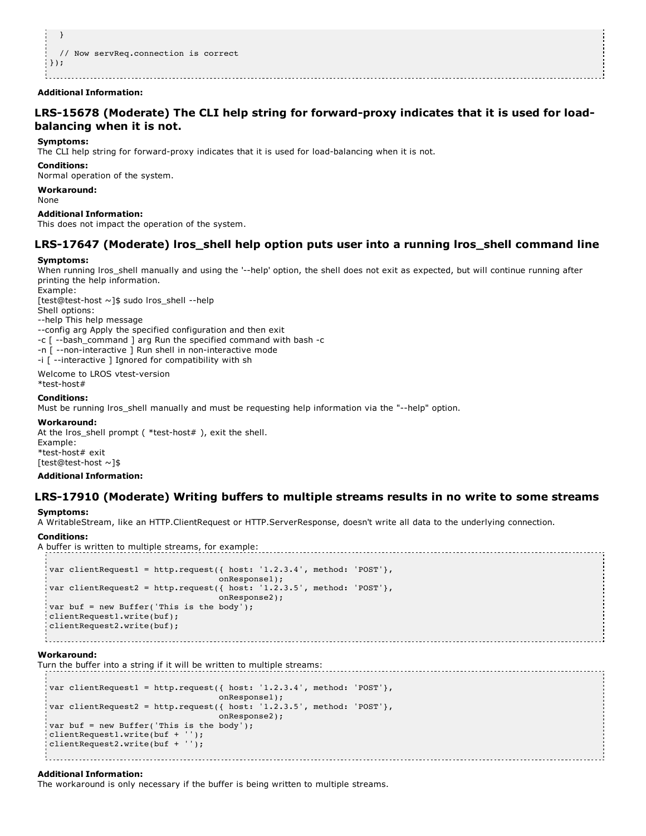} // Now servReq.connection is correct });

#### **Additional Information:**

### **LRS-15678** (Moderate) The CLI help string for forward-proxy indicates that it is used for load**balancing when it is not.**

#### **Symptoms:**

The CLI help string for forward-proxy indicates that it is used for load-balancing when it is not.

**Conditions:**

Normal operation of the system.

**Workaround:** None

#### **Additional Information:**

This does not impact the operation of the system.

### **LRS17647 (Moderate) lros\_shell help option puts user into a running lros\_shell command line**

#### **Symptoms:**

When running lros shell manually and using the '--help' option, the shell does not exit as expected, but will continue running after printing the help information.

Example:

[test@test-host ~]\$ sudo lros\_shell --help

Shell options:

--help This help message

--config arg Apply the specified configuration and then exit

 $-c$  [ --bash command ] arg Run the specified command with bash  $-c$ 

-n [ --non-interactive ] Run shell in non-interactive mode

-i [ --interactive ] Ignored for compatibility with sh

Welcome to LROS vtest-version \*test-host#

#### **Conditions:**

Must be running lros shell manually and must be requesting help information via the "--help" option.

#### **Workaround:**

At the lros\_shell prompt ( \*test-host# ), exit the shell. Example: \*test-host# exit [test@test-host  $\sim$ ]\$

#### **Additional Information:**

### **LRS17910 (Moderate) Writing buffers to multiple streams results in no write to some streams**

#### **Symptoms:**

A WritableStream, like an HTTP.ClientRequest or HTTP.ServerResponse, doesn't write all data to the underlying connection.

#### **Conditions:**

```
A buffer is written to multiple streams, for example:
```

```
var clientRequest1 = http.request({ host: '1.2.3.4', method: 'POST'},
                                   onResponse1);
var clientRequest2 = http.request({ host: '1.2.3.5', method: 'POST'},
                                  onResponse2);
var buf = new Buffer('This is the body');
clientRequest1.write(buf);
clientRequest2.write(buf);
```
#### **Workaround:**

Turn the buffer into a string if it will be written to multiple streams:

```
var clientRequest1 = http.request({ host: '1.2.3.4', method: 'POST'},
                                  onResponse1);
var clientRequest2 = http.request({ host: '1.2.3.5', method: 'POST'},
                                  onResponse2);
var buf = new Buffer('This is the body');
clientRequest1.write(buf + '');
clientRequest2.write(buf + '');
```
#### **Additional Information:**

The workaround is only necessary if the buffer is being written to multiple streams.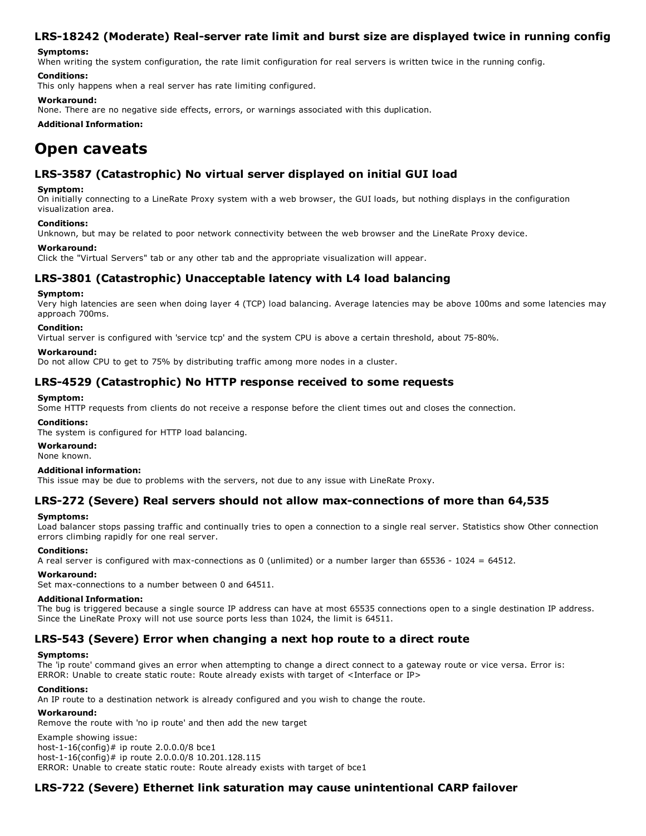### **LRS18242 (Moderate) Realserver rate limit and burst size are displayed twice in running config**

#### **Symptoms:**

When writing the system configuration, the rate limit configuration for real servers is written twice in the running config.

#### **Conditions:**

This only happens when a real server has rate limiting configured.

#### **Workaround:**

None. There are no negative side effects, errors, or warnings associated with this duplication.

**Additional Information:**

## **Open caveats**

### **LRS3587 (Catastrophic) No virtual server displayed on initial GUI load**

#### **Symptom:**

On initially connecting to a LineRate Proxy system with a web browser, the GUI loads, but nothing displays in the configuration visualization area.

#### **Conditions:**

Unknown, but may be related to poor network connectivity between the web browser and the LineRate Proxy device.

#### **Workaround:**

Click the "Virtual Servers" tab or any other tab and the appropriate visualization will appear.

### **LRS3801 (Catastrophic) Unacceptable latency with L4 load balancing**

#### **Symptom:**

Very high latencies are seen when doing layer 4 (TCP) load balancing. Average latencies may be above 100ms and some latencies may approach 700ms.

#### **Condition:**

Virtual server is configured with 'service tcp' and the system CPU is above a certain threshold, about 75-80%.

#### **Workaround:**

Do not allow CPU to get to 75% by distributing traffic among more nodes in a cluster.

### **LRS4529 (Catastrophic) No HTTP response received to some requests**

#### **Symptom:**

Some HTTP requests from clients do not receive a response before the client times out and closes the connection.

#### **Conditions:**

The system is configured for HTTP load balancing.

#### **Workaround:**

None known.

#### **Additional information:**

This issue may be due to problems with the servers, not due to any issue with LineRate Proxy.

### **LRS272 (Severe) Real servers should not allow maxconnections of more than 64,535**

#### **Symptoms:**

Load balancer stops passing traffic and continually tries to open a connection to a single real server. Statistics show Other connection errors climbing rapidly for one real server.

#### **Conditions:**

A real server is configured with max-connections as 0 (unlimited) or a number larger than 65536 - 1024 = 64512.

#### **Workaround:**

Set max-connections to a number between 0 and 64511.

#### **Additional Information:**

The bug is triggered because a single source IP address can have at most 65535 connections open to a single destination IP address. Since the LineRate Proxy will not use source ports less than 1024, the limit is 64511.

### **LRS543 (Severe) Error when changing a next hop route to a direct route**

#### **Symptoms:**

The 'ip route' command gives an error when attempting to change a direct connect to a gateway route or vice versa. Error is: ERROR: Unable to create static route: Route already exists with target of <Interface or IP>

#### **Conditions:**

An IP route to a destination network is already configured and you wish to change the route.

### **Workaround:**

Remove the route with 'no ip route' and then add the new target

Example showing issue: host-1-16(config)# ip route  $2.0.0.0/8$  bce1 host-1-16(config)# ip route 2.0.0.0/8 10.201.128.115 ERROR: Unable to create static route: Route already exists with target of bce1

### **LRS722 (Severe) Ethernet link saturation may cause unintentional CARP failover**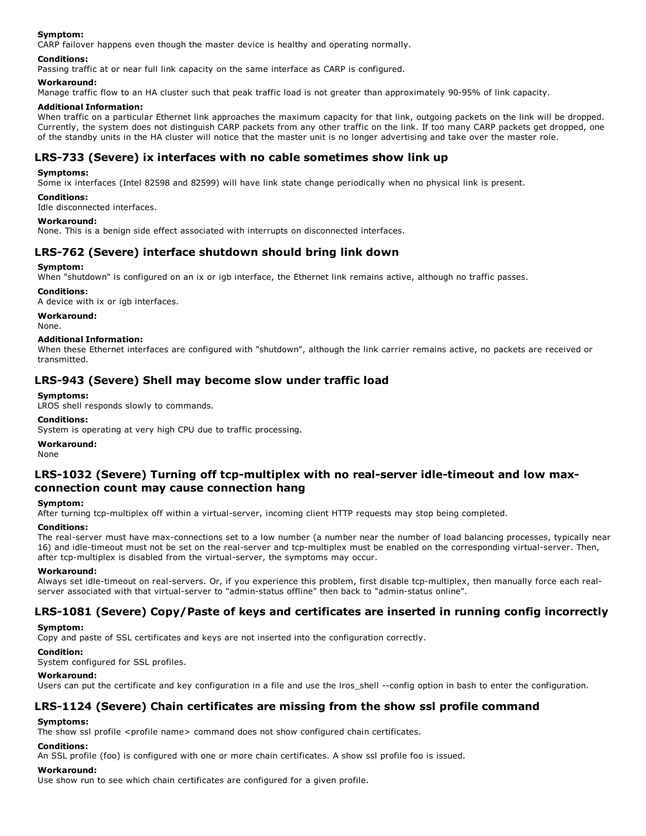### **Symptom:**

CARP failover happens even though the master device is healthy and operating normally.

#### **Conditions:**

Passing traffic at or near full link capacity on the same interface as CARP is configured.

#### **Workaround:**

Manage traffic flow to an HA cluster such that peak traffic load is not greater than approximately 90-95% of link capacity.

#### **Additional Information:**

When traffic on a particular Ethernet link approaches the maximum capacity for that link, outgoing packets on the link will be dropped. Currently, the system does not distinguish CARP packets from any other traffic on the link. If too many CARP packets get dropped, one of the standby units in the HA cluster will notice that the master unit is no longer advertising and take over the master role.

### **LRS733 (Severe) ix interfaces with no cable sometimes show link up**

#### **Symptoms:**

Some ix interfaces (Intel 82598 and 82599) will have link state change periodically when no physical link is present.

#### **Conditions:**

Idle disconnected interfaces.

#### **Workaround:**

None. This is a benign side effect associated with interrupts on disconnected interfaces.

### **LRS762 (Severe) interface shutdown should bring link down**

#### **Symptom:**

When "shutdown" is configured on an ix or igb interface, the Ethernet link remains active, although no traffic passes.

#### **Conditions:**

A device with ix or igb interfaces.

#### **Workaround:** None.

### **Additional Information:**

When these Ethernet interfaces are configured with "shutdown", although the link carrier remains active, no packets are received or transmitted.

### **LRS943 (Severe) Shell may become slow under traffic load**

#### **Symptoms:**

LROS shell responds slowly to commands.

#### **Conditions:**

System is operating at very high CPU due to traffic processing.

#### **Workaround:**

None

### **LRS-1032 (Severe) Turning off tcp-multiplex with no real-server idle-timeout and low maxconnection count may cause connection hang**

#### **Symptom:**

After turning tcp-multiplex off within a virtual-server, incoming client HTTP requests may stop being completed.

#### **Conditions:**

The real-server must have max-connections set to a low number (a number near the number of load balancing processes, typically near 16) and idle-timeout must not be set on the real-server and tcp-multiplex must be enabled on the corresponding virtual-server. Then, after tcp-multiplex is disabled from the virtual-server, the symptoms may occur.

#### **Workaround:**

Always set idle-timeout on real-servers. Or, if you experience this problem, first disable tcp-multiplex, then manually force each realserver associated with that virtual-server to "admin-status offline" then back to "admin-status online".

### **LRS1081 (Severe) Copy/Paste of keys and certificates are inserted in running config incorrectly**

#### **Symptom:**

Copy and paste of SSL certificates and keys are not inserted into the configuration correctly.

#### **Condition:**

System configured for SSL profiles.

#### **Workaround:**

Users can put the certificate and key configuration in a file and use the lros\_shell --config option in bash to enter the configuration.

### **LRS1124 (Severe) Chain certificates are missing from the show ssl profile command**

#### **Symptoms:**

The show ssl profile <profile name> command does not show configured chain certificates.

### **Conditions:**

An SSL profile (foo) is configured with one or more chain certificates. A show ssl profile foo is issued.

### **Workaround:**

Use show run to see which chain certificates are configured for a given profile.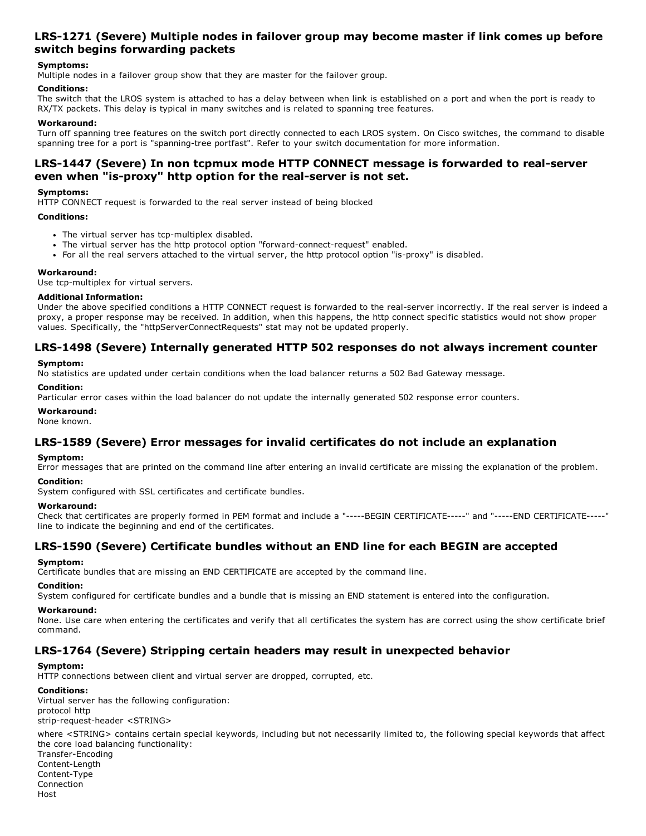### **LRS1271 (Severe) Multiple nodes in failover group may become master if link comes up before switch begins forwarding packets**

#### **Symptoms:**

Multiple nodes in a failover group show that they are master for the failover group.

#### **Conditions:**

The switch that the LROS system is attached to has a delay between when link is established on a port and when the port is ready to RX/TX packets. This delay is typical in many switches and is related to spanning tree features.

#### **Workaround:**

Turn off spanning tree features on the switch port directly connected to each LROS system. On Cisco switches, the command to disable spanning tree for a port is "spanning-tree portfast". Refer to your switch documentation for more information.

### **LRS1447 (Severe) In non tcpmux mode HTTP CONNECT message is forwarded to realserver even when "isproxy" http option for the realserver is not set.**

#### **Symptoms:**

HTTP CONNECT request is forwarded to the real server instead of being blocked

#### **Conditions:**

- The virtual server has tcp-multiplex disabled.
- The virtual server has the http protocol option "forward-connect-request" enabled.
- For all the real servers attached to the virtual server, the http protocol option "is-proxy" is disabled.

#### **Workaround:**

Use tcp-multiplex for virtual servers.

#### **Additional Information:**

Under the above specified conditions a HTTP CONNECT request is forwarded to the real-server incorrectly. If the real server is indeed a proxy, a proper response may be received. In addition, when this happens, the http connect specific statistics would not show proper values. Specifically, the "httpServerConnectRequests" stat may not be updated properly.

### **LRS1498 (Severe) Internally generated HTTP 502 responses do not always increment counter**

#### **Symptom:**

No statistics are updated under certain conditions when the load balancer returns a 502 Bad Gateway message.

#### **Condition:**

Particular error cases within the load balancer do not update the internally generated 502 response error counters.

#### **Workaround:**

None known.

### **LRS1589 (Severe) Error messages for invalid certificates do not include an explanation**

#### **Symptom:**

Error messages that are printed on the command line after entering an invalid certificate are missing the explanation of the problem.

#### **Condition:**

System configured with SSL certificates and certificate bundles.

#### **Workaround:**

Check that certificates are properly formed in PEM format and include a "-----BEGIN CERTIFICATE-----" and "-----END CERTIFICATE-----" line to indicate the beginning and end of the certificates.

### **LRS1590 (Severe) Certificate bundles without an END line for each BEGIN are accepted**

#### **Symptom:**

Certificate bundles that are missing an END CERTIFICATE are accepted by the command line.

#### **Condition:**

System configured for certificate bundles and a bundle that is missing an END statement is entered into the configuration.

#### **Workaround:**

None. Use care when entering the certificates and verify that all certificates the system has are correct using the show certificate brief command.

### **LRS1764 (Severe) Stripping certain headers may result in unexpected behavior**

### **Symptom:**

HTTP connections between client and virtual server are dropped, corrupted, etc.

### **Conditions:**

Virtual server has the following configuration: protocol http strip-request-header <STRING>

where <STRING> contains certain special keywords, including but not necessarily limited to, the following special keywords that affect the core load balancing functionality:

Transfer-Encoding Content-Length Content-Type Connection Host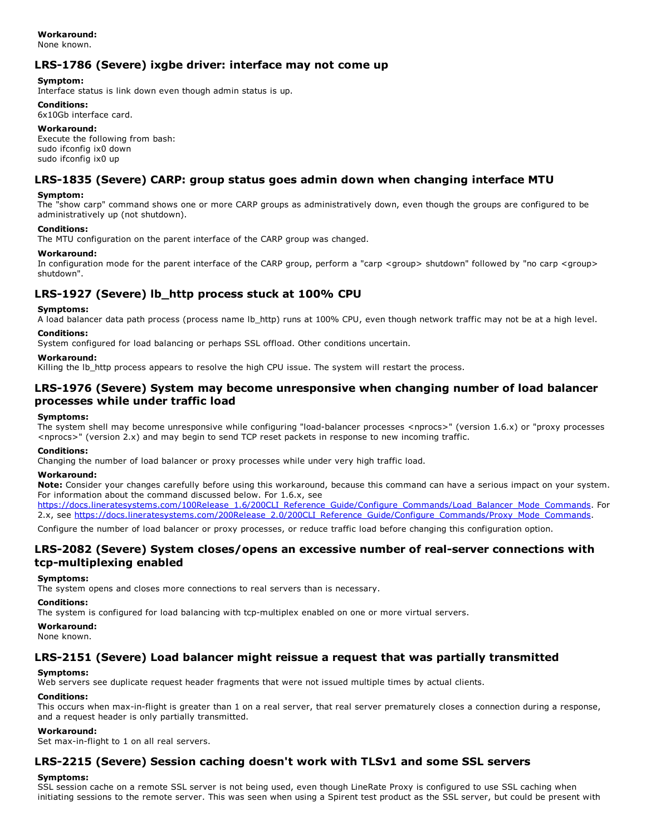### **Workaround:**

None known.

### **LRS1786 (Severe) ixgbe driver: interface may not come up**

#### **Symptom:**

Interface status is link down even though admin status is up.

#### **Conditions:** 6x10Gb interface card.

**Workaround:**

Execute the following from bash: sudo ifconfig ix0 down sudo ifconfig ix0 up

### **LRS1835 (Severe) CARP: group status goes admin down when changing interface MTU**

#### **Symptom:**

The "show carp" command shows one or more CARP groups as administratively down, even though the groups are configured to be administratively up (not shutdown).

#### **Conditions:**

The MTU configuration on the parent interface of the CARP group was changed.

#### **Workaround:**

In configuration mode for the parent interface of the CARP group, perform a "carp <group> shutdown" followed by "no carp <group> shutdown".

### **LRS1927 (Severe) lb\_http process stuck at 100% CPU**

#### **Symptoms:**

A load balancer data path process (process name lb\_http) runs at 100% CPU, even though network traffic may not be at a high level.

#### **Conditions:**

System configured for load balancing or perhaps SSL offload. Other conditions uncertain.

#### **Workaround:**

Killing the lb\_http process appears to resolve the high CPU issue. The system will restart the process.

### **LRS1976 (Severe) System may become unresponsive when changing number of load balancer processes while under traffic load**

#### **Symptoms:**

The system shell may become unresponsive while configuring "load-balancer processes <nprocs>" (version  $1.6.x$ ) or "proxy processes <nprocs>" (version 2.x) and may begin to send TCP reset packets in response to new incoming traffic.

### **Conditions:**

Changing the number of load balancer or proxy processes while under very high traffic load.

### **Workaround:**

**Note:** Consider your changes carefully before using this workaround, because this command can have a serious impact on your system. For information about the command discussed below. For 1.6.x, see

[https://docs.lineratesystems.com/100Release\\_1.6/200CLI\\_Reference\\_Guide/Configure\\_Commands/Load\\_Balancer\\_Mode\\_Commands](https://docs.lineratesystems.com/100Release_1.6/200CLI_Reference_Guide/Configure_Commands/Load_Balancer_Mode_Commands). For 2.x, see [https://docs.lineratesystems.com/200Release\\_2.0/200CLI\\_Reference\\_Guide/Configure\\_Commands/Proxy\\_Mode\\_Commands](https://docs.lineratesystems.com/200Release_2.0/200CLI_Reference_Guide/Configure_Commands/Proxy_Mode_Commands).

Configure the number of load balancer or proxy processes, or reduce traffic load before changing this configuration option.

### **LRS2082 (Severe) System closes/opens an excessive number of realserver connections with tcp-multiplexing enabled**

#### **Symptoms:**

The system opens and closes more connections to real servers than is necessary.

### **Conditions:**

The system is configured for load balancing with tcp-multiplex enabled on one or more virtual servers.

### **Workaround:**

None known.

### **LRS2151 (Severe) Load balancer might reissue a request that was partially transmitted**

### **Symptoms:**

Web servers see duplicate request header fragments that were not issued multiple times by actual clients.

### **Conditions:**

This occurs when max-in-flight is greater than 1 on a real server, that real server prematurely closes a connection during a response, and a request header is only partially transmitted.

#### **Workaround:**

Set max-in-flight to 1 on all real servers.

### **LRS2215 (Severe) Session caching doesn't work with TLSv1 and some SSL servers**

### **Symptoms:**

SSL session cache on a remote SSL server is not being used, even though LineRate Proxy is configured to use SSL caching when initiating sessions to the remote server. This was seen when using a Spirent test product as the SSL server, but could be present with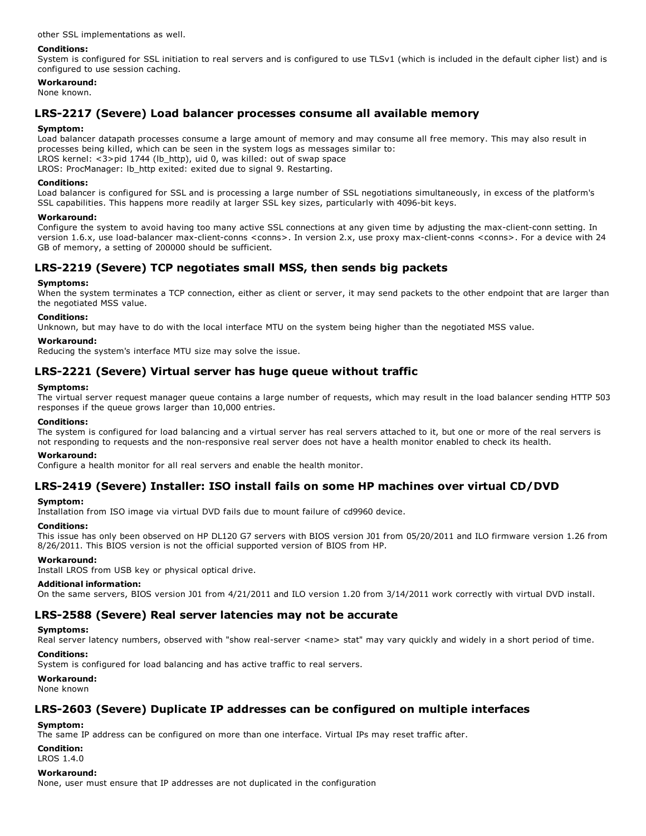other SSL implementations as well.

#### **Conditions:**

System is configured for SSL initiation to real servers and is configured to use TLSv1 (which is included in the default cipher list) and is configured to use session caching.

#### **Workaround:**

None known.

### **LRS2217 (Severe) Load balancer processes consume all available memory**

#### **Symptom:**

Load balancer datapath processes consume a large amount of memory and may consume all free memory. This may also result in processes being killed, which can be seen in the system logs as messages similar to: LROS kernel: <3>pid 1744 (lb\_http), uid 0, was killed: out of swap space

LROS: ProcManager: lb\_http exited: exited due to signal 9. Restarting.

#### **Conditions:**

Load balancer is configured for SSL and is processing a large number of SSL negotiations simultaneously, in excess of the platform's SSL capabilities. This happens more readily at larger SSL key sizes, particularly with 4096-bit keys.

#### **Workaround:**

Configure the system to avoid having too many active SSL connections at any given time by adjusting the max-client-conn setting. In version 1.6.x, use load-balancer max-client-conns <conns>. In version 2.x, use proxy max-client-conns <conns>. For a device with 24 GB of memory, a setting of 200000 should be sufficient.

### **LRS2219 (Severe) TCP negotiates small MSS, then sends big packets**

#### **Symptoms:**

When the system terminates a TCP connection, either as client or server, it may send packets to the other endpoint that are larger than the negotiated MSS value.

#### **Conditions:**

Unknown, but may have to do with the local interface MTU on the system being higher than the negotiated MSS value.

#### **Workaround:**

Reducing the system's interface MTU size may solve the issue.

### **LRS2221 (Severe) Virtual server has huge queue without traffic**

#### **Symptoms:**

The virtual server request manager queue contains a large number of requests, which may result in the load balancer sending HTTP 503 responses if the queue grows larger than 10,000 entries.

#### **Conditions:**

The system is configured for load balancing and a virtual server has real servers attached to it, but one or more of the real servers is not responding to requests and the non-responsive real server does not have a health monitor enabled to check its health.

#### **Workaround:**

Configure a health monitor for all real servers and enable the health monitor.

### **LRS2419 (Severe) Installer: ISO install fails on some HP machines over virtual CD/DVD**

#### **Symptom:**

Installation from ISO image via virtual DVD fails due to mount failure of cd9960 device.

#### **Conditions:**

This issue has only been observed on HP DL120 G7 servers with BIOS version J01 from 05/20/2011 and ILO firmware version 1.26 from 8/26/2011. This BIOS version is not the official supported version of BIOS from HP.

#### **Workaround:**

Install LROS from USB key or physical optical drive.

#### **Additional information:**

On the same servers, BIOS version J01 from 4/21/2011 and ILO version 1.20 from 3/14/2011 work correctly with virtual DVD install.

### **LRS2588 (Severe) Real server latencies may not be accurate**

### **Symptoms:**

Real server latency numbers, observed with "show real-server <name> stat" may vary quickly and widely in a short period of time.

#### **Conditions:**

System is configured for load balancing and has active traffic to real servers.

### **Workaround:**

None known

### **LRS2603 (Severe) Duplicate IP addresses can be configured on multiple interfaces**

### **Symptom:**

The same IP address can be configured on more than one interface. Virtual IPs may reset traffic after.

**Condition:** LROS 1.4.0

#### **Workaround:**

None, user must ensure that IP addresses are not duplicated in the configuration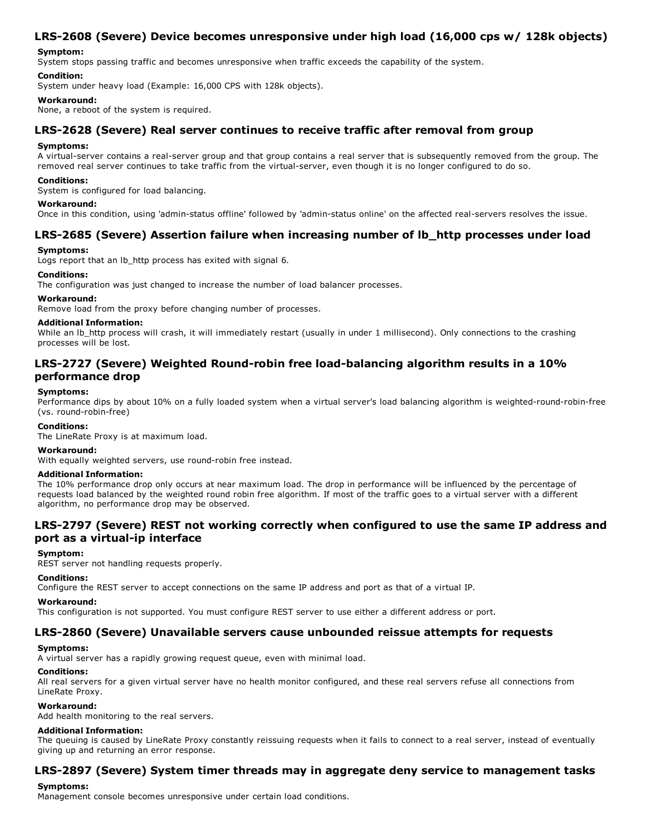### **LRS2608 (Severe) Device becomes unresponsive under high load (16,000 cps w/ 128k objects)**

#### **Symptom:**

System stops passing traffic and becomes unresponsive when traffic exceeds the capability of the system.

#### **Condition:**

System under heavy load (Example: 16,000 CPS with 128k objects).

#### **Workaround:**

None, a reboot of the system is required.

### **LRS2628 (Severe) Real server continues to receive traffic after removal from group**

#### **Symptoms:**

A virtual-server contains a real-server group and that group contains a real server that is subsequently removed from the group. The removed real server continues to take traffic from the virtual-server, even though it is no longer configured to do so.

#### **Conditions:**

System is configured for load balancing.

#### **Workaround:**

Once in this condition, using 'admin-status offline' followed by 'admin-status online' on the affected real-servers resolves the issue.

### **LRS2685 (Severe) Assertion failure when increasing number of lb\_http processes under load**

#### **Symptoms:**

Logs report that an lb\_http process has exited with signal 6.

#### **Conditions:**

The configuration was just changed to increase the number of load balancer processes.

#### **Workaround:**

Remove load from the proxy before changing number of processes.

#### **Additional Information:**

While an Ib http process will crash, it will immediately restart (usually in under 1 millisecond). Only connections to the crashing processes will be lost.

### **LRS2727 (Severe) Weighted Roundrobin free loadbalancing algorithm results in a 10% performance drop**

#### **Symptoms:**

Performance dips by about 10% on a fully loaded system when a virtual server's load balancing algorithm is weighted-round-robin-free (vs. round-robin-free)

#### **Conditions:**

The LineRate Proxy is at maximum load.

#### **Workaround:**

With equally weighted servers, use round-robin free instead.

#### **Additional Information:**

The 10% performance drop only occurs at near maximum load. The drop in performance will be influenced by the percentage of requests load balanced by the weighted round robin free algorithm. If most of the traffic goes to a virtual server with a different algorithm, no performance drop may be observed.

### **LRS2797 (Severe) REST not working correctly when configured to use the same IP address and port** as a virtual-ip interface

#### **Symptom:**

REST server not handling requests properly.

#### **Conditions:**

Configure the REST server to accept connections on the same IP address and port as that of a virtual IP.

#### **Workaround:**

This configuration is not supported. You must configure REST server to use either a different address or port.

#### **LRS2860 (Severe) Unavailable servers cause unbounded reissue attempts for requests**

#### **Symptoms:**

A virtual server has a rapidly growing request queue, even with minimal load.

#### **Conditions:**

All real servers for a given virtual server have no health monitor configured, and these real servers refuse all connections from LineRate Proxy.

#### **Workaround:**

Add health monitoring to the real servers.

#### **Additional Information:**

The queuing is caused by LineRate Proxy constantly reissuing requests when it fails to connect to a real server, instead of eventually giving up and returning an error response.

### **LRS2897 (Severe) System timer threads may in aggregate deny service to management tasks**

#### **Symptoms:**

Management console becomes unresponsive under certain load conditions.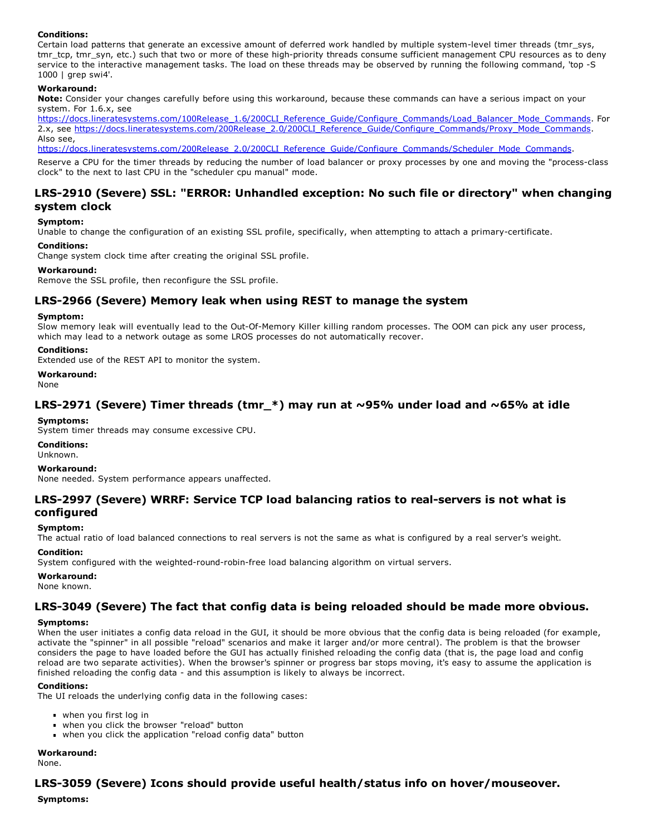#### **Conditions:**

Certain load patterns that generate an excessive amount of deferred work handled by multiple system-level timer threads (tmr\_sys, tmr\_tcp, tmr\_syn, etc.) such that two or more of these high-priority threads consume sufficient management CPU resources as to deny service to the interactive management tasks. The load on these threads may be observed by running the following command, 'top -S 1000 | grep swi4'.

#### **Workaround:**

**Note:** Consider your changes carefully before using this workaround, because these commands can have a serious impact on your system. For 1.6.x, see

[https://docs.lineratesystems.com/100Release\\_1.6/200CLI\\_Reference\\_Guide/Configure\\_Commands/Load\\_Balancer\\_Mode\\_Commands](https://docs.lineratesystems.com/100Release_1.6/200CLI_Reference_Guide/Configure_Commands/Load_Balancer_Mode_Commands). For 2.x, see [https://docs.lineratesystems.com/200Release\\_2.0/200CLI\\_Reference\\_Guide/Configure\\_Commands/Proxy\\_Mode\\_Commands](https://docs.lineratesystems.com/200Release_2.0/200CLI_Reference_Guide/Configure_Commands/Proxy_Mode_Commands). Also see,

[https://docs.lineratesystems.com/200Release\\_2.0/200CLI\\_Reference\\_Guide/Configure\\_Commands/Scheduler\\_Mode\\_Commands.](https://docs.lineratesystems.com/200Release_2.0/200CLI_Reference_Guide/Configure_Commands/Scheduler_Mode_Commands)

Reserve a CPU for the timer threads by reducing the number of load balancer or proxy processes by one and moving the "process-class clock" to the next to last CPU in the "scheduler cpu manual" mode.

### **LRS2910 (Severe) SSL: "ERROR: Unhandled exception: No such file or directory" when changing system clock**

### **Symptom:**

Unable to change the configuration of an existing SSL profile, specifically, when attempting to attach a primary-certificate.

#### **Conditions:**

Change system clock time after creating the original SSL profile.

#### **Workaround:**

Remove the SSL profile, then reconfigure the SSL profile.

### **LRS2966 (Severe) Memory leak when using REST to manage the system**

#### **Symptom:**

Slow memory leak will eventually lead to the Out-Of-Memory Killer killing random processes. The OOM can pick any user process, which may lead to a network outage as some LROS processes do not automatically recover.

#### **Conditions:**

Extended use of the REST API to monitor the system.

**Workaround:**

None

### **LRS2971 (Severe) Timer threads (tmr\_\*) may run at ~95% under load and ~65% at idle**

#### **Symptoms:**

System timer threads may consume excessive CPU.

### **Conditions:**

Unknown.

#### **Workaround:**

None needed. System performance appears unaffected.

### **LRS2997 (Severe) WRRF: Service TCP load balancing ratios to realservers is not what is configured**

#### **Symptom:**

The actual ratio of load balanced connections to real servers is not the same as what is configured by a real server's weight.

#### **Condition:**

System configured with the weighted-round-robin-free load balancing algorithm on virtual servers.

#### **Workaround:**

None known.

### **LRS3049 (Severe) The fact that config data is being reloaded should be made more obvious.**

#### **Symptoms:**

When the user initiates a config data reload in the GUI, it should be more obvious that the config data is being reloaded (for example, activate the "spinner" in all possible "reload" scenarios and make it larger and/or more central). The problem is that the browser considers the page to have loaded before the GUI has actually finished reloading the config data (that is, the page load and config reload are two separate activities). When the browser's spinner or progress bar stops moving, it's easy to assume the application is finished reloading the config data - and this assumption is likely to always be incorrect.

#### **Conditions:**

The UI reloads the underlying config data in the following cases:

- when you first log in
- when you click the browser "reload" button
- when you click the application "reload config data" button

### **Workaround:**

None.

### **LRS3059 (Severe) Icons should provide useful health/status info on hover/mouseover.**

**Symptoms:**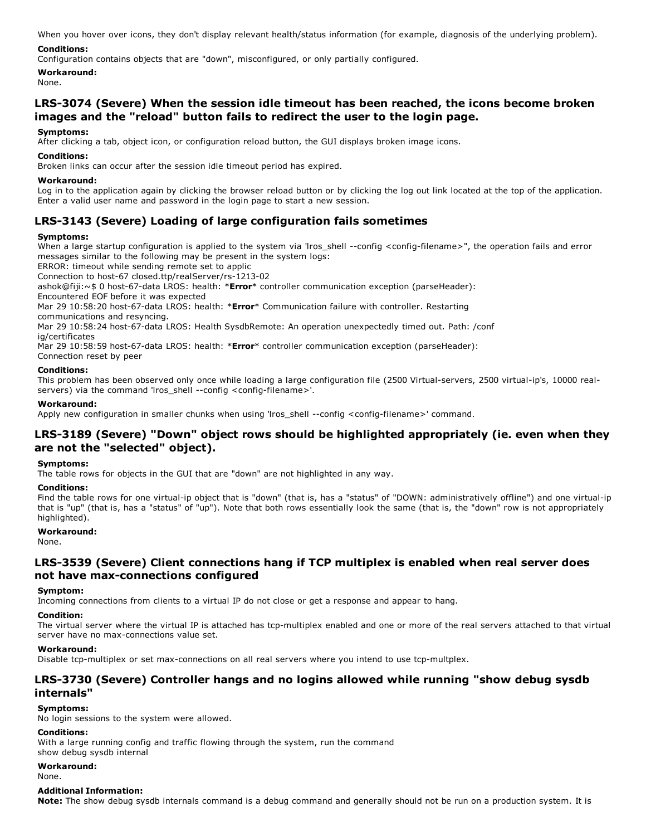When you hover over icons, they don't display relevant health/status information (for example, diagnosis of the underlying problem).

### **Conditions:**

Configuration contains objects that are "down", misconfigured, or only partially configured.

**Workaround:**

#### None.

### **LRS3074 (Severe) When the session idle timeout has been reached, the icons become broken images and the "reload" button fails to redirect the user to the login page.**

#### **Symptoms:**

After clicking a tab, object icon, or configuration reload button, the GUI displays broken image icons.

#### **Conditions:**

Broken links can occur after the session idle timeout period has expired.

#### **Workaround:**

Log in to the application again by clicking the browser reload button or by clicking the log out link located at the top of the application. Enter a valid user name and password in the login page to start a new session.

### **LRS3143 (Severe) Loading of large configuration fails sometimes**

#### **Symptoms:**

When a large startup configuration is applied to the system via 'lros\_shell --config <config-filename>", the operation fails and error messages similar to the following may be present in the system logs:

ERROR: timeout while sending remote set to applic

Connection to host-67 closed.ttp/realServer/rs-1213-02

ashok@fiji:~\$ 0 host-67-data LROS: health: \***Error**\* controller communication exception (parseHeader):

Encountered EOF before it was expected

Mar 29 10:58:20 host-67-data LROS: health: \*Error\* Communication failure with controller. Restarting

communications and resyncing.

Mar 29 10:58:24 host-67-data LROS: Health SysdbRemote: An operation unexpectedly timed out. Path: /conf ig/certificates

Mar 29 10:58:59 host-67-data LROS: health: \*Error\* controller communication exception (parseHeader):

Connection reset by peer

#### **Conditions:**

This problem has been observed only once while loading a large configuration file (2500 Virtual-servers, 2500 virtual-ip's, 10000 realservers) via the command 'lros\_shell --config <config-filename>'.

#### **Workaround:**

Apply new configuration in smaller chunks when using 'lros\_shell --config <config-filename>' command.

### **LRS3189 (Severe) "Down" object rows should be highlighted appropriately (ie. even when they are not the "selected" object).**

#### **Symptoms:**

The table rows for objects in the GUI that are "down" are not highlighted in any way.

#### **Conditions:**

Find the table rows for one virtual-ip object that is "down" (that is, has a "status" of "DOWN: administratively offline") and one virtual-ip that is "up" (that is, has a "status" of "up"). Note that both rows essentially look the same (that is, the "down" row is not appropriately highlighted).

#### **Workaround:**

None.

### **LRS3539 (Severe) Client connections hang if TCP multiplex is enabled when real server does not** have max-connections configured

#### **Symptom:**

Incoming connections from clients to a virtual IP do not close or get a response and appear to hang.

#### **Condition:**

The virtual server where the virtual IP is attached has tcp-multiplex enabled and one or more of the real servers attached to that virtual server have no max-connections value set.

#### **Workaround:**

Disable tcp-multiplex or set max-connections on all real servers where you intend to use tcp-multplex.

### **LRS3730 (Severe) Controller hangs and no logins allowed while running "show debug sysdb internals"**

#### **Symptoms:**

No login sessions to the system were allowed.

### **Conditions:**

With a large running config and traffic flowing through the system, run the command

show debug sysdb internal

**Workaround:**

None.

### **Additional Information:**

**Note:** The show debug sysdb internals command is a debug command and generally should not be run on a production system. It is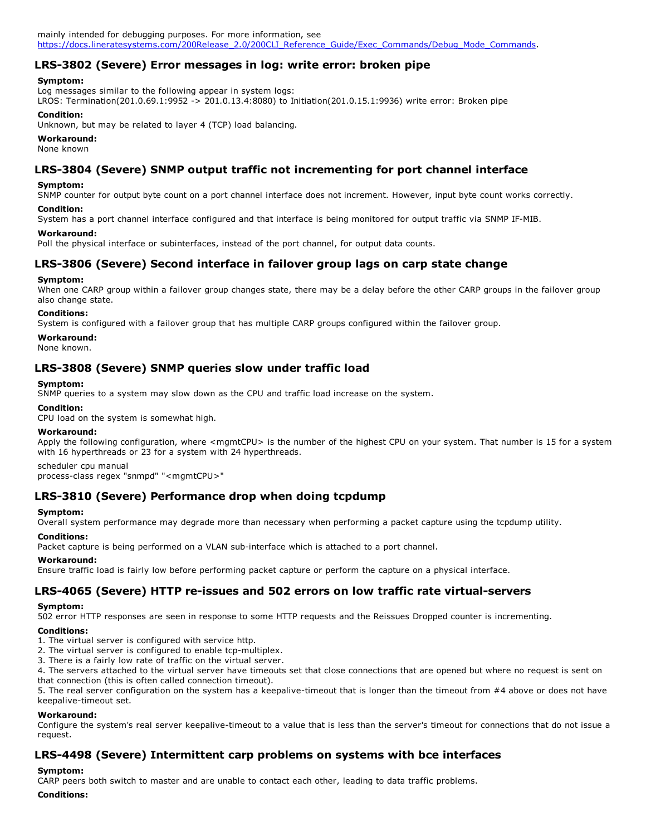### **LRS3802 (Severe) Error messages in log: write error: broken pipe**

#### **Symptom:**

Log messages similar to the following appear in system logs:

LROS: Termination(201.0.69.1:9952 > 201.0.13.4:8080) to Initiation(201.0.15.1:9936) write error: Broken pipe

#### **Condition:**

Unknown, but may be related to layer 4 (TCP) load balancing.

### **Workaround:**

None known

### **LRS3804 (Severe) SNMP output traffic not incrementing for port channel interface**

#### **Symptom:**

SNMP counter for output byte count on a port channel interface does not increment. However, input byte count works correctly.

#### **Condition:**

System has a port channel interface configured and that interface is being monitored for output traffic via SNMP IF-MIB.

#### **Workaround:**

Poll the physical interface or subinterfaces, instead of the port channel, for output data counts.

### **LRS3806 (Severe) Second interface in failover group lags on carp state change**

#### **Symptom:**

When one CARP group within a failover group changes state, there may be a delay before the other CARP groups in the failover group also change state.

#### **Conditions:**

System is configured with a failover group that has multiple CARP groups configured within the failover group.

#### **Workaround:**

None known.

### **LRS3808 (Severe) SNMP queries slow under traffic load**

#### **Symptom:**

SNMP queries to a system may slow down as the CPU and traffic load increase on the system.

#### **Condition:**

CPU load on the system is somewhat high.

#### **Workaround:**

Apply the following configuration, where <mgmtCPU> is the number of the highest CPU on your system. That number is 15 for a system with 16 hyperthreads or 23 for a system with 24 hyperthreads.

scheduler cpu manual process-class regex "snmpd" "<mgmtCPU>"

### **LRS3810 (Severe) Performance drop when doing tcpdump**

#### **Symptom:**

Overall system performance may degrade more than necessary when performing a packet capture using the tcpdump utility.

#### **Conditions:**

Packet capture is being performed on a VLAN sub-interface which is attached to a port channel.

#### **Workaround:**

Ensure traffic load is fairly low before performing packet capture or perform the capture on a physical interface.

### **LRS4065 (Severe) HTTP reissues and 502 errors on low traffic rate virtualservers**

### **Symptom:**

502 error HTTP responses are seen in response to some HTTP requests and the Reissues Dropped counter is incrementing.

### **Conditions:**

- 1. The virtual server is configured with service http.
- 2. The virtual server is configured to enable tcp-multiplex.
- 3. There is a fairly low rate of traffic on the virtual server.

4. The servers attached to the virtual server have timeouts set that close connections that are opened but where no request is sent on that connection (this is often called connection timeout).

5. The real server configuration on the system has a keepalive-timeout that is longer than the timeout from  $#4$  above or does not have keepalive-timeout set.

### **Workaround:**

Configure the system's real server keepalive-timeout to a value that is less than the server's timeout for connections that do not issue a request.

### **LRS4498 (Severe) Intermittent carp problems on systems with bce interfaces**

#### **Symptom:**

CARP peers both switch to master and are unable to contact each other, leading to data traffic problems.

#### **Conditions:**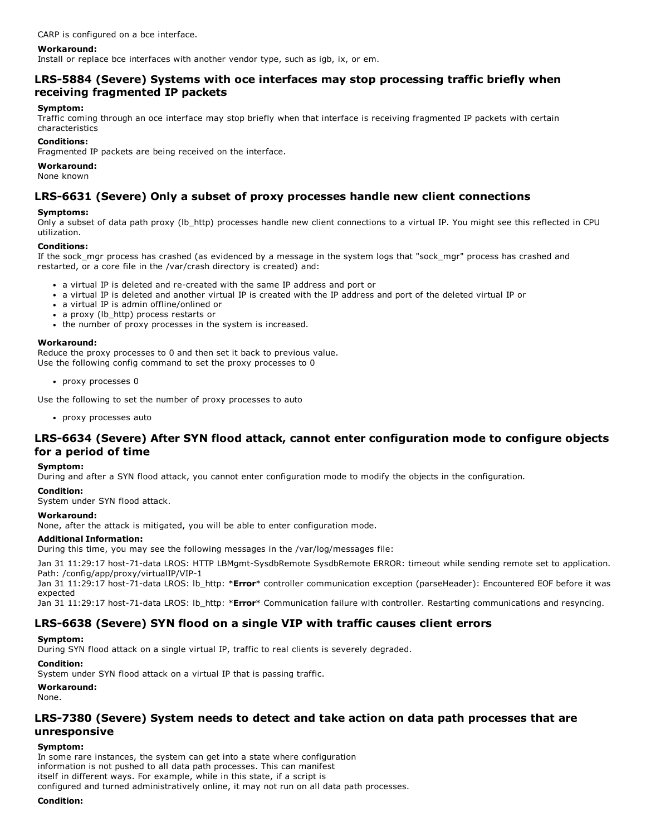CARP is configured on a bce interface.

#### **Workaround:**

Install or replace bce interfaces with another vendor type, such as igb, ix, or em.

### **LRS5884 (Severe) Systems with oce interfaces may stop processing traffic briefly when receiving fragmented IP packets**

#### **Symptom:**

Traffic coming through an oce interface may stop briefly when that interface is receiving fragmented IP packets with certain characteristics

#### **Conditions:**

Fragmented IP packets are being received on the interface.

**Workaround:** None known

### **LRS6631 (Severe) Only a subset of proxy processes handle new client connections**

#### **Symptoms:**

Only a subset of data path proxy (lb\_http) processes handle new client connections to a virtual IP. You might see this reflected in CPU utilization.

#### **Conditions:**

If the sock\_mgr process has crashed (as evidenced by a message in the system logs that "sock\_mgr" process has crashed and restarted, or a core file in the /var/crash directory is created) and:

- a virtual IP is deleted and re-created with the same IP address and port or
- a virtual IP is deleted and another virtual IP is created with the IP address and port of the deleted virtual IP or
- a virtual IP is admin offline/onlined or
- a proxy (lb\_http) process restarts or
- the number of proxy processes in the system is increased.

#### **Workaround:**

Reduce the proxy processes to 0 and then set it back to previous value. Use the following config command to set the proxy processes to 0

• proxy processes 0

Use the following to set the number of proxy processes to auto

• proxy processes auto

### **LRS6634 (Severe) After SYN flood attack, cannot enter configuration mode to configure objects for a period of time**

#### **Symptom:**

During and after a SYN flood attack, you cannot enter configuration mode to modify the objects in the configuration.

#### **Condition:**

System under SYN flood attack.

#### **Workaround:**

None, after the attack is mitigated, you will be able to enter configuration mode.

#### **Additional Information:**

During this time, you may see the following messages in the /var/log/messages file:

Jan 31 11:29:17 host-71-data LROS: HTTP LBMgmt-SysdbRemote SysdbRemote ERROR: timeout while sending remote set to application. Path: /config/app/proxy/virtualIP/VIP-1

Jan 31 11:29:17 host-71-data LROS: lb\_http: \*Error\* controller communication exception (parseHeader): Encountered EOF before it was expected

Jan 31 11:29:17 host-71-data LROS: lb\_http: \*Error\* Communication failure with controller. Restarting communications and resyncing.

#### **LRS6638 (Severe) SYN flood on a single VIP with traffic causes client errors**

#### **Symptom:**

During SYN flood attack on a single virtual IP, traffic to real clients is severely degraded.

#### **Condition:**

System under SYN flood attack on a virtual IP that is passing traffic.

#### **Workaround:**

None.

### **LRS7380 (Severe) System needs to detect and take action on data path processes that are unresponsive**

#### **Symptom:**

In some rare instances, the system can get into a state where configuration information is not pushed to all data path processes. This can manifest itself in different ways. For example, while in this state, if a script is configured and turned administratively online, it may not run on all data path processes.

#### **Condition:**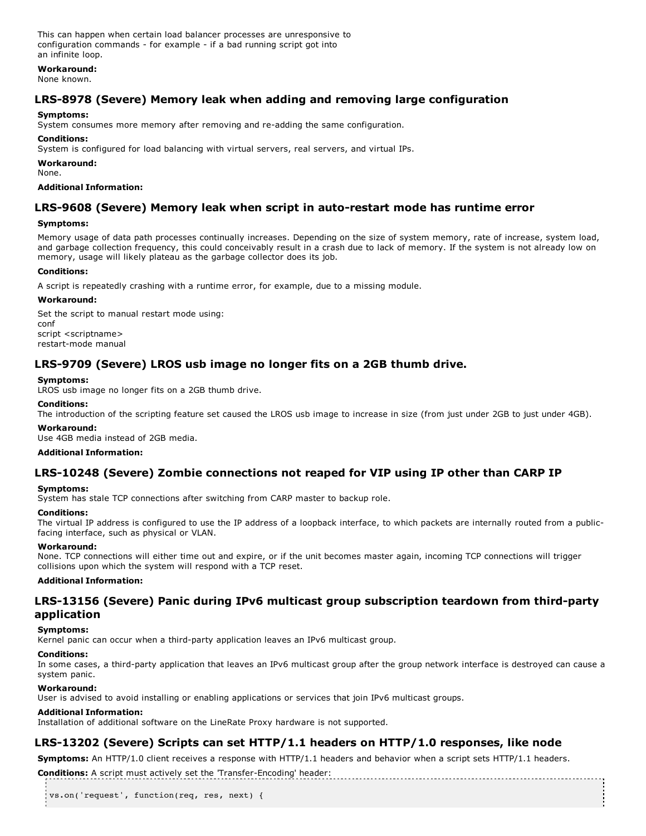This can happen when certain load balancer processes are unresponsive to configuration commands - for example - if a bad running script got into an infinite loop.

**Workaround:** None known.

### **LRS8978 (Severe) Memory leak when adding and removing large configuration**

#### **Symptoms:**

System consumes more memory after removing and re-adding the same configuration.

#### **Conditions:**

System is configured for load balancing with virtual servers, real servers, and virtual IPs.

#### **Workaround:**

None.

#### **Additional Information:**

### **LRS9608 (Severe) Memory leak when script in autorestart mode has runtime error**

#### **Symptoms:**

Memory usage of data path processes continually increases. Depending on the size of system memory, rate of increase, system load, and garbage collection frequency, this could conceivably result in a crash due to lack of memory. If the system is not already low on memory, usage will likely plateau as the garbage collector does its job.

#### **Conditions:**

A script is repeatedly crashing with a runtime error, for example, due to a missing module.

#### **Workaround:**

Set the script to manual restart mode using: conf script <scriptname> restart-mode manual

### **LRS9709 (Severe) LROS usb image no longer fits on a 2GB thumb drive.**

#### **Symptoms:**

LROS usb image no longer fits on a 2GB thumb drive.

#### **Conditions:**

The introduction of the scripting feature set caused the LROS usb image to increase in size (from just under 2GB to just under 4GB).

#### **Workaround:**

Use 4GB media instead of 2GB media.

#### **Additional Information:**

### **LRS10248 (Severe) Zombie connections not reaped for VIP using IP other than CARP IP**

### **Symptoms:**

System has stale TCP connections after switching from CARP master to backup role.

### **Conditions:**

The virtual IP address is configured to use the IP address of a loopback interface, to which packets are internally routed from a publicfacing interface, such as physical or VLAN.

#### **Workaround:**

None. TCP connections will either time out and expire, or if the unit becomes master again, incoming TCP connections will trigger collisions upon which the system will respond with a TCP reset.

#### **Additional Information:**

### **LRS13156 (Severe) Panic during IPv6 multicast group subscription teardown from thirdparty application**

### **Symptoms:**

Kernel panic can occur when a third-party application leaves an IPv6 multicast group.

#### **Conditions:**

In some cases, a third-party application that leaves an IPv6 multicast group after the group network interface is destroyed can cause a system panic.

#### **Workaround:**

User is advised to avoid installing or enabling applications or services that join IPv6 multicast groups.

#### **Additional Information:**

Installation of additional software on the LineRate Proxy hardware is not supported.

### **LRS13202 (Severe) Scripts can set HTTP/1.1 headers on HTTP/1.0 responses, like node**

**Symptoms:** An HTTP/1.0 client receives a response with HTTP/1.1 headers and behavior when a script sets HTTP/1.1 headers.

**Conditions:** A script must actively set the 'Transfer-Encoding' header: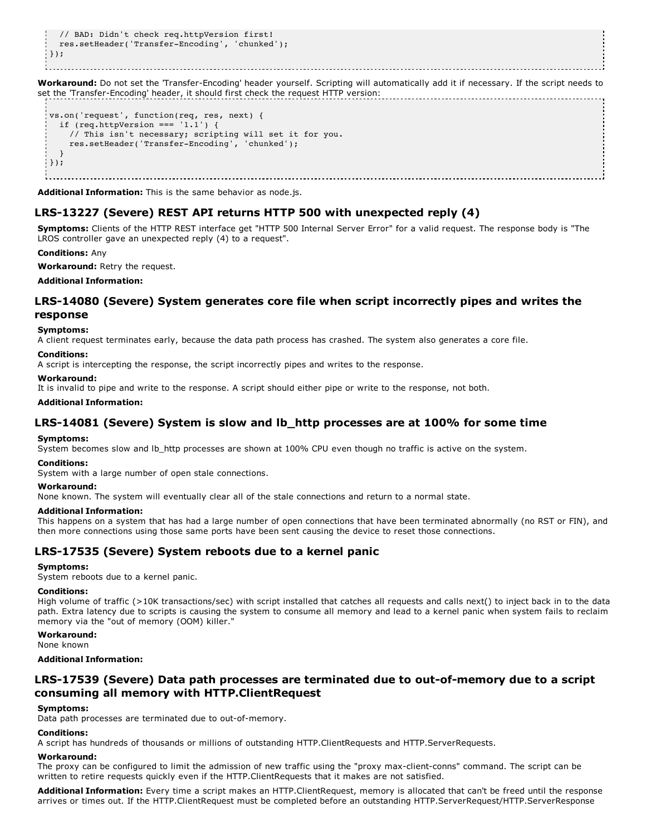```
// BAD: Didn't check req.httpVersion first!
  res.setHeader('Transfer-Encoding', 'chunked');
});
```
Workaround: Do not set the 'Transfer-Encoding' header yourself. Scripting will automatically add it if necessary. If the script needs to set the 'Transfer-Encoding' header, it should first check the request HTTP version:

```
vs.on('request', function(req, res, next) {
  if (\text{req}. \text{httpVersion} == '1.1') {
    // This isn't necessary; scripting will set it for you.
    res.setHeader('Transfer-Encoding', 'chunked');
  }
});
```
**Additional Information:** This is the same behavior as node.js.

### **LRS13227 (Severe) REST API returns HTTP 500 with unexpected reply (4)**

**Symptoms:** Clients of the HTTP REST interface get "HTTP 500 Internal Server Error" for a valid request. The response body is "The LROS controller gave an unexpected reply (4) to a request".

#### **Conditions:** Any

**Workaround:** Retry the request.

#### **Additional Information:**

### **LRS14080 (Severe) System generates core file when script incorrectly pipes and writes the response**

#### **Symptoms:**

A client request terminates early, because the data path process has crashed. The system also generates a core file.

#### **Conditions:**

A script is intercepting the response, the script incorrectly pipes and writes to the response.

#### **Workaround:**

It is invalid to pipe and write to the response. A script should either pipe or write to the response, not both.

**Additional Information:**

### **LRS14081 (Severe) System is slow and lb\_http processes are at 100% for some time**

#### **Symptoms:**

System becomes slow and lb\_http processes are shown at 100% CPU even though no traffic is active on the system.

#### **Conditions:**

System with a large number of open stale connections.

#### **Workaround:**

None known. The system will eventually clear all of the stale connections and return to a normal state.

#### **Additional Information:**

This happens on a system that has had a large number of open connections that have been terminated abnormally (no RST or FIN), and then more connections using those same ports have been sent causing the device to reset those connections.

### **LRS17535 (Severe) System reboots due to a kernel panic**

#### **Symptoms:**

System reboots due to a kernel panic.

#### **Conditions:**

High volume of traffic (>10K transactions/sec) with script installed that catches all requests and calls next() to inject back in to the data path. Extra latency due to scripts is causing the system to consume all memory and lead to a kernel panic when system fails to reclaim memory via the "out of memory (OOM) killer."

**Workaround:**

None known

**Additional Information:**

### **LRS17539 (Severe) Data path processes are terminated due to outofmemory due to a script consuming all memory with HTTP.ClientRequest**

#### **Symptoms:**

Data path processes are terminated due to out-of-memory.

#### **Conditions:**

A script has hundreds of thousands or millions of outstanding HTTP.ClientRequests and HTTP.ServerRequests.

#### **Workaround:**

The proxy can be configured to limit the admission of new traffic using the "proxy max-client-conns" command. The script can be written to retire requests quickly even if the HTTP.ClientRequests that it makes are not satisfied.

**Additional Information:** Every time a script makes an HTTP.ClientRequest, memory is allocated that can't be freed until the response arrives or times out. If the HTTP.ClientRequest must be completed before an outstanding HTTP.ServerRequest/HTTP.ServerResponse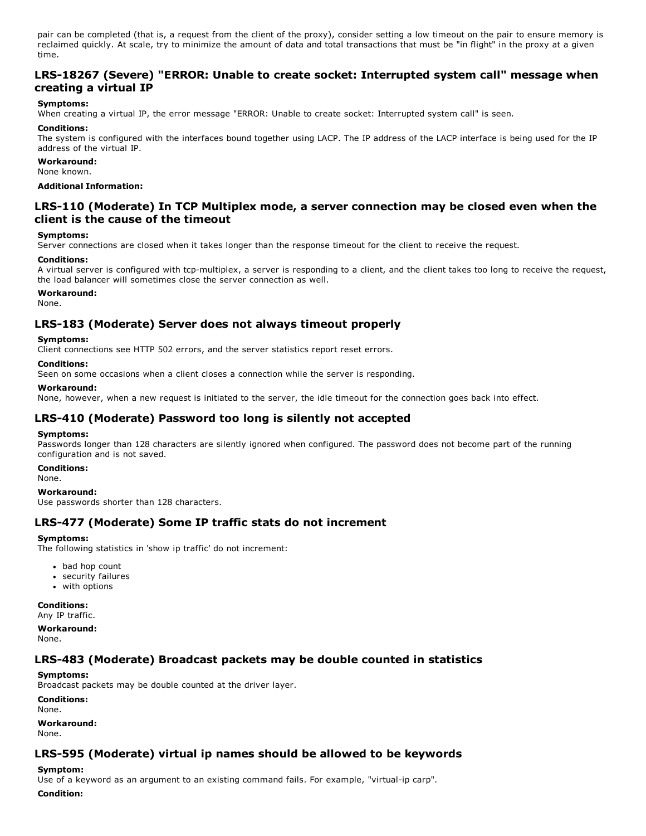pair can be completed (that is, a request from the client of the proxy), consider setting a low timeout on the pair to ensure memory is reclaimed quickly. At scale, try to minimize the amount of data and total transactions that must be "in flight" in the proxy at a given time.

### **LRS18267 (Severe) "ERROR: Unable to create socket: Interrupted system call" message when creating a virtual IP**

#### **Symptoms:**

When creating a virtual IP, the error message "ERROR: Unable to create socket: Interrupted system call" is seen.

#### **Conditions:**

The system is configured with the interfaces bound together using LACP. The IP address of the LACP interface is being used for the IP address of the virtual IP.

#### **Workaround:**

None known.

#### **Additional Information:**

### **LRS110 (Moderate) In TCP Multiplex mode, a server connection may be closed even when the client is the cause of the timeout**

#### **Symptoms:**

Server connections are closed when it takes longer than the response timeout for the client to receive the request.

#### **Conditions:**

A virtual server is configured with tcp-multiplex, a server is responding to a client, and the client takes too long to receive the request, the load balancer will sometimes close the server connection as well.

#### **Workaround:**

None.

### **LRS183 (Moderate) Server does not always timeout properly**

#### **Symptoms:**

Client connections see HTTP 502 errors, and the server statistics report reset errors.

#### **Conditions:**

Seen on some occasions when a client closes a connection while the server is responding.

#### **Workaround:**

None, however, when a new request is initiated to the server, the idle timeout for the connection goes back into effect.

### **LRS410 (Moderate) Password too long is silently not accepted**

#### **Symptoms:**

Passwords longer than 128 characters are silently ignored when configured. The password does not become part of the running configuration and is not saved.

**Conditions:**

None.

#### **Workaround:**

Use passwords shorter than 128 characters.

#### **LRS477 (Moderate) Some IP traffic stats do not increment**

#### **Symptoms:**

The following statistics in 'show ip traffic' do not increment:

- bad hop count
- security failures
- with options

**Conditions:**

Any IP traffic.

**Workaround:** None.

### **LRS483 (Moderate) Broadcast packets may be double counted in statistics**

#### **Symptoms:**

Broadcast packets may be double counted at the driver layer.

**Conditions:**

None.

**Workaround:** None.

### **LRS595 (Moderate) virtual ip names should be allowed to be keywords**

#### **Symptom:**

Use of a keyword as an argument to an existing command fails. For example, "virtual-ip carp".

#### **Condition:**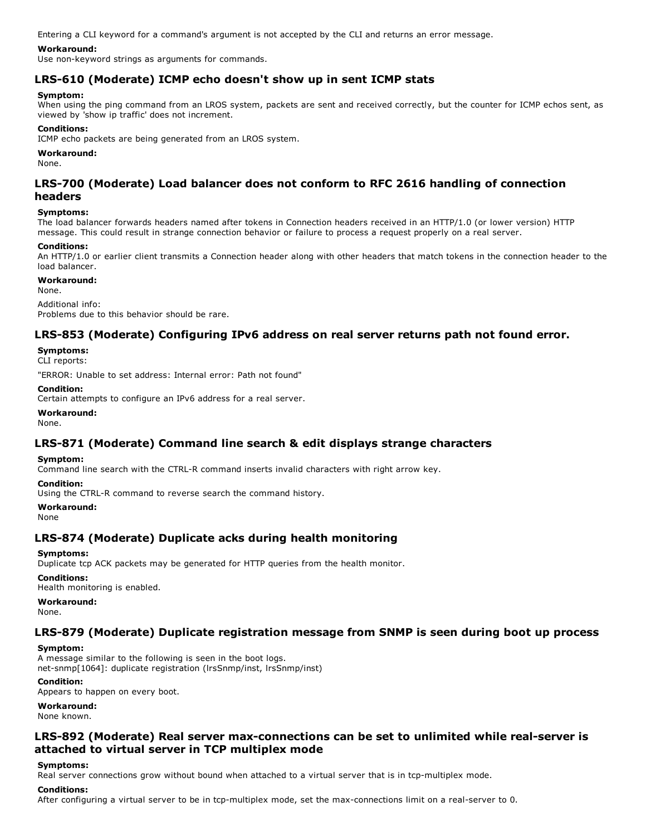Entering a CLI keyword for a command's argument is not accepted by the CLI and returns an error message.

#### **Workaround:**

Use non-keyword strings as arguments for commands.

### **LRS610 (Moderate) ICMP echo doesn't show up in sent ICMP stats**

#### **Symptom:**

When using the ping command from an LROS system, packets are sent and received correctly, but the counter for ICMP echos sent, as viewed by 'show ip traffic' does not increment.

#### **Conditions:**

ICMP echo packets are being generated from an LROS system.

#### **Workaround:**

None.

### **LRS700 (Moderate) Load balancer does not conform to RFC 2616 handling of connection headers**

#### **Symptoms:**

The load balancer forwards headers named after tokens in Connection headers received in an HTTP/1.0 (or lower version) HTTP message. This could result in strange connection behavior or failure to process a request properly on a real server.

#### **Conditions:**

An HTTP/1.0 or earlier client transmits a Connection header along with other headers that match tokens in the connection header to the load balancer.

#### **Workaround:**

None.

Additional info: Problems due to this behavior should be rare.

### **LRS853 (Moderate) Configuring IPv6 address on real server returns path not found error.**

#### **Symptoms:**

CLI reports:

"ERROR: Unable to set address: Internal error: Path not found"

#### **Condition:**

Certain attempts to configure an IPv6 address for a real server.

#### **Workaround:**

None.

### **LRS-871** (Moderate) Command line search & edit displays strange characters

#### **Symptom:**

Command line search with the CTRL-R command inserts invalid characters with right arrow key.

#### **Condition:**

Using the CTRL-R command to reverse search the command history.

### **Workaround:**

None

### **LRS874 (Moderate) Duplicate acks during health monitoring**

#### **Symptoms:**

Duplicate tcp ACK packets may be generated for HTTP queries from the health monitor.

#### **Conditions:**

Health monitoring is enabled.

#### **Workaround:**

None.

### **LRS879 (Moderate) Duplicate registration message from SNMP is seen during boot up process**

#### **Symptom:**

A message similar to the following is seen in the boot logs. net-snmp[1064]: duplicate registration (lrsSnmp/inst, lrsSnmp/inst)

#### **Condition:**

Appears to happen on every boot.

#### **Workaround:**

None known.

### **LRS-892** (Moderate) Real server max-connections can be set to unlimited while real-server is **attached to virtual server in TCP multiplex mode**

#### **Symptoms:**

Real server connections grow without bound when attached to a virtual server that is in tcp-multiplex mode.

### **Conditions:**

After configuring a virtual server to be in tcp-multiplex mode, set the max-connections limit on a real-server to 0.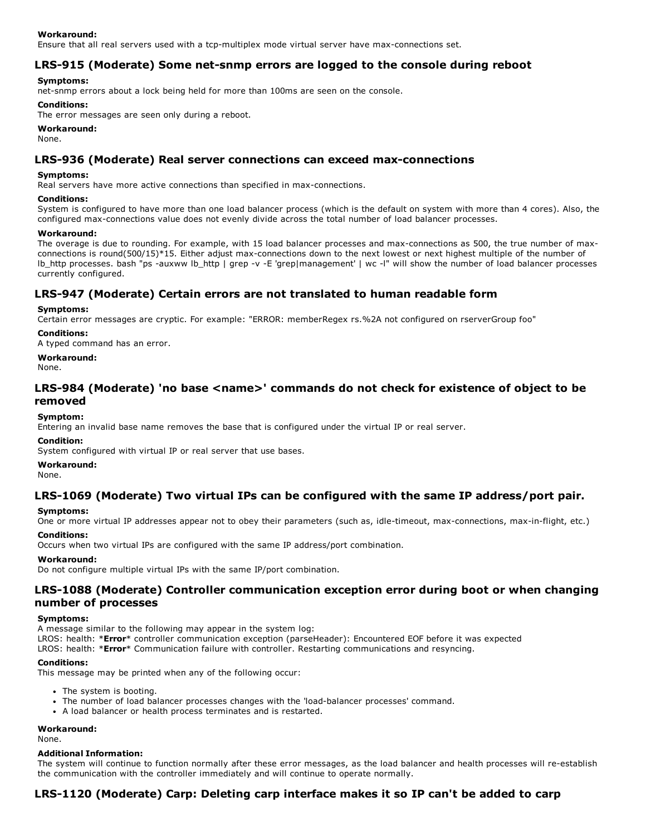#### **Workaround:**

Ensure that all real servers used with a tcp-multiplex mode virtual server have max-connections set.

### **LRS-915** (Moderate) Some net-snmp errors are logged to the console during reboot

#### **Symptoms:**

net-snmp errors about a lock being held for more than 100ms are seen on the console.

#### **Conditions:**

The error messages are seen only during a reboot.

#### **Workaround:**

None.

### **LRS936 (Moderate) Real server connections can exceed maxconnections**

#### **Symptoms:**

Real servers have more active connections than specified in max-connections.

#### **Conditions:**

System is configured to have more than one load balancer process (which is the default on system with more than 4 cores). Also, the configured max-connections value does not evenly divide across the total number of load balancer processes.

#### **Workaround:**

The overage is due to rounding. For example, with 15 load balancer processes and max-connections as 500, the true number of maxconnections is round(500/15)\*15. Either adjust max-connections down to the next lowest or next highest multiple of the number of Ib\_http processes. bash "ps -auxww Ib\_http | grep -v -E 'grep|management' | wc -I" will show the number of load balancer processes currently configured.

### **LRS947 (Moderate) Certain errors are not translated to human readable form**

#### **Symptoms:**

Certain error messages are cryptic. For example: "ERROR: memberRegex rs.%2A not configured on rserverGroup foo"

#### **Conditions:**

A typed command has an error.

#### **Workaround:**

None.

### **LRS984 (Moderate) 'no base <name>' commands do not check for existence of object to be removed**

#### **Symptom:**

Entering an invalid base name removes the base that is configured under the virtual IP or real server.

#### **Condition:**

System configured with virtual IP or real server that use bases.

#### **Workaround:**

None.

### **LRS1069 (Moderate) Two virtual IPs can be configured with the same IP address/port pair.**

#### **Symptoms:**

One or more virtual IP addresses appear not to obey their parameters (such as, idle-timeout, max-connections, max-in-flight, etc.)

#### **Conditions:**

Occurs when two virtual IPs are configured with the same IP address/port combination.

#### **Workaround:**

Do not configure multiple virtual IPs with the same IP/port combination.

### **LRS1088 (Moderate) Controller communication exception error during boot or when changing number of processes**

#### **Symptoms:**

A message similar to the following may appear in the system log: LROS: health: \***Error**\* controller communication exception (parseHeader): Encountered EOF before it was expected LROS: health: \***Error**\* Communication failure with controller. Restarting communications and resyncing.

#### **Conditions:**

This message may be printed when any of the following occur:

- The system is booting.
- The number of load balancer processes changes with the 'load-balancer processes' command.
- A load balancer or health process terminates and is restarted.

### **Workaround:**

None.

#### **Additional Information:**

The system will continue to function normally after these error messages, as the load balancer and health processes will re-establish the communication with the controller immediately and will continue to operate normally.

### **LRS1120 (Moderate) Carp: Deleting carp interface makes it so IP can't be added to carp**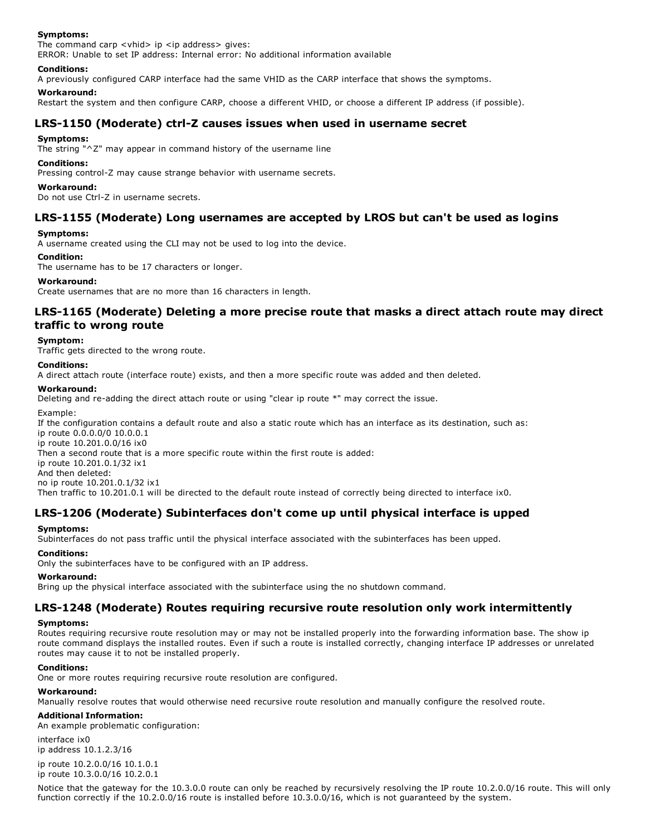#### **Symptoms:**

The command carp  $\langle$  vhid $\rangle$  ip  $\langle$  ip address $\rangle$  gives: ERROR: Unable to set IP address: Internal error: No additional information available

#### **Conditions:**

A previously configured CARP interface had the same VHID as the CARP interface that shows the symptoms.

#### **Workaround:**

Restart the system and then configure CARP, choose a different VHID, or choose a different IP address (if possible).

### **LRS1150 (Moderate) ctrlZ causes issues when used in username secret**

#### **Symptoms:**

The string "^Z" may appear in command history of the username line

#### **Conditions:**

Pressing control-Z may cause strange behavior with username secrets.

#### **Workaround:**

Do not use Ctrl-Z in username secrets.

### **LRS1155 (Moderate) Long usernames are accepted by LROS but can't be used as logins**

#### **Symptoms:**

A username created using the CLI may not be used to log into the device.

#### **Condition:**

The username has to be 17 characters or longer.

#### **Workaround:**

Create usernames that are no more than 16 characters in length.

### **LRS1165 (Moderate) Deleting a more precise route that masks a direct attach route may direct traffic to wrong route**

#### **Symptom:**

Traffic gets directed to the wrong route.

#### **Conditions:**

A direct attach route (interface route) exists, and then a more specific route was added and then deleted.

#### **Workaround:**

Deleting and re-adding the direct attach route or using "clear ip route \*" may correct the issue.

#### Example:

If the configuration contains a default route and also a static route which has an interface as its destination, such as: ip route 0.0.0.0/0 10.0.0.1 ip route 10.201.0.0/16 ix0 Then a second route that is a more specific route within the first route is added: ip route 10.201.0.1/32 ix1 And then deleted: no ip route 10.201.0.1/32 ix1 Then traffic to 10.201.0.1 will be directed to the default route instead of correctly being directed to interface ix0.

### **LRS1206 (Moderate) Subinterfaces don't come up until physical interface is upped**

#### **Symptoms:**

Subinterfaces do not pass traffic until the physical interface associated with the subinterfaces has been upped.

#### **Conditions:**

Only the subinterfaces have to be configured with an IP address.

#### **Workaround:**

Bring up the physical interface associated with the subinterface using the no shutdown command.

### **LRS1248 (Moderate) Routes requiring recursive route resolution only work intermittently**

#### **Symptoms:**

Routes requiring recursive route resolution may or may not be installed properly into the forwarding information base. The show ip route command displays the installed routes. Even if such a route is installed correctly, changing interface IP addresses or unrelated routes may cause it to not be installed properly.

#### **Conditions:**

One or more routes requiring recursive route resolution are configured.

#### **Workaround:**

Manually resolve routes that would otherwise need recursive route resolution and manually configure the resolved route.

#### **Additional Information:**

An example problematic configuration:

interface ix0 ip address 10.1.2.3/16

ip route 10.2.0.0/16 10.1.0.1 ip route 10.3.0.0/16 10.2.0.1

Notice that the gateway for the 10.3.0.0 route can only be reached by recursively resolving the IP route 10.2.0.0/16 route. This will only function correctly if the 10.2.0.0/16 route is installed before 10.3.0.0/16, which is not guaranteed by the system.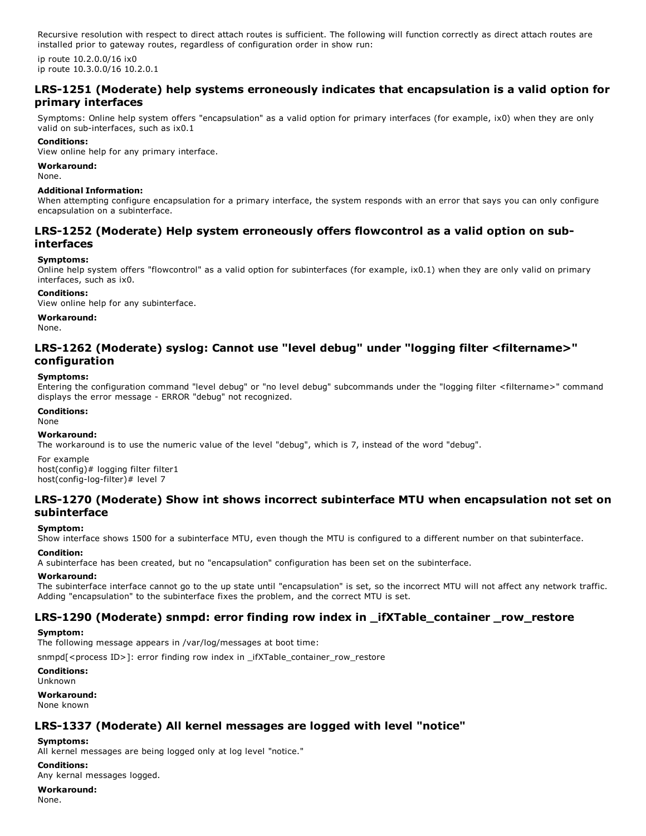Recursive resolution with respect to direct attach routes is sufficient. The following will function correctly as direct attach routes are installed prior to gateway routes, regardless of configuration order in show run:

ip route 10.2.0.0/16 ix0 ip route 10.3.0.0/16 10.2.0.1

### **LRS1251 (Moderate) help systems erroneously indicates that encapsulation is a valid option for primary interfaces**

Symptoms: Online help system offers "encapsulation" as a valid option for primary interfaces (for example, ix0) when they are only valid on sub-interfaces, such as ix0.1

#### **Conditions:**

View online help for any primary interface.

### **Workaround:**

None.

### **Additional Information:**

When attempting configure encapsulation for a primary interface, the system responds with an error that says you can only configure encapsulation on a subinterface.

### **LRS1252 (Moderate) Help system erroneously offers flowcontrol as a valid option on subinterfaces**

#### **Symptoms:**

Online help system offers "flowcontrol" as a valid option for subinterfaces (for example, ix0.1) when they are only valid on primary interfaces, such as ix0.

#### **Conditions:**

View online help for any subinterface.

#### **Workaround:**

None.

### **LRS1262 (Moderate) syslog: Cannot use "level debug" under "logging filter <filtername>" configuration**

#### **Symptoms:**

Entering the configuration command "level debug" or "no level debug" subcommands under the "logging filter <filtername>" command displays the error message - ERROR "debug" not recognized.

#### **Conditions:**

None

#### **Workaround:**

The workaround is to use the numeric value of the level "debug", which is 7, instead of the word "debug".

For example host(config)# logging filter filter1 host(config-log-filter)# level 7

### **LRS1270 (Moderate) Show int shows incorrect subinterface MTU when encapsulation not set on subinterface**

#### **Symptom:**

Show interface shows 1500 for a subinterface MTU, even though the MTU is configured to a different number on that subinterface.

### **Condition:**

A subinterface has been created, but no "encapsulation" configuration has been set on the subinterface.

### **Workaround:**

The subinterface interface cannot go to the up state until "encapsulation" is set, so the incorrect MTU will not affect any network traffic. Adding "encapsulation" to the subinterface fixes the problem, and the correct MTU is set.

### **LRS1290 (Moderate) snmpd: error finding row index in \_ifXTable\_container \_row\_restore**

#### **Symptom:**

The following message appears in /var/log/messages at boot time:

snmpd[<process ID>]: error finding row index in \_ifXTable\_container\_row\_restore

### **Conditions:**

Unknown

**Workaround:** None known

### **LRS1337 (Moderate) All kernel messages are logged with level "notice"**

#### **Symptoms:**

All kernel messages are being logged only at log level "notice."

### **Conditions:**

Any kernal messages logged.

**Workaround:** None.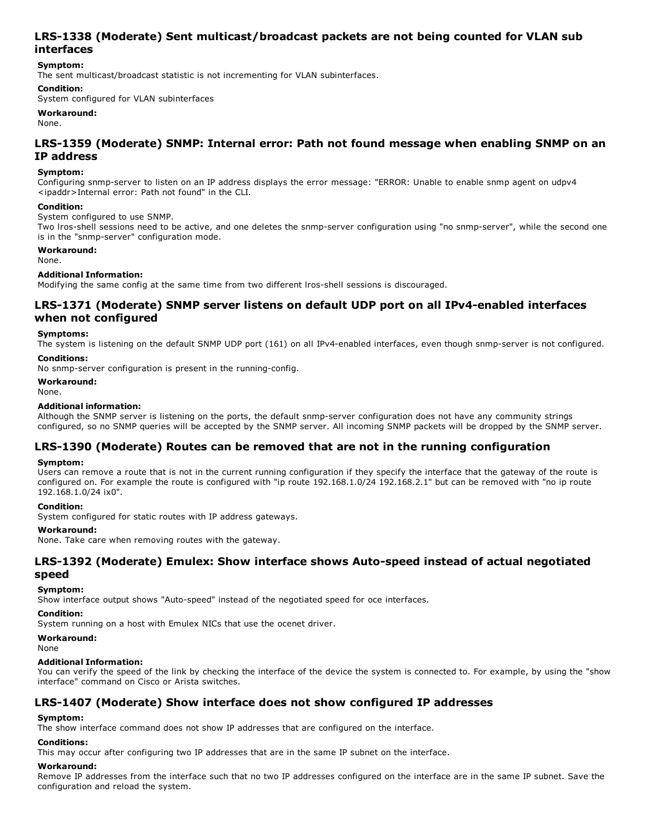### **LRS1338 (Moderate) Sent multicast/broadcast packets are not being counted for VLAN sub interfaces**

### **Symptom:**

The sent multicast/broadcast statistic is not incrementing for VLAN subinterfaces.

#### **Condition:**

System configured for VLAN subinterfaces

#### **Workaround:**

None.

### **LRS1359 (Moderate) SNMP: Internal error: Path not found message when enabling SNMP on an IP address**

#### **Symptom:**

Configuring snmpserver to listen on an IP address displays the error message: "ERROR: Unable to enable snmp agent on udpv4 <ipaddr>Internal error: Path not found" in the CLI.

#### **Condition:**

#### System configured to use SNMP.

Two Iros-shell sessions need to be active, and one deletes the snmp-server configuration using "no snmp-server", while the second one is in the "snmp-server" configuration mode.

### **Workaround:**

None.

#### **Additional Information:**

Modifying the same config at the same time from two different lros-shell sessions is discouraged.

### **LRS1371 (Moderate) SNMP server listens on default UDP port on all IPv4enabled interfaces when not configured**

#### **Symptoms:**

The system is listening on the default SNMP UDP port (161) on all IPv4-enabled interfaces, even though snmp-server is not configured.

#### **Conditions:**

No snmp-server configuration is present in the running-config.

#### **Workaround:**

None.

#### **Additional information:**

Although the SNMP server is listening on the ports, the default snmp-server configuration does not have any community strings configured, so no SNMP queries will be accepted by the SNMP server. All incoming SNMP packets will be dropped by the SNMP server.

### **LRS1390 (Moderate) Routes can be removed that are not in the running configuration**

#### **Symptom:**

Users can remove a route that is not in the current running configuration if they specify the interface that the gateway of the route is configured on. For example the route is configured with "ip route 192.168.1.0/24 192.168.2.1" but can be removed with "no ip route 192.168.1.0/24 ix0".

#### **Condition:**

System configured for static routes with IP address gateways.

#### **Workaround:**

None. Take care when removing routes with the gateway.

### **LRS1392 (Moderate) Emulex: Show interface shows Autospeed instead of actual negotiated speed**

## **Symptom:**

Show interface output shows "Auto-speed" instead of the negotiated speed for oce interfaces.

#### **Condition:**

System running on a host with Emulex NICs that use the ocenet driver.

#### **Workaround:**

None

#### **Additional Information:**

You can verify the speed of the link by checking the interface of the device the system is connected to. For example, by using the "show interface" command on Cisco or Arista switches.

### **LRS1407 (Moderate) Show interface does not show configured IP addresses**

#### **Symptom:**

The show interface command does not show IP addresses that are configured on the interface.

#### **Conditions:**

This may occur after configuring two IP addresses that are in the same IP subnet on the interface.

#### **Workaround:**

Remove IP addresses from the interface such that no two IP addresses configured on the interface are in the same IP subnet. Save the configuration and reload the system.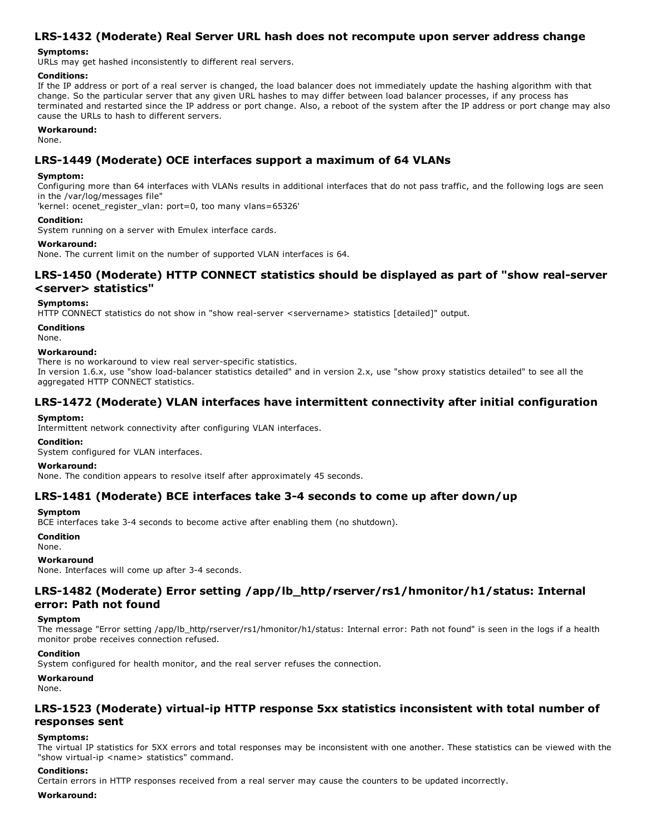### **LRS1432 (Moderate) Real Server URL hash does not recompute upon server address change**

#### **Symptoms:**

URLs may get hashed inconsistently to different real servers.

#### **Conditions:**

If the IP address or port of a real server is changed, the load balancer does not immediately update the hashing algorithm with that change. So the particular server that any given URL hashes to may differ between load balancer processes, if any process has terminated and restarted since the IP address or port change. Also, a reboot of the system after the IP address or port change may also cause the URLs to hash to different servers.

#### **Workaround:**

None.

### **LRS1449 (Moderate) OCE interfaces support a maximum of 64 VLANs**

#### **Symptom:**

Configuring more than 64 interfaces with VLANs results in additional interfaces that do not pass traffic, and the following logs are seen in the /var/log/messages file"

'kernel: ocenet register\_vlan: port=0, too many vlans=65326'

#### **Condition:**

System running on a server with Emulex interface cards.

#### **Workaround:**

None. The current limit on the number of supported VLAN interfaces is 64.

### **LRS1450 (Moderate) HTTP CONNECT statistics should be displayed as part of "show realserver <server> statistics"**

#### **Symptoms:**

HTTP CONNECT statistics do not show in "show real-server <servername> statistics [detailed]" output.

**Conditions**

### None.

#### **Workaround:**

There is no workaround to view real server-specific statistics.

In version 1.6.x, use "show load-balancer statistics detailed" and in version 2.x, use "show proxy statistics detailed" to see all the aggregated HTTP CONNECT statistics.

### **LRS1472 (Moderate) VLAN interfaces have intermittent connectivity after initial configuration**

#### **Symptom:**

Intermittent network connectivity after configuring VLAN interfaces.

#### **Condition:**

System configured for VLAN interfaces.

#### **Workaround:**

None. The condition appears to resolve itself after approximately 45 seconds.

### **LRS1481 (Moderate) BCE interfaces take 34 seconds to come up after down/up**

#### **Symptom**

BCE interfaces take 3-4 seconds to become active after enabling them (no shutdown).

### **Condition**

### None.

### **Workaround**

None. Interfaces will come up after 3-4 seconds.

### **LRS1482 (Moderate) Error setting /app/lb\_http/rserver/rs1/hmonitor/h1/status: Internal error: Path not found**

#### **Symptom**

The message "Error setting /app/lb\_http/rserver/rs1/hmonitor/h1/status: Internal error: Path not found" is seen in the logs if a health monitor probe receives connection refused.

#### **Condition**

System configured for health monitor, and the real server refuses the connection.

#### **Workaround**

None.

### **LRS1523 (Moderate) virtualip HTTP response 5xx statistics inconsistent with total number of responses sent**

#### **Symptoms:**

The virtual IP statistics for 5XX errors and total responses may be inconsistent with one another. These statistics can be viewed with the "show virtual-ip <name> statistics" command.

#### **Conditions:**

Certain errors in HTTP responses received from a real server may cause the counters to be updated incorrectly.

#### **Workaround:**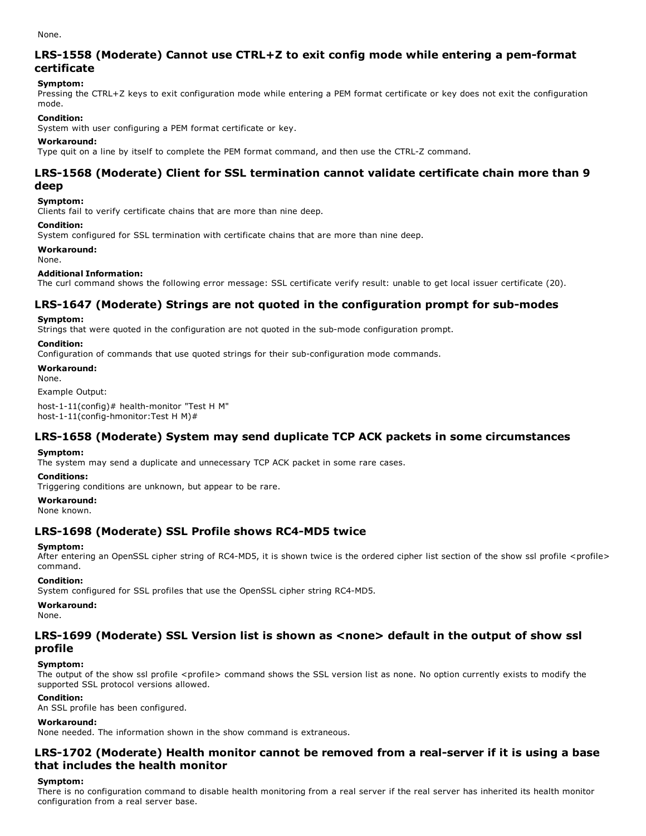#### None.

### **LRS1558 (Moderate) Cannot use CTRL+Z to exit config mode while entering a pemformat certificate**

### **Symptom:**

Pressing the CTRL+Z keys to exit configuration mode while entering a PEM format certificate or key does not exit the configuration mode.

#### **Condition:**

System with user configuring a PEM format certificate or key.

#### **Workaround:**

Type quit on a line by itself to complete the PEM format command, and then use the CTRL-Z command.

### **LRS1568 (Moderate) Client for SSL termination cannot validate certificate chain more than 9 deep**

#### **Symptom:**

Clients fail to verify certificate chains that are more than nine deep.

#### **Condition:**

System configured for SSL termination with certificate chains that are more than nine deep.

#### **Workaround:**

None.

#### **Additional Information:**

The curl command shows the following error message: SSL certificate verify result: unable to get local issuer certificate (20).

### **LRS1647 (Moderate) Strings are not quoted in the configuration prompt for submodes**

#### **Symptom:**

Strings that were quoted in the configuration are not quoted in the sub-mode configuration prompt.

#### **Condition:**

Configuration of commands that use quoted strings for their sub-configuration mode commands.

#### **Workaround:**

None.

Example Output:

host-1-11(config)# health-monitor "Test H M" host-1-11(config-hmonitor:Test H M)#

### **LRS1658 (Moderate) System may send duplicate TCP ACK packets in some circumstances**

#### **Symptom:**

The system may send a duplicate and unnecessary TCP ACK packet in some rare cases.

#### **Conditions:**

Triggering conditions are unknown, but appear to be rare.

#### **Workaround:**

None known.

### **LRS1698 (Moderate) SSL Profile shows RC4MD5 twice**

#### **Symptom:**

After entering an OpenSSL cipher string of RC4-MD5, it is shown twice is the ordered cipher list section of the show ssl profile <profile> command.

#### **Condition:**

System configured for SSL profiles that use the OpenSSL cipher string RC4-MD5.

#### **Workaround:**

None.

### **LRS1699 (Moderate) SSL Version list is shown as <none> default in the output of show ssl profile**

#### **Symptom:**

The output of the show ssl profile <profile> command shows the SSL version list as none. No option currently exists to modify the supported SSL protocol versions allowed.

#### **Condition:**

An SSL profile has been configured.

#### **Workaround:**

None needed. The information shown in the show command is extraneous.

### **LRS1702 (Moderate) Health monitor cannot be removed from a realserver if it is using a base that includes the health monitor**

#### **Symptom:**

There is no configuration command to disable health monitoring from a real server if the real server has inherited its health monitor configuration from a real server base.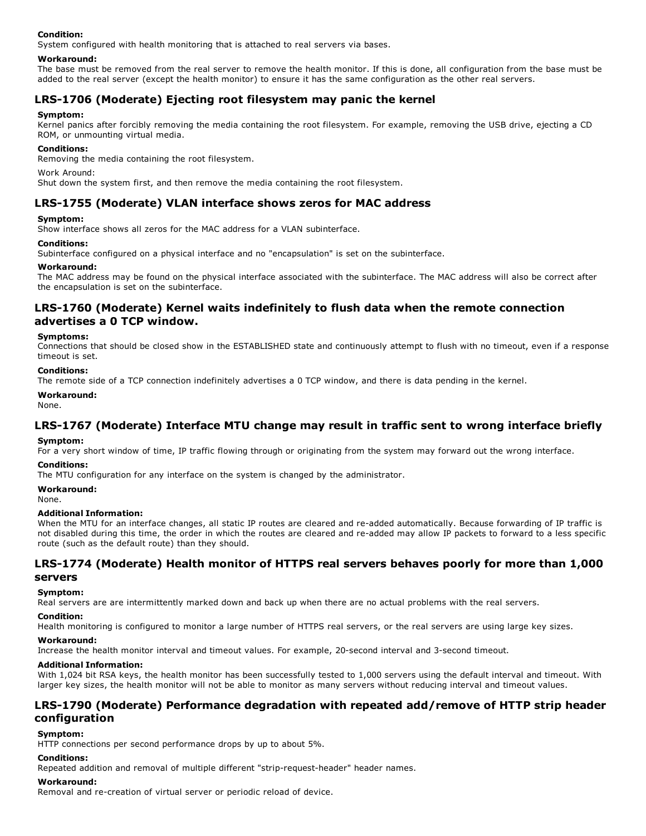#### **Condition:**

System configured with health monitoring that is attached to real servers via bases.

#### **Workaround:**

The base must be removed from the real server to remove the health monitor. If this is done, all configuration from the base must be added to the real server (except the health monitor) to ensure it has the same configuration as the other real servers.

### **LRS1706 (Moderate) Ejecting root filesystem may panic the kernel**

#### **Symptom:**

Kernel panics after forcibly removing the media containing the root filesystem. For example, removing the USB drive, ejecting a CD ROM, or unmounting virtual media.

#### **Conditions:**

Removing the media containing the root filesystem.

#### Work Around:

Shut down the system first, and then remove the media containing the root filesystem.

### **LRS1755 (Moderate) VLAN interface shows zeros for MAC address**

#### **Symptom:**

Show interface shows all zeros for the MAC address for a VLAN subinterface.

#### **Conditions:**

Subinterface configured on a physical interface and no "encapsulation" is set on the subinterface.

#### **Workaround:**

The MAC address may be found on the physical interface associated with the subinterface. The MAC address will also be correct after the encapsulation is set on the subinterface.

### **LRS1760 (Moderate) Kernel waits indefinitely to flush data when the remote connection advertises a 0 TCP window.**

#### **Symptoms:**

Connections that should be closed show in the ESTABLISHED state and continuously attempt to flush with no timeout, even if a response timeout is set.

#### **Conditions:**

The remote side of a TCP connection indefinitely advertises a 0 TCP window, and there is data pending in the kernel.

#### **Workaround:**

None.

### **LRS1767 (Moderate) Interface MTU change may result in traffic sent to wrong interface briefly**

#### **Symptom:**

For a very short window of time, IP traffic flowing through or originating from the system may forward out the wrong interface.

#### **Conditions:**

The MTU configuration for any interface on the system is changed by the administrator.

**Workaround:**

None.

#### **Additional Information:**

When the MTU for an interface changes, all static IP routes are cleared and re-added automatically. Because forwarding of IP traffic is not disabled during this time, the order in which the routes are cleared and re-added may allow IP packets to forward to a less specific route (such as the default route) than they should.

### **LRS1774 (Moderate) Health monitor of HTTPS real servers behaves poorly for more than 1,000 servers**

#### **Symptom:**

Real servers are are intermittently marked down and back up when there are no actual problems with the real servers.

#### **Condition:**

Health monitoring is configured to monitor a large number of HTTPS real servers, or the real servers are using large key sizes.

#### **Workaround:**

Increase the health monitor interval and timeout values. For example, 20-second interval and 3-second timeout.

#### **Additional Information:**

With 1,024 bit RSA keys, the health monitor has been successfully tested to 1,000 servers using the default interval and timeout. With larger key sizes, the health monitor will not be able to monitor as many servers without reducing interval and timeout values.

### **LRS1790 (Moderate) Performance degradation with repeated add/remove of HTTP strip header configuration**

#### **Symptom:**

HTTP connections per second performance drops by up to about 5%.

#### **Conditions:**

Repeated addition and removal of multiple different "strip-request-header" header names.

#### **Workaround:**

Removal and re-creation of virtual server or periodic reload of device.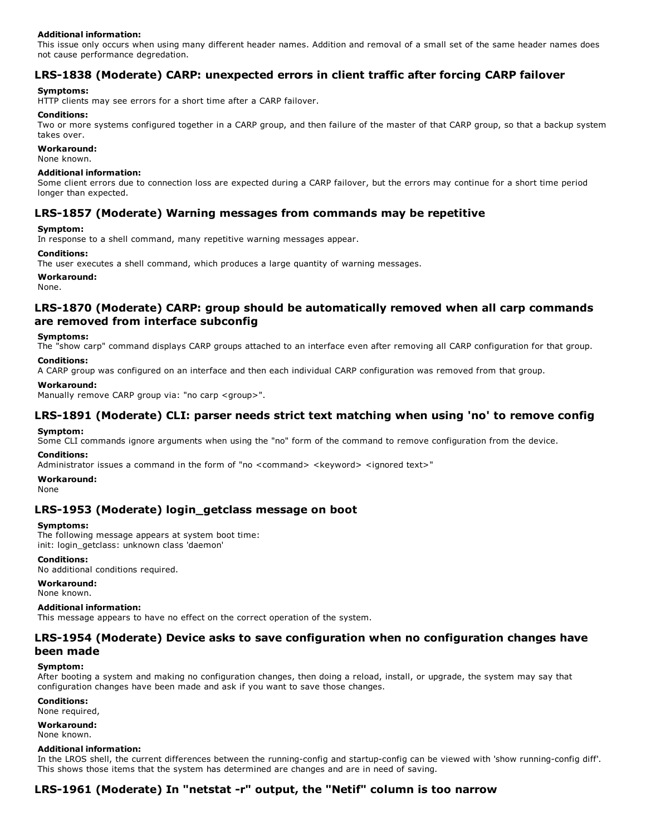#### **Additional information:**

This issue only occurs when using many different header names. Addition and removal of a small set of the same header names does not cause performance degredation.

### **LRS1838 (Moderate) CARP: unexpected errors in client traffic after forcing CARP failover**

#### **Symptoms:**

HTTP clients may see errors for a short time after a CARP failover.

#### **Conditions:**

Two or more systems configured together in a CARP group, and then failure of the master of that CARP group, so that a backup system takes over.

#### **Workaround:**

None known.

#### **Additional information:**

Some client errors due to connection loss are expected during a CARP failover, but the errors may continue for a short time period longer than expected.

#### **LRS1857 (Moderate) Warning messages from commands may be repetitive**

#### **Symptom:**

In response to a shell command, many repetitive warning messages appear.

#### **Conditions:**

The user executes a shell command, which produces a large quantity of warning messages.

#### **Workaround:**

None.

### **LRS1870 (Moderate) CARP: group should be automatically removed when all carp commands are removed from interface subconfig**

#### **Symptoms:**

The "show carp" command displays CARP groups attached to an interface even after removing all CARP configuration for that group.

#### **Conditions:**

A CARP group was configured on an interface and then each individual CARP configuration was removed from that group.

#### **Workaround:**

Manually remove CARP group via: "no carp <group>".

### **LRS1891 (Moderate) CLI: parser needs strict text matching when using 'no' to remove config Symptom:**

Some CLI commands ignore arguments when using the "no" form of the command to remove configuration from the device.

#### **Conditions:**

Administrator issues a command in the form of "no <command> <keyword> <ignored text>"

#### **Workaround:**

None

### **LRS1953 (Moderate) login\_getclass message on boot**

#### **Symptoms:**

The following message appears at system boot time: init: login\_getclass: unknown class 'daemon'

#### **Conditions:**

No additional conditions required.

#### **Workaround:**

None known.

#### **Additional information:**

This message appears to have no effect on the correct operation of the system.

### **LRS1954 (Moderate) Device asks to save configuration when no configuration changes have been made**

#### **Symptom:**

After booting a system and making no configuration changes, then doing a reload, install, or upgrade, the system may say that configuration changes have been made and ask if you want to save those changes.

#### **Conditions:**

None required,

#### **Workaround:**

None known.

#### **Additional information:**

In the LROS shell, the current differences between the running-config and startup-config can be viewed with 'show running-config diff'. This shows those items that the system has determined are changes and are in need of saving.

### **LRS1961 (Moderate) In "netstat r" output, the "Netif" column is too narrow**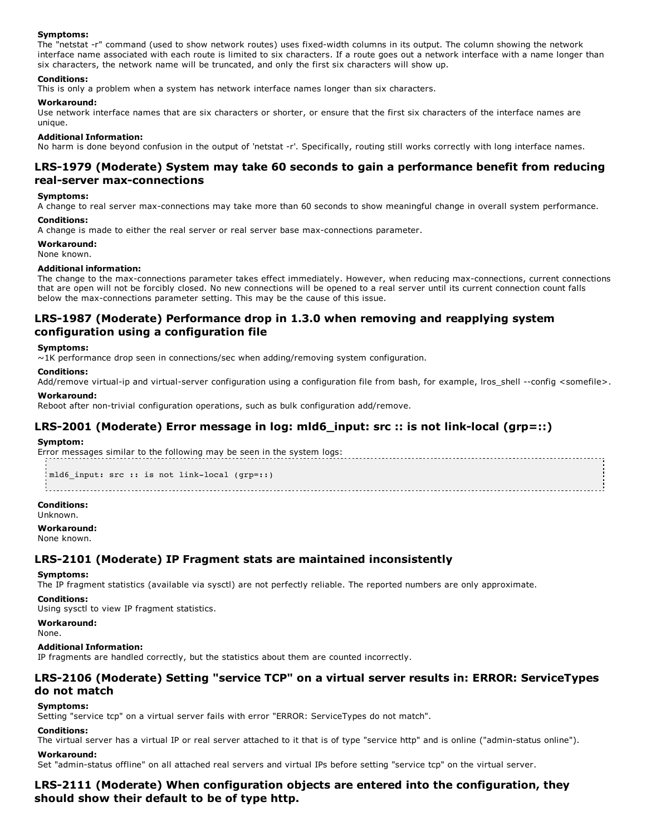#### **Symptoms:**

The "netstat -r" command (used to show network routes) uses fixed-width columns in its output. The column showing the network interface name associated with each route is limited to six characters. If a route goes out a network interface with a name longer than six characters, the network name will be truncated, and only the first six characters will show up.

#### **Conditions:**

This is only a problem when a system has network interface names longer than six characters.

#### **Workaround:**

Use network interface names that are six characters or shorter, or ensure that the first six characters of the interface names are unique.

#### **Additional Information:**

No harm is done beyond confusion in the output of 'netstat -r'. Specifically, routing still works correctly with long interface names.

### **LRS1979 (Moderate) System may take 60 seconds to gain a performance benefit from reducing real-server max-connections**

#### **Symptoms:**

A change to real server max-connections may take more than 60 seconds to show meaningful change in overall system performance.

#### **Conditions:**

A change is made to either the real server or real server base max-connections parameter.

**Workaround:**

None known.

#### **Additional information:**

The change to the max-connections parameter takes effect immediately. However, when reducing max-connections, current connections that are open will not be forcibly closed. No new connections will be opened to a real server until its current connection count falls below the max-connections parameter setting. This may be the cause of this issue.

### **LRS1987 (Moderate) Performance drop in 1.3.0 when removing and reapplying system configuration using a configuration file**

#### **Symptoms:**

 $\sim$  1K performance drop seen in connections/sec when adding/removing system configuration.

#### **Conditions:**

Add/remove virtual-ip and virtual-server configuration using a configuration file from bash, for example, lros shell --config <somefile>.

#### **Workaround:**

Reboot after non-trivial configuration operations, such as bulk configuration add/remove.

### **LRS2001 (Moderate) Error message in log: mld6\_input: src :: is not linklocal (grp=::)**

#### **Symptom:**

Error messages similar to the following may be seen in the system logs:

```
mld6_input: src :: is not link-local (grp=::)
```
#### **Conditions:**

Unknown.

#### **Workaround:**

None known.

### **LRS2101 (Moderate) IP Fragment stats are maintained inconsistently**

#### **Symptoms:**

The IP fragment statistics (available via sysctl) are not perfectly reliable. The reported numbers are only approximate.

#### **Conditions:**

Using sysctl to view IP fragment statistics.

### **Workaround:**

None.

#### **Additional Information:**

IP fragments are handled correctly, but the statistics about them are counted incorrectly.

### **LRS2106 (Moderate) Setting "service TCP" on a virtual server results in: ERROR: ServiceTypes do not match**

#### **Symptoms:**

Setting "service tcp" on a virtual server fails with error "ERROR: ServiceTypes do not match".

#### **Conditions:**

The virtual server has a virtual IP or real server attached to it that is of type "service http" and is online ("admin-status online").

#### **Workaround:**

Set "admin-status offline" on all attached real servers and virtual IPs before setting "service tcp" on the virtual server.

### **LRS2111 (Moderate) When configuration objects are entered into the configuration, they should show their default to be of type http.**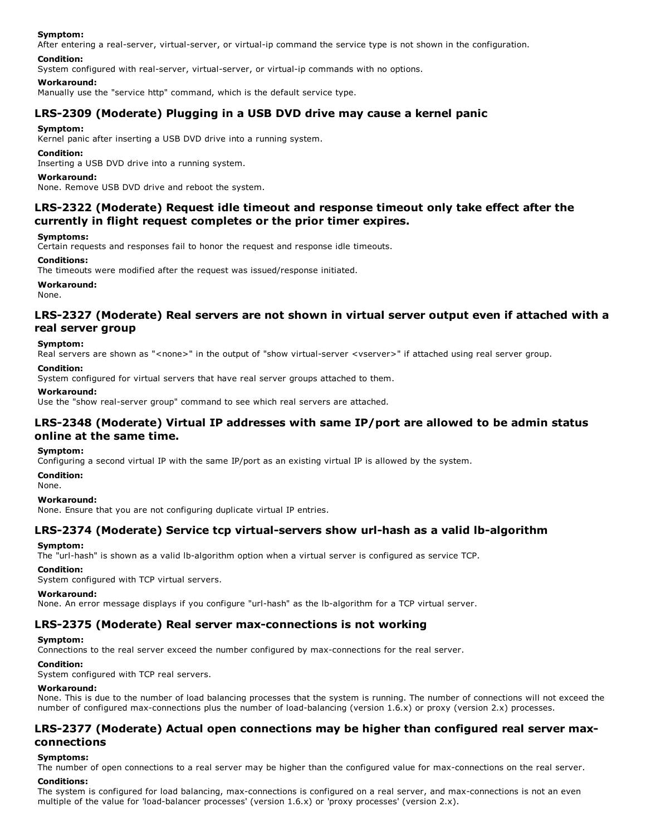#### **Symptom:**

After entering a real-server, virtual-server, or virtual-ip command the service type is not shown in the configuration.

#### **Condition:**

System configured with real-server, virtual-server, or virtual-ip commands with no options.

#### **Workaround:**

Manually use the "service http" command, which is the default service type.

### **LRS2309 (Moderate) Plugging in a USB DVD drive may cause a kernel panic**

#### **Symptom:**

Kernel panic after inserting a USB DVD drive into a running system.

#### **Condition:**

Inserting a USB DVD drive into a running system.

#### **Workaround:**

None. Remove USB DVD drive and reboot the system.

### **LRS2322 (Moderate) Request idle timeout and response timeout only take effect after the currently in flight request completes or the prior timer expires.**

#### **Symptoms:**

Certain requests and responses fail to honor the request and response idle timeouts.

#### **Conditions:**

The timeouts were modified after the request was issued/response initiated.

#### **Workaround:**

None.

### **LRS2327 (Moderate) Real servers are not shown in virtual server output even if attached with a real server group**

#### **Symptom:**

Real servers are shown as "<none>" in the output of "show virtual-server <vserver>" if attached using real server group.

#### **Condition:**

System configured for virtual servers that have real server groups attached to them.

#### **Workaround:**

Use the "show real-server group" command to see which real servers are attached.

### **LRS2348 (Moderate) Virtual IP addresses with same IP/port are allowed to be admin status online at the same time.**

#### **Symptom:**

Configuring a second virtual IP with the same IP/port as an existing virtual IP is allowed by the system.

**Condition:**

#### None.

#### **Workaround:**

None. Ensure that you are not configuring duplicate virtual IP entries.

### **LRS-2374** (Moderate) Service tcp virtual-servers show url-hash as a valid Ib-algorithm

#### **Symptom:**

The "url-hash" is shown as a valid lb-algorithm option when a virtual server is configured as service TCP.

#### **Condition:**

System configured with TCP virtual servers.

#### **Workaround:**

None. An error message displays if you configure "url-hash" as the lb-algorithm for a TCP virtual server.

#### **LRS2375 (Moderate) Real server maxconnections is not working**

#### **Symptom:**

Connections to the real server exceed the number configured by max-connections for the real server.

#### **Condition:** System configured with TCP real servers.

#### **Workaround:**

None. This is due to the number of load balancing processes that the system is running. The number of connections will not exceed the number of configured max-connections plus the number of load-balancing (version  $1.6.x$ ) or proxy (version  $2.x$ ) processes.

### **LRS2377 (Moderate) Actual open connections may be higher than configured real server maxconnections**

#### **Symptoms:**

The number of open connections to a real server may be higher than the configured value for max-connections on the real server.

#### **Conditions:**

The system is configured for load balancing, max-connections is configured on a real server, and max-connections is not an even multiple of the value for 'load-balancer processes' (version  $1.6.x$ ) or 'proxy processes' (version  $2.x$ ).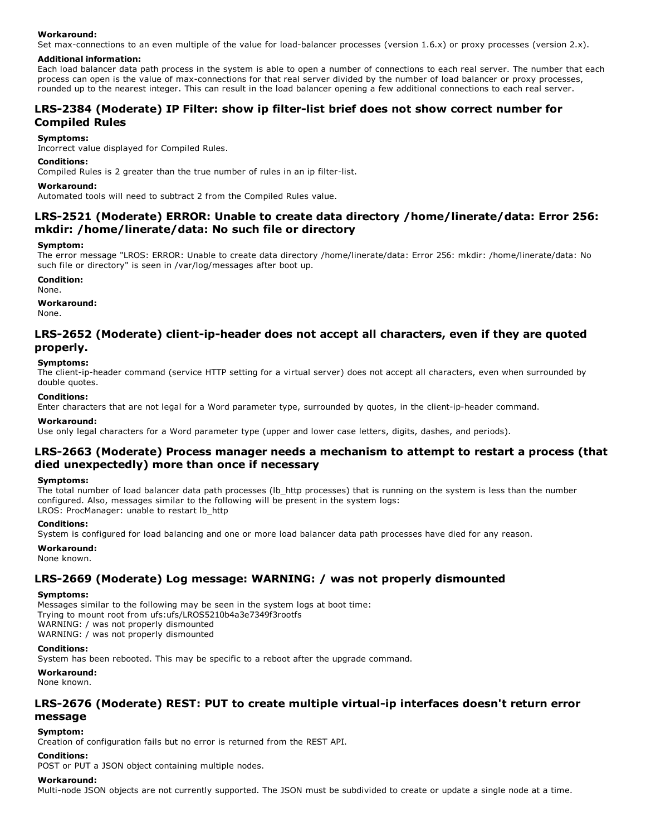#### **Workaround:**

Set max-connections to an even multiple of the value for load-balancer processes (version 1.6.x) or proxy processes (version 2.x).

#### **Additional information:**

Each load balancer data path process in the system is able to open a number of connections to each real server. The number that each process can open is the value of max-connections for that real server divided by the number of load balancer or proxy processes, rounded up to the nearest integer. This can result in the load balancer opening a few additional connections to each real server.

### **LRS2384 (Moderate) IP Filter: show ip filterlist brief does not show correct number for Compiled Rules**

#### **Symptoms:**

Incorrect value displayed for Compiled Rules.

#### **Conditions:**

Compiled Rules is 2 greater than the true number of rules in an ip filter-list.

#### **Workaround:**

Automated tools will need to subtract 2 from the Compiled Rules value.

### **LRS2521 (Moderate) ERROR: Unable to create data directory /home/linerate/data: Error 256: mkdir: /home/linerate/data: No such file or directory**

#### **Symptom:**

The error message "LROS: ERROR: Unable to create data directory /home/linerate/data: Error 256: mkdir: /home/linerate/data: No such file or directory" is seen in /var/log/messages after boot up.

**Condition:**

None.

#### **Workaround:**

None.

### **LRS2652 (Moderate) clientipheader does not accept all characters, even if they are quoted properly.**

### **Symptoms:**

The client-ip-header command (service HTTP setting for a virtual server) does not accept all characters, even when surrounded by double quotes.

#### **Conditions:**

Enter characters that are not legal for a Word parameter type, surrounded by quotes, in the client-ip-header command.

#### **Workaround:**

Use only legal characters for a Word parameter type (upper and lower case letters, digits, dashes, and periods).

### **LRS2663 (Moderate) Process manager needs a mechanism to attempt to restart a process (that died unexpectedly) more than once if necessary**

#### **Symptoms:**

The total number of load balancer data path processes (Ib http processes) that is running on the system is less than the number configured. Also, messages similar to the following will be present in the system logs: LROS: ProcManager: unable to restart lb\_http

#### **Conditions:**

System is configured for load balancing and one or more load balancer data path processes have died for any reason.

#### **Workaround:**

None known.

### **LRS2669 (Moderate) Log message: WARNING: / was not properly dismounted**

#### **Symptoms:**

Messages similar to the following may be seen in the system logs at boot time: Trying to mount root from ufs:ufs/LROS5210b4a3e7349f3rootfs WARNING: / was not properly dismounted WARNING: / was not properly dismounted

#### **Conditions:**

System has been rebooted. This may be specific to a reboot after the upgrade command.

#### **Workaround:**

None known.

### **LRS2676 (Moderate) REST: PUT to create multiple virtualip interfaces doesn't return error message**

### **Symptom:**

Creation of configuration fails but no error is returned from the REST API.

#### **Conditions:**

POST or PUT a JSON object containing multiple nodes.

#### **Workaround:**

Multi-node JSON objects are not currently supported. The JSON must be subdivided to create or update a single node at a time.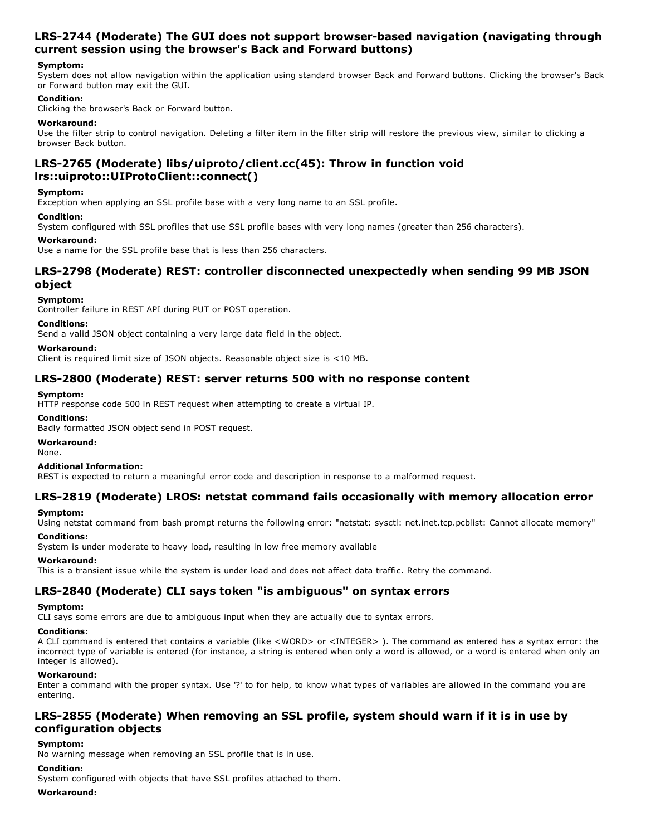### **LRS2744 (Moderate) The GUI does not support browserbased navigation (navigating through current session using the browser's Back and Forward buttons)**

#### **Symptom:**

System does not allow navigation within the application using standard browser Back and Forward buttons. Clicking the browser's Back or Forward button may exit the GUI.

#### **Condition:**

Clicking the browser's Back or Forward button.

#### **Workaround:**

Use the filter strip to control navigation. Deleting a filter item in the filter strip will restore the previous view, similar to clicking a browser Back button.

### **LRS2765 (Moderate) libs/uiproto/client.cc(45): Throw in function void lrs::uiproto::UIProtoClient::connect()**

#### **Symptom:**

Exception when applying an SSL profile base with a very long name to an SSL profile.

#### **Condition:**

System configured with SSL profiles that use SSL profile bases with very long names (greater than 256 characters).

#### **Workaround:**

Use a name for the SSL profile base that is less than 256 characters.

### **LRS2798 (Moderate) REST: controller disconnected unexpectedly when sending 99 MB JSON object**

### **Symptom:**

Controller failure in REST API during PUT or POST operation.

#### **Conditions:**

Send a valid JSON object containing a very large data field in the object.

#### **Workaround:**

Client is required limit size of JSON objects. Reasonable object size is <10 MB.

### **LRS2800 (Moderate) REST: server returns 500 with no response content**

#### **Symptom:**

HTTP response code 500 in REST request when attempting to create a virtual IP.

#### **Conditions:**

Badly formatted JSON object send in POST request.

#### **Workaround:**

None.

#### **Additional Information:**

REST is expected to return a meaningful error code and description in response to a malformed request.

### **LRS2819 (Moderate) LROS: netstat command fails occasionally with memory allocation error**

#### **Symptom:**

Using netstat command from bash prompt returns the following error: "netstat: sysctl: net.inet.tcp.pcblist: Cannot allocate memory"

#### **Conditions:**

System is under moderate to heavy load, resulting in low free memory available

#### **Workaround:**

This is a transient issue while the system is under load and does not affect data traffic. Retry the command.

### **LRS2840 (Moderate) CLI says token "is ambiguous" on syntax errors**

### **Symptom:**

CLI says some errors are due to ambiguous input when they are actually due to syntax errors.

### **Conditions:**

A CLI command is entered that contains a variable (like <WORD> or <INTEGER> ). The command as entered has a syntax error: the incorrect type of variable is entered (for instance, a string is entered when only a word is allowed, or a word is entered when only an integer is allowed).

### **Workaround:**

Enter a command with the proper syntax. Use '?' to for help, to know what types of variables are allowed in the command you are entering.

### **LRS2855 (Moderate) When removing an SSL profile, system should warn if it is in use by configuration objects**

#### **Symptom:**

No warning message when removing an SSL profile that is in use.

### **Condition:**

System configured with objects that have SSL profiles attached to them.

#### **Workaround:**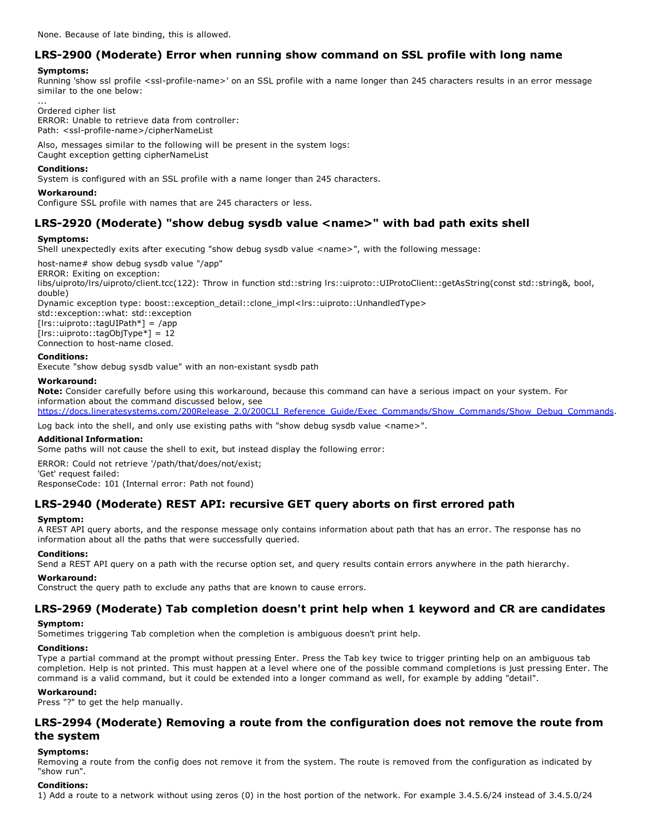### **LRS2900 (Moderate) Error when running show command on SSL profile with long name**

#### **Symptoms:**

Running 'show ssl profile <ssl-profile-name>' on an SSL profile with a name longer than 245 characters results in an error message similar to the one below:

... Ordered cipher list ERROR: Unable to retrieve data from controller: Path: <ssl-profile-name>/cipherNameList

Also, messages similar to the following will be present in the system logs: Caught exception getting cipherNameList

#### **Conditions:**

System is configured with an SSL profile with a name longer than 245 characters.

#### **Workaround:**

Configure SSL profile with names that are 245 characters or less.

### **LRS2920 (Moderate) "show debug sysdb value <name>" with bad path exits shell**

#### **Symptoms:**

Shell unexpectedly exits after executing "show debug sysdb value <name>", with the following message:

host-name# show debug sysdb value "/app"

ERROR: Exiting on exception: libs/uiproto/lrs/uiproto/client.tcc(122): Throw in function std::string lrs::uiproto::UIProtoClient::getAsString(const std::string&, bool, double)

Dynamic exception type: boost::exception\_detail::clone\_impl<lrs::uiproto::UnhandledType>

std::exception::what: std::exception [lrs::uiproto::tagUIPath\*] = /app [lrs::uiproto::tagObjType\*] = 12 Connection to host-name closed.

### **Conditions:**

Execute "show debug sysdb value" with an non-existant sysdb path

#### **Workaround:**

**Note:** Consider carefully before using this workaround, because this command can have a serious impact on your system. For information about the command discussed below, see

[https://docs.lineratesystems.com/200Release\\_2.0/200CLI\\_Reference\\_Guide/Exec\\_Commands/Show\\_Commands/Show\\_Debug\\_Commands](https://docs.lineratesystems.com/200Release_2.0/200CLI_Reference_Guide/Exec_Commands/Show_Commands/Show_Debug_Commands). Log back into the shell, and only use existing paths with "show debug sysdb value <name>".

#### **Additional Information:**

Some paths will not cause the shell to exit, but instead display the following error:

ERROR: Could not retrieve '/path/that/does/not/exist;

'Get' request failed: ResponseCode: 101 (Internal error: Path not found)

### **LRS2940 (Moderate) REST API: recursive GET query aborts on first errored path**

#### **Symptom:**

A REST API query aborts, and the response message only contains information about path that has an error. The response has no information about all the paths that were successfully queried.

### **Conditions:**

Send a REST API query on a path with the recurse option set, and query results contain errors anywhere in the path hierarchy.

#### **Workaround:**

Construct the query path to exclude any paths that are known to cause errors.

### **LRS2969 (Moderate) Tab completion doesn't print help when 1 keyword and CR are candidates**

#### **Symptom:**

Sometimes triggering Tab completion when the completion is ambiguous doesn't print help.

### **Conditions:**

Type a partial command at the prompt without pressing Enter. Press the Tab key twice to trigger printing help on an ambiguous tab completion. Help is not printed. This must happen at a level where one of the possible command completions is just pressing Enter. The command is a valid command, but it could be extended into a longer command as well, for example by adding "detail".

#### **Workaround:**

Press "?" to get the help manually.

### **LRS2994 (Moderate) Removing a route from the configuration does not remove the route from the system**

#### **Symptoms:**

Removing a route from the config does not remove it from the system. The route is removed from the configuration as indicated by "show run".

#### **Conditions:**

1) Add a route to a network without using zeros (0) in the host portion of the network. For example 3.4.5.6/24 instead of 3.4.5.0/24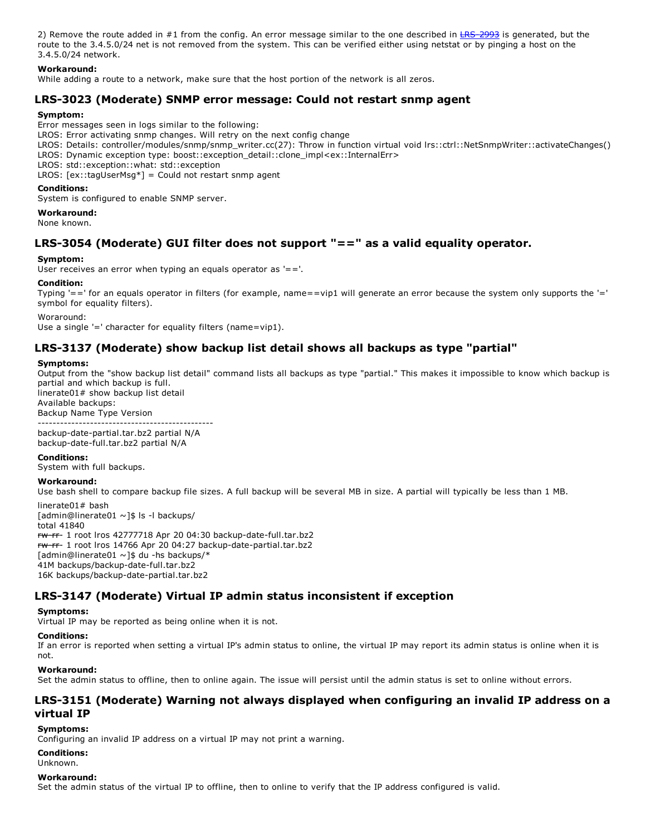2) Remove the route added in #1 from the config. An error message similar to the one described in **LRS** 2993 is generated, but the route to the 3.4.5.0/24 net is not removed from the system. This can be verified either using netstat or by pinging a host on the 3.4.5.0/24 network.

#### **Workaround:**

While adding a route to a network, make sure that the host portion of the network is all zeros.

### **LRS3023 (Moderate) SNMP error message: Could not restart snmp agent**

#### **Symptom:**

Error messages seen in logs similar to the following:

LROS: Error activating snmp changes. Will retry on the next config change

LROS: Details: controller/modules/snmp/snmp\_writer.cc(27): Throw in function virtual void lrs::ctrl::NetSnmpWriter::activateChanges()

- LROS: Dynamic exception type: boost::exception\_detail::clone\_impl<ex::InternalErr>
- LROS: std::exception::what: std::exception
- LROS: [ex::tagUserMsg\*] = Could not restart snmp agent

#### **Conditions:**

System is configured to enable SNMP server.

**Workaround:**

#### None known.

### **LRS3054 (Moderate) GUI filter does not support "==" as a valid equality operator.**

#### **Symptom:**

User receives an error when typing an equals operator as '=='.

#### **Condition:**

Typing '==' for an equals operator in filters (for example, name==vip1 will generate an error because the system only supports the '=' symbol for equality filters).

Woraround:

Use a single '=' character for equality filters (name=vip1).

### **LRS3137 (Moderate) show backup list detail shows all backups as type "partial"**

#### **Symptoms:**

Output from the "show backup list detail" command lists all backups as type "partial." This makes it impossible to know which backup is partial and which backup is full.

linerate01# show backup list detail Available backups: Backup Name Type Version

 backup-date-partial.tar.bz2 partial N/A backup-date-full.tar.bz2 partial N/A

#### **Conditions:**

System with full backups.

#### **Workaround:**

Use bash shell to compare backup file sizes. A full backup will be several MB in size. A partial will typically be less than 1 MB.

linerate01# bash [admin@linerate01  $\sim$ ]\$ ls -l backups/ total 41840 rw-rr- 1 root lros 42777718 Apr 20 04:30 backup-date-full.tar.bz2 rw-rr- 1 root lros 14766 Apr 20 04:27 backup-date-partial.tar.bz2 [admin@linerate01  $\sim$ ]\$ du -hs backups/\* 41M backups/backup-date-full.tar.bz2 16K backups/backup-date-partial.tar.bz2

### **LRS3147 (Moderate) Virtual IP admin status inconsistent if exception**

### **Symptoms:**

Virtual IP may be reported as being online when it is not.

#### **Conditions:**

If an error is reported when setting a virtual IP's admin status to online, the virtual IP may report its admin status is online when it is not.

#### **Workaround:**

Set the admin status to offline, then to online again. The issue will persist until the admin status is set to online without errors.

### **LRS3151 (Moderate) Warning not always displayed when configuring an invalid IP address on a virtual IP**

#### **Symptoms:**

Configuring an invalid IP address on a virtual IP may not print a warning.

**Conditions:**

#### Unknown.

#### **Workaround:**

Set the admin status of the virtual IP to offline, then to online to verify that the IP address configured is valid.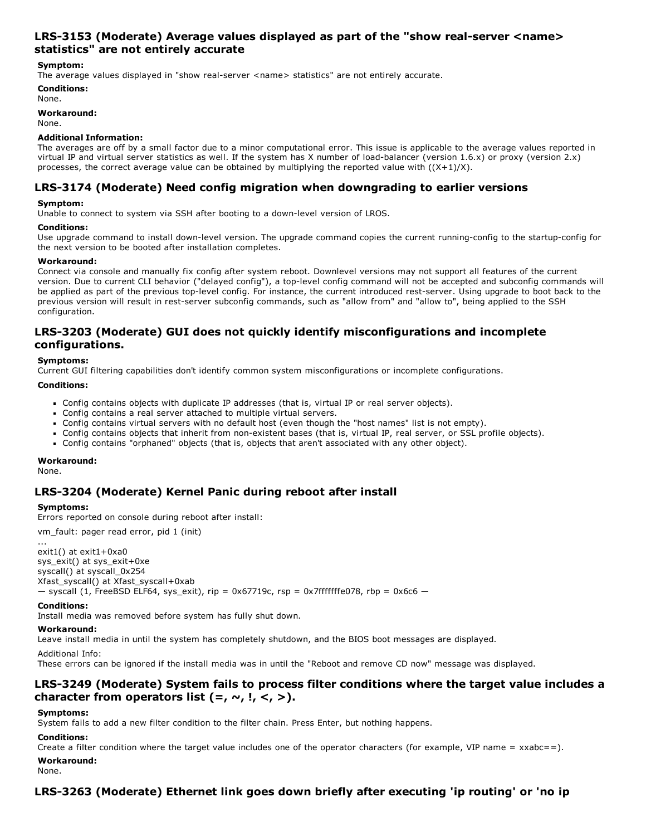### **LRS3153 (Moderate) Average values displayed as part of the "show realserver <name> statistics" are not entirely accurate**

#### **Symptom:**

The average values displayed in "show real-server <name> statistics" are not entirely accurate.

**Conditions:**

None.

**Workaround:**

None.

#### **Additional Information:**

The averages are off by a small factor due to a minor computational error. This issue is applicable to the average values reported in virtual IP and virtual server statistics as well. If the system has X number of load-balancer (version 1.6.x) or proxy (version 2.x) processes, the correct average value can be obtained by multiplying the reported value with  $((X+1)/X)$ .

### **LRS3174 (Moderate) Need config migration when downgrading to earlier versions**

#### **Symptom:**

Unable to connect to system via SSH after booting to a down-level version of LROS.

#### **Conditions:**

Use upgrade command to install down-level version. The upgrade command copies the current running-config to the startup-config for the next version to be booted after installation completes.

#### **Workaround:**

Connect via console and manually fix config after system reboot. Downlevel versions may not support all features of the current version. Due to current CLI behavior ("delayed config"), a top-level config command will not be accepted and subconfig commands will be applied as part of the previous top-level config. For instance, the current introduced rest-server. Using upgrade to boot back to the previous version will result in rest-server subconfig commands, such as "allow from" and "allow to", being applied to the SSH configuration.

### **LRS3203 (Moderate) GUI does not quickly identify misconfigurations and incomplete configurations.**

#### **Symptoms:**

Current GUI filtering capabilities don't identify common system misconfigurations or incomplete configurations.

#### **Conditions:**

- Config contains objects with duplicate IP addresses (that is, virtual IP or real server objects).
- Config contains a real server attached to multiple virtual servers.
- Config contains virtual servers with no default host (even though the "host names" list is not empty).
- Config contains objects that inherit from nonexistent bases (that is, virtual IP, real server, or SSL profile objects).
- Config contains "orphaned" objects (that is, objects that aren't associated with any other object).

#### **Workaround:**

None.

### **LRS3204 (Moderate) Kernel Panic during reboot after install**

#### **Symptoms:**

Errors reported on console during reboot after install:

vm\_fault: pager read error, pid 1 (init)

... exit1() at exit1+0xa0 sys\_exit() at sys\_exit+0xe syscall() at syscall\_0x254 Xfast\_syscall() at Xfast\_syscall+0xab  $-$  syscall (1, FreeBSD ELF64, sys\_exit), rip = 0x67719c, rsp = 0x7fffffffe078, rbp = 0x6c6  $-$ 

#### **Conditions:**

Install media was removed before system has fully shut down.

#### **Workaround:**

Leave install media in until the system has completely shutdown, and the BIOS boot messages are displayed.

Additional Info:

These errors can be ignored if the install media was in until the "Reboot and remove CD now" message was displayed.

### **LRS3249 (Moderate) System fails to process filter conditions where the target value includes a character from operators list (=, ~, !, <, >).**

#### **Symptoms:**

System fails to add a new filter condition to the filter chain. Press Enter, but nothing happens.

#### **Conditions:**

Create a filter condition where the target value includes one of the operator characters (for example, VIP name  $=$  xxabc==).

### **Workaround:**

None.

### **LRS3263 (Moderate) Ethernet link goes down briefly after executing 'ip routing' or 'no ip**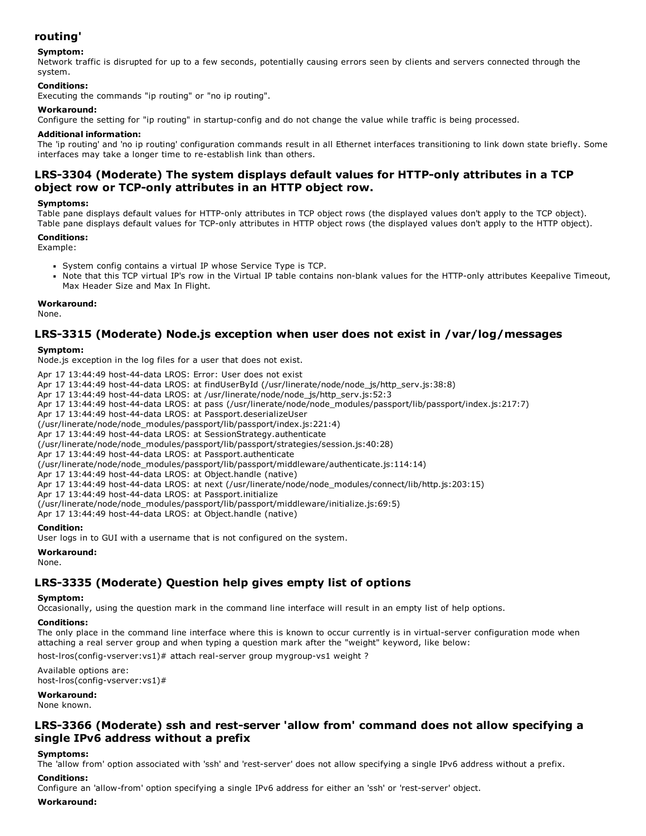### **routing'**

### **Symptom:**

Network traffic is disrupted for up to a few seconds, potentially causing errors seen by clients and servers connected through the system.

### **Conditions:**

Executing the commands "ip routing" or "no ip routing".

#### **Workaround:**

Configure the setting for "ip routing" in startup-config and do not change the value while traffic is being processed.

#### **Additional information:**

The 'ip routing' and 'no ip routing' configuration commands result in all Ethernet interfaces transitioning to link down state briefly. Some interfaces may take a longer time to re-establish link than others.

### **LRS3304 (Moderate) The system displays default values for HTTPonly attributes in a TCP** *object row or TCP-only attributes in an HTTP object row.*

#### **Symptoms:**

Table pane displays default values for HTTP-only attributes in TCP object rows (the displayed values don't apply to the TCP object). Table pane displays default values for TCP-only attributes in HTTP object rows (the displayed values don't apply to the HTTP object).

#### **Conditions:**

Example:

- System config contains a virtual IP whose Service Type is TCP.
- Note that this TCP virtual IP's row in the Virtual IP table contains non-blank values for the HTTP-only attributes Keepalive Timeout, Max Header Size and Max In Flight.

#### **Workaround:**

None.

### **LRS3315 (Moderate) Node.js exception when user does not exist in /var/log/messages**

#### **Symptom:**

Node.js exception in the log files for a user that does not exist.

Apr 17 13:44:49 host-44-data LROS: Error: User does not exist

Apr 17 13:44:49 host-44-data LROS: at findUserById (/usr/linerate/node/node\_js/http\_serv.js:38:8)

Apr 17 13:44:49 host-44-data LROS: at /usr/linerate/node/node\_js/http\_serv.js:52:3

Apr 17 13:44:49 host-44-data LROS: at pass (/usr/linerate/node/node\_modules/passport/lib/passport/index.js:217:7)

Apr 17 13:44:49 host-44-data LROS: at Passport.deserializeUser

(/usr/linerate/node/node\_modules/passport/lib/passport/index.js:221:4)

Apr 17 13:44:49 host-44-data LROS: at SessionStrategy.authenticate

(/usr/linerate/node/node\_modules/passport/lib/passport/strategies/session.js:40:28)

Apr 17 13:44:49 host-44-data LROS: at Passport.authenticate

(/usr/linerate/node/node\_modules/passport/lib/passport/middleware/authenticate.js:114:14)

Apr 17 13:44:49 host-44-data LROS: at Object.handle (native)

Apr 17 13:44:49 host-44-data LROS: at next (/usr/linerate/node/node\_modules/connect/lib/http.js:203:15)

Apr 17 13:44:49 host-44-data LROS: at Passport.initialize

(/usr/linerate/node/node\_modules/passport/lib/passport/middleware/initialize.js:69:5)

Apr 17 13:44:49 host-44-data LROS: at Object.handle (native)

#### **Condition:**

User logs in to GUI with a username that is not configured on the system.

**Workaround:**

None.

### **LRS3335 (Moderate) Question help gives empty list of options**

#### **Symptom:**

Occasionally, using the question mark in the command line interface will result in an empty list of help options.

#### **Conditions:**

The only place in the command line interface where this is known to occur currently is in virtual-server configuration mode when attaching a real server group and when typing a question mark after the "weight" keyword, like below:

host-Iros(config-vserver:vs1)# attach real-server group mygroup-vs1 weight ?

Available options are: host-Iros(config-vserver:vs1)#

**Workaround:**

None known.

### **LRS3366 (Moderate) ssh and restserver 'allow from' command does not allow specifying a single IPv6 address without a prefix**

#### **Symptoms:**

The 'allow from' option associated with 'ssh' and 'rest-server' does not allow specifying a single IPv6 address without a prefix. **Conditions:**

Configure an 'allow-from' option specifying a single IPv6 address for either an 'ssh' or 'rest-server' object.

#### **Workaround:**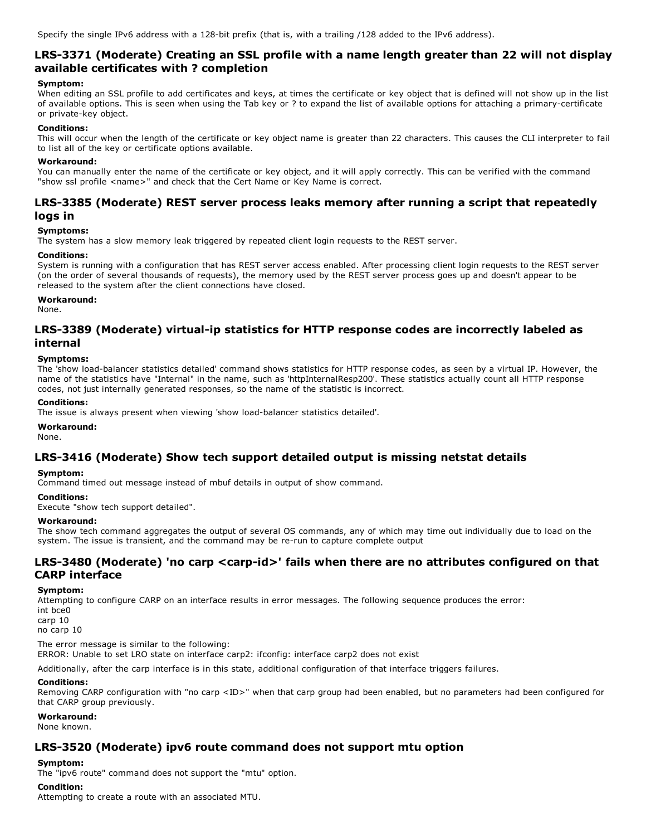### **LRS3371 (Moderate) Creating an SSL profile with a name length greater than 22 will not display available certificates with ? completion**

#### **Symptom:**

When editing an SSL profile to add certificates and keys, at times the certificate or key object that is defined will not show up in the list of available options. This is seen when using the Tab key or ? to expand the list of available options for attaching a primarycertificate or private-key object.

#### **Conditions:**

This will occur when the length of the certificate or key object name is greater than 22 characters. This causes the CLI interpreter to fail to list all of the key or certificate options available.

#### **Workaround:**

You can manually enter the name of the certificate or key object, and it will apply correctly. This can be verified with the command "show ssl profile <name>" and check that the Cert Name or Key Name is correct.

### **LRS3385 (Moderate) REST server process leaks memory after running a script that repeatedly logs in**

#### **Symptoms:**

The system has a slow memory leak triggered by repeated client login requests to the REST server.

#### **Conditions:**

System is running with a configuration that has REST server access enabled. After processing client login requests to the REST server (on the order of several thousands of requests), the memory used by the REST server process goes up and doesn't appear to be released to the system after the client connections have closed.

#### **Workaround:**

None.

### **LRS3389 (Moderate) virtualip statistics for HTTP response codes are incorrectly labeled as internal**

#### **Symptoms:**

The 'show load-balancer statistics detailed' command shows statistics for HTTP response codes, as seen by a virtual IP. However, the name of the statistics have "Internal" in the name, such as 'httpInternalResp200'. These statistics actually count all HTTP response codes, not just internally generated responses, so the name of the statistic is incorrect.

#### **Conditions:**

The issue is always present when viewing 'show load-balancer statistics detailed'.

#### **Workaround:**

None.

### **LRS3416 (Moderate) Show tech support detailed output is missing netstat details**

#### **Symptom:**

Command timed out message instead of mbuf details in output of show command.

#### **Conditions:**

Execute "show tech support detailed".

#### **Workaround:**

The show tech command aggregates the output of several OS commands, any of which may time out individually due to load on the system. The issue is transient, and the command may be re-run to capture complete output

### **LRS3480 (Moderate) 'no carp <carpid>' fails when there are no attributes configured on that CARP interface**

#### **Symptom:**

Attempting to configure CARP on an interface results in error messages. The following sequence produces the error:

int bce0 carp 10

no carp 10

The error message is similar to the following:

ERROR: Unable to set LRO state on interface carp2: ifconfig: interface carp2 does not exist

Additionally, after the carp interface is in this state, additional configuration of that interface triggers failures.

#### **Conditions:**

Removing CARP configuration with "no carp <ID>" when that carp group had been enabled, but no parameters had been configured for that CARP group previously.

#### **Workaround:**

None known.

### **LRS3520 (Moderate) ipv6 route command does not support mtu option**

#### **Symptom:**

The "ipv6 route" command does not support the "mtu" option.

#### **Condition:**

Attempting to create a route with an associated MTU.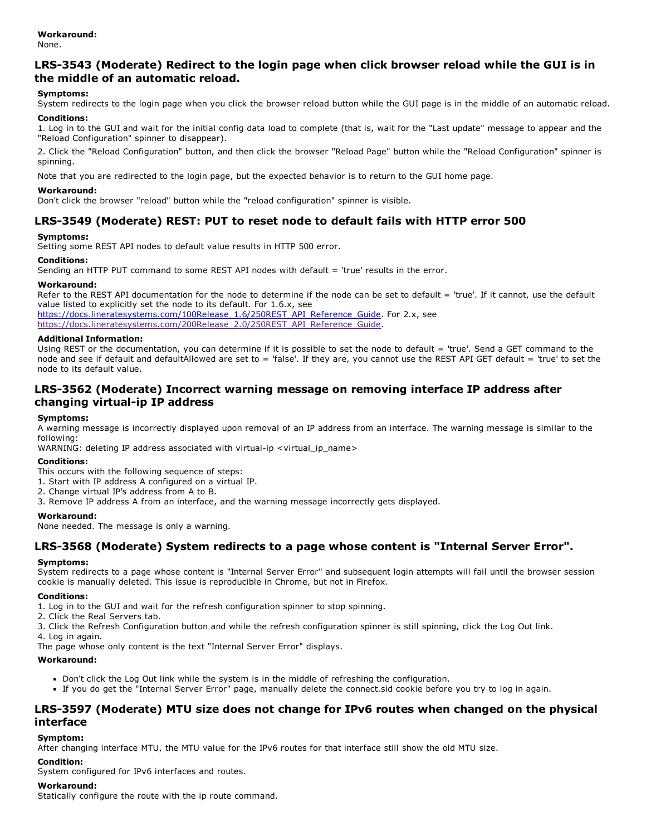### **LRS3543 (Moderate) Redirect to the login page when click browser reload while the GUI is in the middle of an automatic reload.**

### **Symptoms:**

System redirects to the login page when you click the browser reload button while the GUI page is in the middle of an automatic reload.

#### **Conditions:**

1. Log in to the GUI and wait for the initial config data load to complete (that is, wait for the "Last update" message to appear and the "Reload Configuration" spinner to disappear).

2. Click the "Reload Configuration" button, and then click the browser "Reload Page" button while the "Reload Configuration" spinner is spinning.

Note that you are redirected to the login page, but the expected behavior is to return to the GUI home page.

#### **Workaround:**

Don't click the browser "reload" button while the "reload configuration" spinner is visible.

### **LRS3549 (Moderate) REST: PUT to reset node to default fails with HTTP error 500**

#### **Symptoms:**

Setting some REST API nodes to default value results in HTTP 500 error.

#### **Conditions:**

Sending an HTTP PUT command to some REST API nodes with default = 'true' results in the error.

#### **Workaround:**

Refer to the REST API documentation for the node to determine if the node can be set to default = 'true'. If it cannot, use the default value listed to explicitly set the node to its default. For 1.6.x, see [https://docs.lineratesystems.com/100Release\\_1.6/250REST\\_API\\_Reference\\_Guide](https://docs.lineratesystems.com/100Release_1.6/250REST_API_Reference_Guide). For 2.x, see [https://docs.lineratesystems.com/200Release\\_2.0/250REST\\_API\\_Reference\\_Guide](https://docs.lineratesystems.com/200Release_2.0/250REST_API_Reference_Guide).

#### **Additional Information:**

Using REST or the documentation, you can determine if it is possible to set the node to default = 'true'. Send a GET command to the node and see if default and defaultAllowed are set to = 'false'. If they are, you cannot use the REST API GET default = 'true' to set the node to its default value.

### **LRS3562 (Moderate) Incorrect warning message on removing interface IP address after changing** virtual-ip IP address

#### **Symptoms:**

A warning message is incorrectly displayed upon removal of an IP address from an interface. The warning message is similar to the following:

WARNING: deleting IP address associated with virtual-ip <virtual\_ip\_name>

#### **Conditions:**

This occurs with the following sequence of steps:

- 1. Start with IP address A configured on a virtual IP.
- 2. Change virtual IP's address from A to B.
- 3. Remove IP address A from an interface, and the warning message incorrectly gets displayed.

#### **Workaround:**

None needed. The message is only a warning.

### **LRS3568 (Moderate) System redirects to a page whose content is "Internal Server Error".**

#### **Symptoms:**

System redirects to a page whose content is "Internal Server Error" and subsequent login attempts will fail until the browser session cookie is manually deleted. This issue is reproducible in Chrome, but not in Firefox.

#### **Conditions:**

1. Log in to the GUI and wait for the refresh configuration spinner to stop spinning.

- 2. Click the Real Servers tab.
- 3. Click the Refresh Configuration button and while the refresh configuration spinner is still spinning, click the Log Out link.
- 4. Log in again.

The page whose only content is the text "Internal Server Error" displays.

#### **Workaround:**

- Don't click the Log Out link while the system is in the middle of refreshing the configuration.
- If you do get the "Internal Server Error" page, manually delete the connect.sid cookie before you try to log in again.

### **LRS3597 (Moderate) MTU size does not change for IPv6 routes when changed on the physical interface**

#### **Symptom:**

After changing interface MTU, the MTU value for the IPv6 routes for that interface still show the old MTU size.

### **Condition:**

System configured for IPv6 interfaces and routes.

### **Workaround:**

Statically configure the route with the ip route command.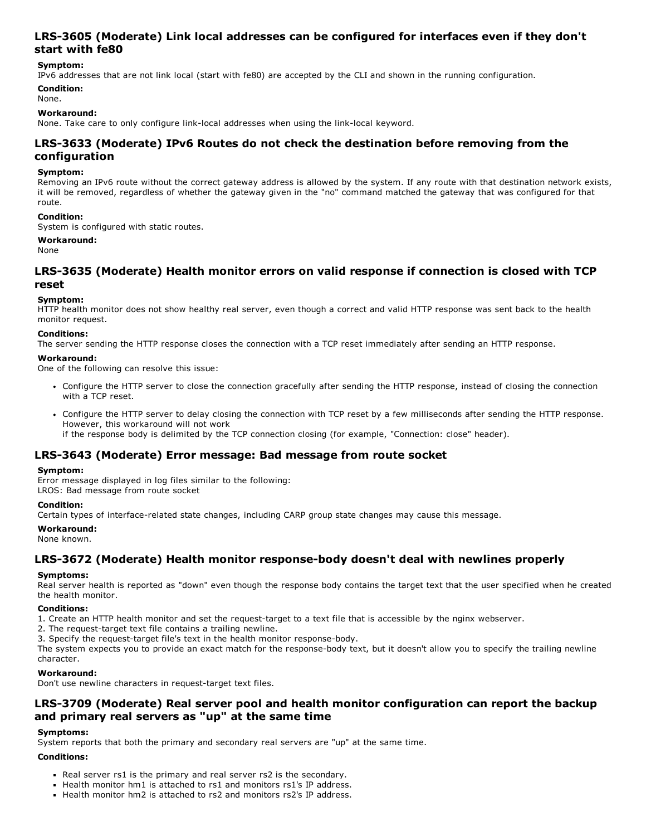### **LRS3605 (Moderate) Link local addresses can be configured for interfaces even if they don't start with fe80**

### **Symptom:**

IPv6 addresses that are not link local (start with fe80) are accepted by the CLI and shown in the running configuration.

#### **Condition:**

None.

#### **Workaround:**

None. Take care to only configure link-local addresses when using the link-local keyword.

### **LRS3633 (Moderate) IPv6 Routes do not check the destination before removing from the configuration**

#### **Symptom:**

Removing an IPv6 route without the correct gateway address is allowed by the system. If any route with that destination network exists, it will be removed, regardless of whether the gateway given in the "no" command matched the gateway that was configured for that route.

#### **Condition:**

System is configured with static routes.

#### **Workaround:**

None

### **LRS3635 (Moderate) Health monitor errors on valid response if connection is closed with TCP reset**

#### **Symptom:**

HTTP health monitor does not show healthy real server, even though a correct and valid HTTP response was sent back to the health monitor request.

#### **Conditions:**

The server sending the HTTP response closes the connection with a TCP reset immediately after sending an HTTP response.

#### **Workaround:**

One of the following can resolve this issue:

- Configure the HTTP server to close the connection gracefully after sending the HTTP response, instead of closing the connection with a TCP reset.
- Configure the HTTP server to delay closing the connection with TCP reset by a few milliseconds after sending the HTTP response. However, this workaround will not work

if the response body is delimited by the TCP connection closing (for example, "Connection: close" header).

#### **LRS3643 (Moderate) Error message: Bad message from route socket**

#### **Symptom:**

Error message displayed in log files similar to the following: LROS: Bad message from route socket

#### **Condition:**

Certain types of interface-related state changes, including CARP group state changes may cause this message.

#### **Workaround:**

None known.

### **LRS3672 (Moderate) Health monitor responsebody doesn't deal with newlines properly**

#### **Symptoms:**

Real server health is reported as "down" even though the response body contains the target text that the user specified when he created the health monitor.

#### **Conditions:**

1. Create an HTTP health monitor and set the request-target to a text file that is accessible by the nginx webserver.

2. The request-target text file contains a trailing newline.

3. Specify the request-target file's text in the health monitor response-body.

The system expects you to provide an exact match for the response-body text, but it doesn't allow you to specify the trailing newline character.

#### **Workaround:**

Don't use newline characters in request-target text files.

### **LRS3709 (Moderate) Real server pool and health monitor configuration can report the backup and primary real servers as "up" at the same time**

#### **Symptoms:**

System reports that both the primary and secondary real servers are "up" at the same time.

#### **Conditions:**

- Real server rs1 is the primary and real server rs2 is the secondary.
- Health monitor hm1 is attached to rs1 and monitors rs1's IP address.
- Health monitor hm2 is attached to rs2 and monitors rs2's IP address.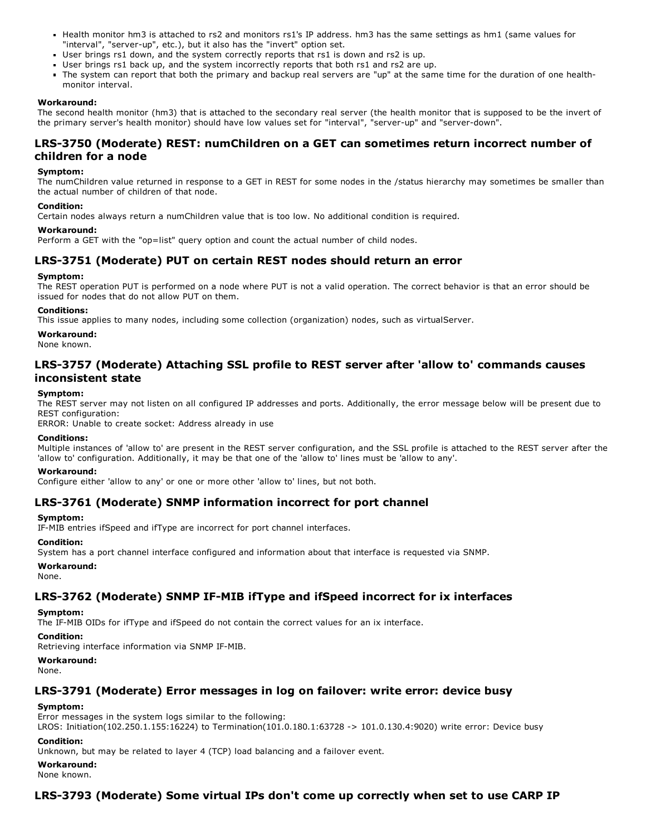- Health monitor hm3 is attached to rs2 and monitors rs1's IP address. hm3 has the same settings as hm1 (same values for "interval", "server-up", etc.), but it also has the "invert" option set.
- User brings rs1 down, and the system correctly reports that rs1 is down and rs2 is up.
- User brings rs1 back up, and the system incorrectly reports that both rs1 and rs2 are up.
- The system can report that both the primary and backup real servers are "up" at the same time for the duration of one healthmonitor interval.

#### **Workaround:**

The second health monitor (hm3) that is attached to the secondary real server (the health monitor that is supposed to be the invert of the primary server's health monitor) should have low values set for "interval", "server-up" and "server-down".

### **LRS3750 (Moderate) REST: numChildren on a GET can sometimes return incorrect number of children for a node**

#### **Symptom:**

The numChildren value returned in response to a GET in REST for some nodes in the /status hierarchy may sometimes be smaller than the actual number of children of that node.

### **Condition:**

Certain nodes always return a numChildren value that is too low. No additional condition is required.

#### **Workaround:**

Perform a GET with the "op=list" query option and count the actual number of child nodes.

### **LRS3751 (Moderate) PUT on certain REST nodes should return an error**

#### **Symptom:**

The REST operation PUT is performed on a node where PUT is not a valid operation. The correct behavior is that an error should be issued for nodes that do not allow PUT on them.

#### **Conditions:**

This issue applies to many nodes, including some collection (organization) nodes, such as virtualServer.

**Workaround:**

#### None known.

### **LRS3757 (Moderate) Attaching SSL profile to REST server after 'allow to' commands causes inconsistent state**

#### **Symptom:**

The REST server may not listen on all configured IP addresses and ports. Additionally, the error message below will be present due to REST configuration:

ERROR: Unable to create socket: Address already in use

#### **Conditions:**

Multiple instances of 'allow to' are present in the REST server configuration, and the SSL profile is attached to the REST server after the 'allow to' configuration. Additionally, it may be that one of the 'allow to' lines must be 'allow to any'.

#### **Workaround:**

Configure either 'allow to any' or one or more other 'allow to' lines, but not both.

### **LRS3761 (Moderate) SNMP information incorrect for port channel**

#### **Symptom:**

IF-MIB entries ifSpeed and ifType are incorrect for port channel interfaces.

#### **Condition:**

System has a port channel interface configured and information about that interface is requested via SNMP.

#### **Workaround:**

None.

### **LRS3762 (Moderate) SNMP IFMIB ifType and ifSpeed incorrect for ix interfaces**

#### **Symptom:**

The IF-MIB OIDs for ifType and ifSpeed do not contain the correct values for an ix interface.

#### **Condition:**

Retrieving interface information via SNMP IF-MIB.

### **Workaround:**

None.

### **LRS3791 (Moderate) Error messages in log on failover: write error: device busy**

#### **Symptom:**

Error messages in the system logs similar to the following: LROS: Initiation(102.250.1.155:16224) to Termination(101.0.180.1:63728 -> 101.0.130.4:9020) write error: Device busy

#### **Condition:**

Unknown, but may be related to layer 4 (TCP) load balancing and a failover event.

**Workaround:**

None known.

### **LRS3793 (Moderate) Some virtual IPs don't come up correctly when set to use CARP IP**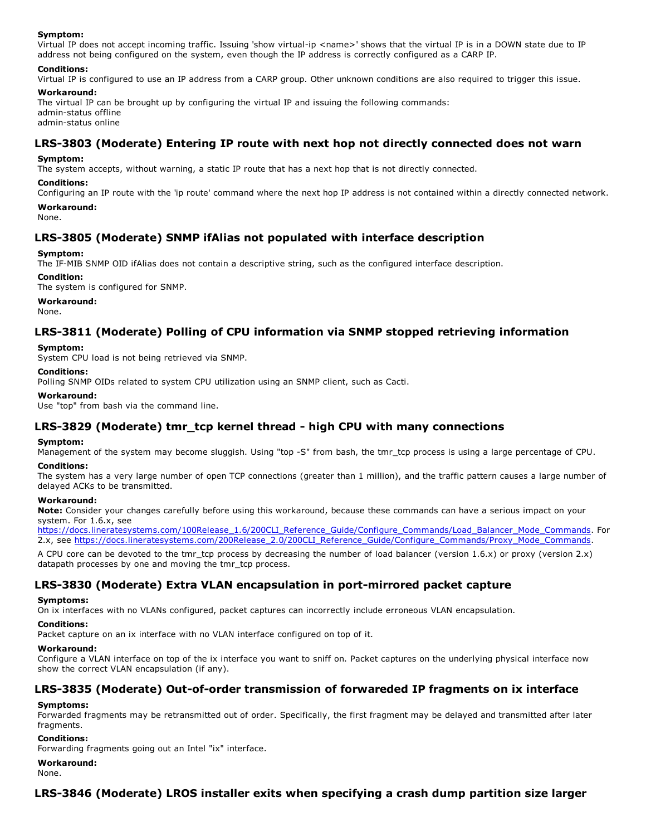#### **Symptom:**

Virtual IP does not accept incoming traffic. Issuing 'show virtual-ip <name>' shows that the virtual IP is in a DOWN state due to IP address not being configured on the system, even though the IP address is correctly configured as a CARP IP.

#### **Conditions:**

Virtual IP is configured to use an IP address from a CARP group. Other unknown conditions are also required to trigger this issue.

#### **Workaround:**

The virtual IP can be brought up by configuring the virtual IP and issuing the following commands: admin-status offline admin-status online

### **LRS3803 (Moderate) Entering IP route with next hop not directly connected does not warn**

#### **Symptom:**

The system accepts, without warning, a static IP route that has a next hop that is not directly connected.

#### **Conditions:**

Configuring an IP route with the 'ip route' command where the next hop IP address is not contained within a directly connected network. **Workaround:**

None.

### **LRS3805 (Moderate) SNMP ifAlias not populated with interface description**

#### **Symptom:**

The IF-MIB SNMP OID ifAlias does not contain a descriptive string, such as the configured interface description.

#### **Condition:**

The system is configured for SNMP.

#### **Workaround:**

None.

### **LRS3811 (Moderate) Polling of CPU information via SNMP stopped retrieving information**

#### **Symptom:**

System CPU load is not being retrieved via SNMP.

#### **Conditions:**

Polling SNMP OIDs related to system CPU utilization using an SNMP client, such as Cacti.

#### **Workaround:**

Use "top" from bash via the command line.

### **LRS3829 (Moderate) tmr\_tcp kernel thread high CPU with many connections**

#### **Symptom:**

Management of the system may become sluggish. Using "top -S" from bash, the tmr\_tcp process is using a large percentage of CPU.

#### **Conditions:**

The system has a very large number of open TCP connections (greater than 1 million), and the traffic pattern causes a large number of delayed ACKs to be transmitted.

#### **Workaround:**

**Note:** Consider your changes carefully before using this workaround, because these commands can have a serious impact on your system. For 1.6.x, see

[https://docs.lineratesystems.com/100Release\\_1.6/200CLI\\_Reference\\_Guide/Configure\\_Commands/Load\\_Balancer\\_Mode\\_Commands](https://docs.lineratesystems.com/100Release_1.6/200CLI_Reference_Guide/Configure_Commands/Load_Balancer_Mode_Commands). For 2.x, see [https://docs.lineratesystems.com/200Release\\_2.0/200CLI\\_Reference\\_Guide/Configure\\_Commands/Proxy\\_Mode\\_Commands](https://docs.lineratesystems.com/200Release_2.0/200CLI_Reference_Guide/Configure_Commands/Proxy_Mode_Commands).

A CPU core can be devoted to the tmr\_tcp process by decreasing the number of load balancer (version 1.6.x) or proxy (version 2.x) datapath processes by one and moving the tmr\_tcp process.

### **LRS-3830** (Moderate) **Extra VLAN** encapsulation in port-mirrored packet capture

#### **Symptoms:**

On ix interfaces with no VLANs configured, packet captures can incorrectly include erroneous VLAN encapsulation.

### **Conditions:**

Packet capture on an ix interface with no VLAN interface configured on top of it.

#### **Workaround:**

Configure a VLAN interface on top of the ix interface you want to sniff on. Packet captures on the underlying physical interface now show the correct VLAN encapsulation (if any).

### **LRS-3835** (Moderate) Out-of-order transmission of forwareded IP fragments on ix interface

#### **Symptoms:**

Forwarded fragments may be retransmitted out of order. Specifically, the first fragment may be delayed and transmitted after later fragments.

#### **Conditions:**

Forwarding fragments going out an Intel "ix" interface.

**Workaround:** None.

**LRS3846 (Moderate) LROS installer exits when specifying a crash dump partition size larger**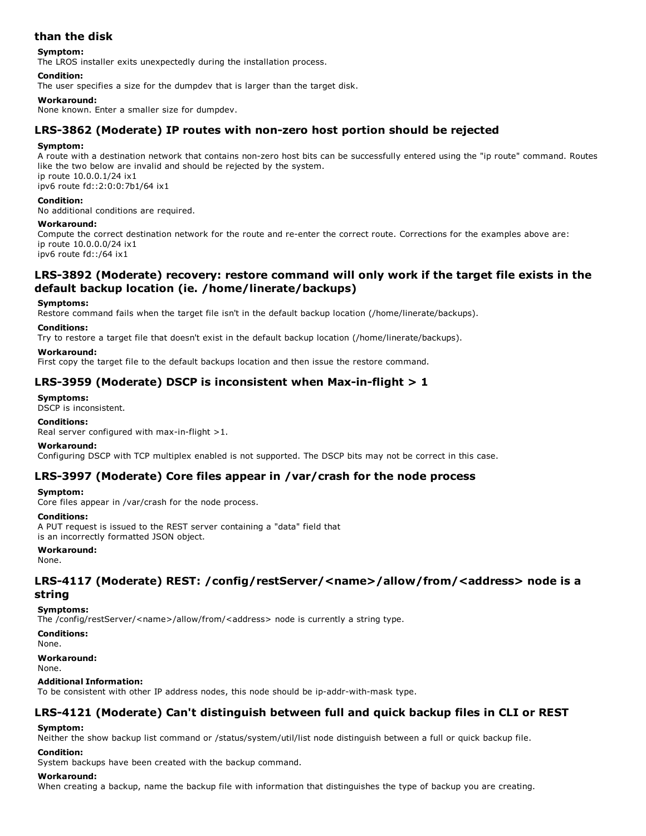### **than the disk**

#### **Symptom:**

The LROS installer exits unexpectedly during the installation process.

### **Condition:**

The user specifies a size for the dumpdev that is larger than the target disk.

### **Workaround:**

None known. Enter a smaller size for dumpdev.

### **LRS3862 (Moderate) IP routes with nonzero host portion should be rejected**

### **Symptom:**

A route with a destination network that contains nonzero host bits can be successfully entered using the "ip route" command. Routes like the two below are invalid and should be rejected by the system. ip route 10.0.0.1/24 ix1

ipv6 route fd::2:0:0:7b1/64 ix1

#### **Condition:**

No additional conditions are required.

#### **Workaround:**

Compute the correct destination network for the route and re-enter the correct route. Corrections for the examples above are: ip route 10.0.0.0/24 ix1 ipv6 route fd::/64 ix1

### **LRS3892 (Moderate) recovery: restore command will only work if the target file exists in the default backup location (ie. /home/linerate/backups)**

#### **Symptoms:**

Restore command fails when the target file isn't in the default backup location (/home/linerate/backups).

#### **Conditions:**

Try to restore a target file that doesn't exist in the default backup location (/home/linerate/backups).

**Workaround:**

First copy the target file to the default backups location and then issue the restore command.

### **LRS3959 (Moderate) DSCP is inconsistent when Maxinflight > 1**

**Symptoms:** DSCP is inconsistent.

### **Conditions:**

Real server configured with max-in-flight  $>1$ .

### **Workaround:**

Configuring DSCP with TCP multiplex enabled is not supported. The DSCP bits may not be correct in this case.

### **LRS3997 (Moderate) Core files appear in /var/crash for the node process**

### **Symptom:**

Core files appear in /var/crash for the node process.

#### **Conditions:**

A PUT request is issued to the REST server containing a "data" field that is an incorrectly formatted JSON object.

#### **Workaround:**

None.

### **LRS4117 (Moderate) REST: /config/restServer/<name>/allow/from/<address> node is a string**

#### **Symptoms:**

The /config/restServer/<name>/allow/from/<address> node is currently a string type.

**Conditions:**

None.

**Workaround:** None.

### **Additional Information:**

To be consistent with other IP address nodes, this node should be ip-addr-with-mask type.

## **LRS4121 (Moderate) Can't distinguish between full and quick backup files in CLI or REST**

### **Symptom:**

Neither the show backup list command or /status/system/util/list node distinguish between a full or quick backup file.

### **Condition:**

System backups have been created with the backup command.

### **Workaround:**

When creating a backup, name the backup file with information that distinguishes the type of backup you are creating.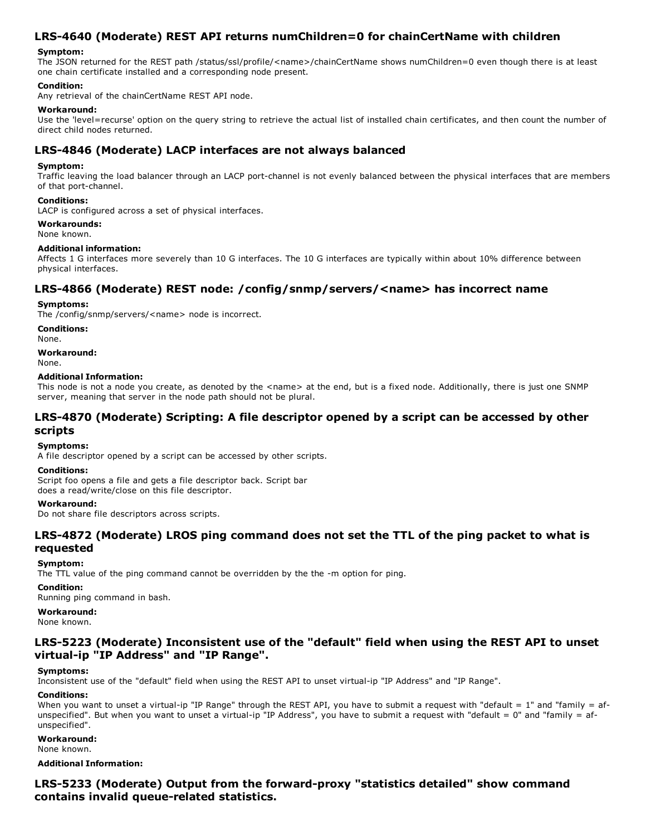### **LRS4640 (Moderate) REST API returns numChildren=0 for chainCertName with children**

#### **Symptom:**

The JSON returned for the REST path /status/ssl/profile/<name>/chainCertName shows numChildren=0 even though there is at least one chain certificate installed and a corresponding node present.

#### **Condition:**

Any retrieval of the chainCertName REST API node.

### **Workaround:**

Use the 'level=recurse' option on the query string to retrieve the actual list of installed chain certificates, and then count the number of direct child nodes returned.

### **LRS4846 (Moderate) LACP interfaces are not always balanced**

#### **Symptom:**

Traffic leaving the load balancer through an LACP port-channel is not evenly balanced between the physical interfaces that are members of that port-channel.

#### **Conditions:**

LACP is configured across a set of physical interfaces.

### **Workarounds:**

None known.

#### **Additional information:**

Affects 1 G interfaces more severely than 10 G interfaces. The 10 G interfaces are typically within about 10% difference between physical interfaces.

### **LRS4866 (Moderate) REST node: /config/snmp/servers/<name> has incorrect name**

#### **Symptoms:**

The /config/snmp/servers/<name> node is incorrect.

**Conditions:**

None.

**Workaround:**

None.

#### **Additional Information:**

This node is not a node you create, as denoted by the <name> at the end, but is a fixed node. Additionally, there is just one SNMP server, meaning that server in the node path should not be plural.

### **LRS4870 (Moderate) Scripting: A file descriptor opened by a script can be accessed by other scripts**

#### **Symptoms:**

A file descriptor opened by a script can be accessed by other scripts.

#### **Conditions:**

Script foo opens a file and gets a file descriptor back. Script bar does a read/write/close on this file descriptor.

#### **Workaround:**

Do not share file descriptors across scripts.

### **LRS4872 (Moderate) LROS ping command does not set the TTL of the ping packet to what is requested**

#### **Symptom:**

The TTL value of the ping command cannot be overridden by the the -m option for ping.

### **Condition:**

Running ping command in bash.

**Workaround:** None known.

### **LRS5223 (Moderate) Inconsistent use of the "default" field when using the REST API to unset virtualip "IP Address" and "IP Range".**

#### **Symptoms:**

Inconsistent use of the "default" field when using the REST API to unset virtual-ip "IP Address" and "IP Range".

#### **Conditions:**

When you want to unset a virtual-ip "IP Range" through the REST API, you have to submit a request with "default = 1" and "family = afunspecified". But when you want to unset a virtual-ip "IP Address", you have to submit a request with "default =  $0$ " and "family = afunspecified".

#### **Workaround:** None known.

**Additional Information:**

**LRS5233 (Moderate) Output from the forwardproxy "statistics detailed" show command contains invalid queuerelated statistics.**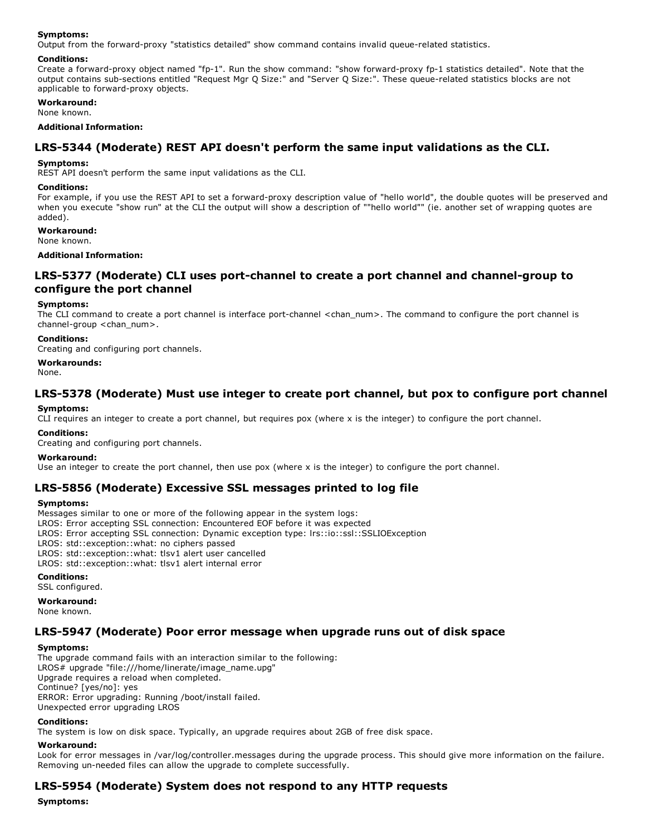#### **Symptoms:**

Output from the forward-proxy "statistics detailed" show command contains invalid queue-related statistics.

#### **Conditions:**

Create a forward-proxy object named "fp-1". Run the show command: "show forward-proxy fp-1 statistics detailed". Note that the output contains sub-sections entitled "Request Mgr Q Size:" and "Server Q Size:". These queue-related statistics blocks are not applicable to forward-proxy objects.

#### **Workaround:**

None known.

#### **Additional Information:**

### **LRS5344 (Moderate) REST API doesn't perform the same input validations as the CLI.**

#### **Symptoms:**

REST API doesn't perform the same input validations as the CLI.

#### **Conditions:**

For example, if you use the REST API to set a forward-proxy description value of "hello world", the double quotes will be preserved and when you execute "show run" at the CLI the output will show a description of ""hello world"" (ie. another set of wrapping quotes are added).

**Workaround:**

None known.

#### **Additional Information:**

### **LRS5377 (Moderate) CLI uses portchannel to create a port channel and channelgroup to configure the port channel**

#### **Symptoms:**

The CLI command to create a port channel is interface port-channel <chan\_num>. The command to configure the port channel is channel-group <chan\_num>.

#### **Conditions:**

Creating and configuring port channels.

#### **Workarounds:**

None.

### **LRS5378 (Moderate) Must use integer to create port channel, but pox to configure port channel**

#### **Symptoms:**

CLI requires an integer to create a port channel, but requires pox (where x is the integer) to configure the port channel.

#### **Conditions:**

Creating and configuring port channels.

#### **Workaround:**

Use an integer to create the port channel, then use pox (where x is the integer) to configure the port channel.

### **LRS5856 (Moderate) Excessive SSL messages printed to log file**

#### **Symptoms:**

Messages similar to one or more of the following appear in the system logs: LROS: Error accepting SSL connection: Encountered EOF before it was expected LROS: Error accepting SSL connection: Dynamic exception type: lrs::io::ssl::SSLIOException LROS: std::exception::what: no ciphers passed LROS: std::exception::what: tlsv1 alert user cancelled LROS: std::exception::what: tlsv1 alert internal error

### **Conditions:**

SSL configured.

#### **Workaround:**

None known.

#### **LRS5947 (Moderate) Poor error message when upgrade runs out of disk space**

#### **Symptoms:**

The upgrade command fails with an interaction similar to the following: LROS# upgrade "file:///home/linerate/image\_name.upg" Upgrade requires a reload when completed. Continue? [yes/no]: yes ERROR: Error upgrading: Running /boot/install failed. Unexpected error upgrading LROS

#### **Conditions:**

The system is low on disk space. Typically, an upgrade requires about 2GB of free disk space.

#### **Workaround:**

Look for error messages in /var/log/controller.messages during the upgrade process. This should give more information on the failure. Removing un-needed files can allow the upgrade to complete successfully.

### **LRS5954 (Moderate) System does not respond to any HTTP requests**

#### **Symptoms:**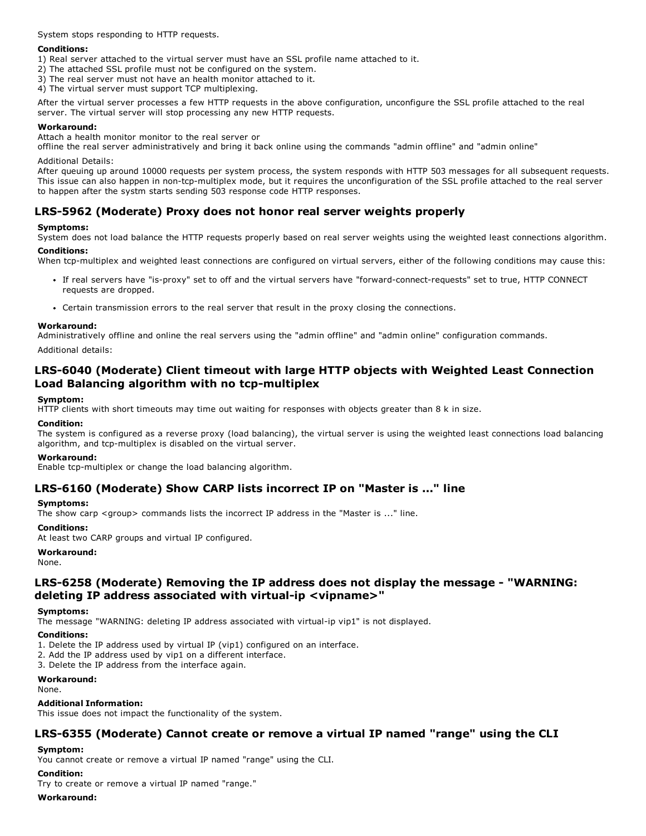System stops responding to HTTP requests.

#### **Conditions:**

- 1) Real server attached to the virtual server must have an SSL profile name attached to it.
- 2) The attached SSL profile must not be configured on the system.
- 3) The real server must not have an health monitor attached to it.
- 4) The virtual server must support TCP multiplexing.

After the virtual server processes a few HTTP requests in the above configuration, unconfigure the SSL profile attached to the real server. The virtual server will stop processing any new HTTP requests.

#### **Workaround:**

Attach a health monitor monitor to the real server or

offline the real server administratively and bring it back online using the commands "admin offline" and "admin online"

#### Additional Details:

After queuing up around 10000 requests per system process, the system responds with HTTP 503 messages for all subsequent requests. This issue can also happen in non-tcp-multiplex mode, but it requires the unconfiguration of the SSL profile attached to the real server to happen after the systm starts sending 503 response code HTTP responses.

### **LRS5962 (Moderate) Proxy does not honor real server weights properly**

#### **Symptoms:**

System does not load balance the HTTP requests properly based on real server weights using the weighted least connections algorithm.

#### **Conditions:**

When tcp-multiplex and weighted least connections are configured on virtual servers, either of the following conditions may cause this:

- If real servers have "is-proxy" set to off and the virtual servers have "forward-connect-requests" set to true, HTTP CONNECT requests are dropped.
- Certain transmission errors to the real server that result in the proxy closing the connections.

#### **Workaround:**

Administratively offline and online the real servers using the "admin offline" and "admin online" configuration commands.

Additional details:

### **LRS6040 (Moderate) Client timeout with large HTTP objects with Weighted Least Connection Load Balancing algorithm with no tcpmultiplex**

#### **Symptom:**

HTTP clients with short timeouts may time out waiting for responses with objects greater than 8 k in size.

#### **Condition:**

The system is configured as a reverse proxy (load balancing), the virtual server is using the weighted least connections load balancing algorithm, and tcp-multiplex is disabled on the virtual server.

#### **Workaround:**

Enable tcp-multiplex or change the load balancing algorithm.

### **LRS6160 (Moderate) Show CARP lists incorrect IP on "Master is ..." line**

#### **Symptoms:**

The show carp <qroup> commands lists the incorrect IP address in the "Master is ..." line.

#### **Conditions:**

At least two CARP groups and virtual IP configured.

#### **Workaround:**

None.

### **LRS6258 (Moderate) Removing the IP address does not display the message "WARNING: deleting IP address associated with virtualip <vipname>"**

#### **Symptoms:**

The message "WARNING: deleting IP address associated with virtual-ip vip1" is not displayed.

#### **Conditions:**

1. Delete the IP address used by virtual IP (vip1) configured on an interface.

- 2. Add the IP address used by vip1 on a different interface.
- 3. Delete the IP address from the interface again.

#### **Workaround:**

None.

#### **Additional Information:**

This issue does not impact the functionality of the system.

### **LRS6355 (Moderate) Cannot create or remove a virtual IP named "range" using the CLI**

#### **Symptom:**

You cannot create or remove a virtual IP named "range" using the CLI.

#### **Condition:**

Try to create or remove a virtual IP named "range."

#### **Workaround:**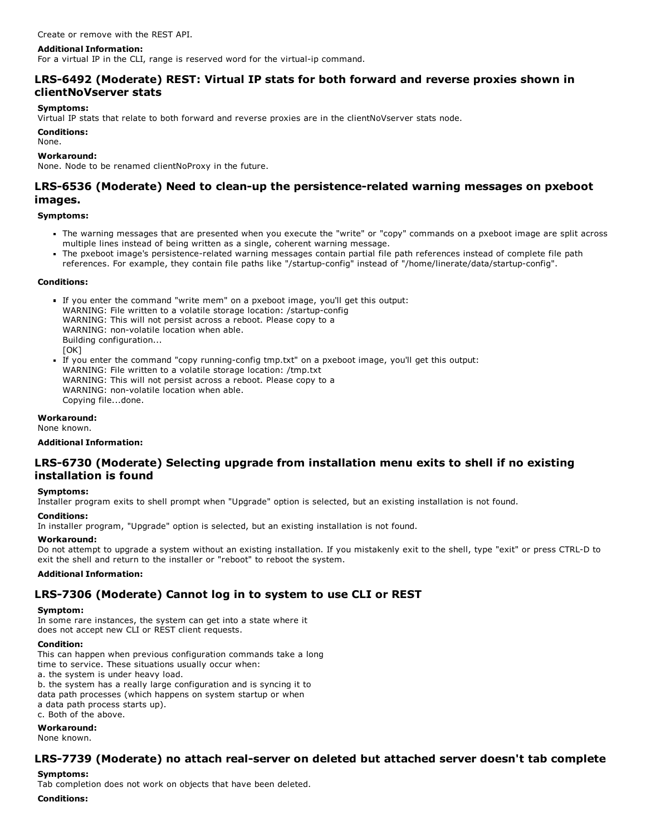#### **Additional Information:**

For a virtual IP in the CLI, range is reserved word for the virtual-ip command.

### **LRS6492 (Moderate) REST: Virtual IP stats for both forward and reverse proxies shown in clientNoVserver stats**

#### **Symptoms:**

Virtual IP stats that relate to both forward and reverse proxies are in the clientNoVserver stats node.

**Conditions:**

None.

#### **Workaround:**

None. Node to be renamed clientNoProxy in the future.

### **LRS-6536** (Moderate) Need to clean-up the persistence-related warning messages on pxeboot **images.**

#### **Symptoms:**

- The warning messages that are presented when you execute the "write" or "copy" commands on a pxeboot image are split across multiple lines instead of being written as a single, coherent warning message.
- The pxeboot image's persistence-related warning messages contain partial file path references instead of complete file path references. For example, they contain file paths like "/startup-config" instead of "/home/linerate/data/startup-config".

#### **Conditions:**

- If you enter the command "write mem" on a pxeboot image, you'll get this output: WARNING: File written to a volatile storage location: /startup-config WARNING: This will not persist across a reboot. Please copy to a WARNING: non-volatile location when able. Building configuration... [OK]
- If you enter the command "copy running-config tmp.txt" on a pxeboot image, you'll get this output: WARNING: File written to a volatile storage location: /tmp.txt WARNING: This will not persist across a reboot. Please copy to a WARNING: non-volatile location when able. Copying file...done.

#### **Workaround:**

None known.

#### **Additional Information:**

### **LRS6730 (Moderate) Selecting upgrade from installation menu exits to shell if no existing installation is found**

#### **Symptoms:**

Installer program exits to shell prompt when "Upgrade" option is selected, but an existing installation is not found.

#### **Conditions:**

In installer program, "Upgrade" option is selected, but an existing installation is not found.

#### **Workaround:**

Do not attempt to upgrade a system without an existing installation. If you mistakenly exit to the shell, type "exit" or press CTRL-D to exit the shell and return to the installer or "reboot" to reboot the system.

#### **Additional Information:**

### **LRS7306 (Moderate) Cannot log in to system to use CLI or REST**

### **Symptom:**

In some rare instances, the system can get into a state where it does not accept new CLI or REST client requests.

### **Condition:**

This can happen when previous configuration commands take a long time to service. These situations usually occur when: a. the system is under heavy load. b. the system has a really large configuration and is syncing it to data path processes (which happens on system startup or when

a data path process starts up).

c. Both of the above.

### **Workaround:**

None known.

## **LRS7739 (Moderate) no attach realserver on deleted but attached server doesn't tab complete**

#### **Symptoms:**

Tab completion does not work on objects that have been deleted.

#### **Conditions:**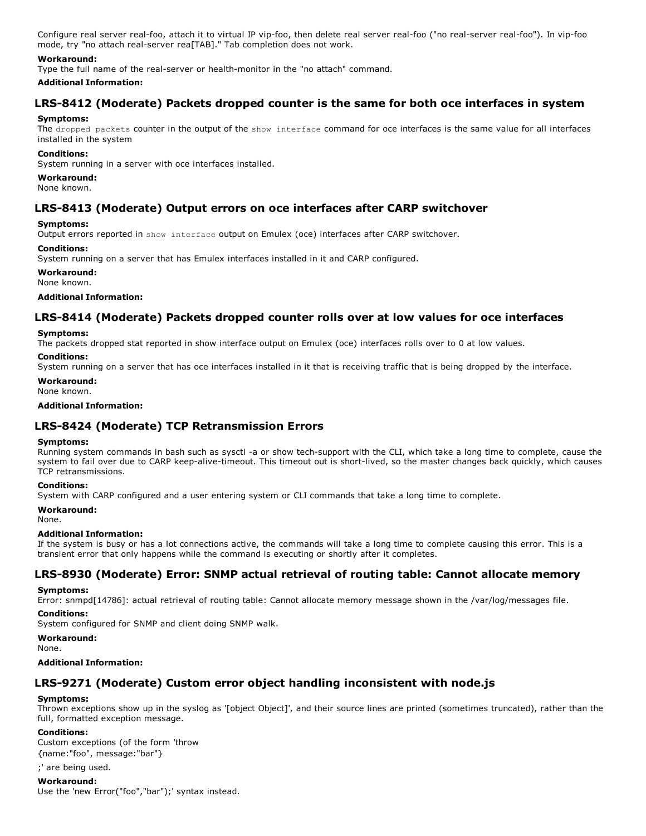Configure real server real-foo, attach it to virtual IP vip-foo, then delete real server real-foo ("no real-server real-foo"). In vip-foo mode, try "no attach real-server rea[TAB]." Tab completion does not work.

#### **Workaround:**

Type the full name of the real-server or health-monitor in the "no attach" command.

#### **Additional Information:**

### **LRS8412 (Moderate) Packets dropped counter is the same for both oce interfaces in system**

#### **Symptoms:**

The dropped packets counter in the output of the show interface command for oce interfaces is the same value for all interfaces installed in the system

#### **Conditions:**

System running in a server with oce interfaces installed.

#### **Workaround:**

None known.

### **LRS8413 (Moderate) Output errors on oce interfaces after CARP switchover**

#### **Symptoms:**

Output errors reported in show interface output on Emulex (oce) interfaces after CARP switchover.

#### **Conditions:**

System running on a server that has Emulex interfaces installed in it and CARP configured.

**Workaround:**

None known.

#### **Additional Information:**

### **LRS8414 (Moderate) Packets dropped counter rolls over at low values for oce interfaces**

#### **Symptoms:**

The packets dropped stat reported in show interface output on Emulex (oce) interfaces rolls over to 0 at low values.

#### **Conditions:**

System running on a server that has oce interfaces installed in it that is receiving traffic that is being dropped by the interface.

**Workaround:**

None known.

### **Additional Information:**

### **LRS8424 (Moderate) TCP Retransmission Errors**

#### **Symptoms:**

Running system commands in bash such as sysctl -a or show tech-support with the CLI, which take a long time to complete, cause the system to fail over due to CARP keep-alive-timeout. This timeout out is short-lived, so the master changes back quickly, which causes TCP retransmissions.

#### **Conditions:**

System with CARP configured and a user entering system or CLI commands that take a long time to complete.

#### **Workaround:**

None.

#### **Additional Information:**

If the system is busy or has a lot connections active, the commands will take a long time to complete causing this error. This is a transient error that only happens while the command is executing or shortly after it completes.

### **LRS8930 (Moderate) Error: SNMP actual retrieval of routing table: Cannot allocate memory**

#### **Symptoms:**

Error: snmpd[14786]: actual retrieval of routing table: Cannot allocate memory message shown in the /var/log/messages file.

#### **Conditions:**

System configured for SNMP and client doing SNMP walk.

#### **Workaround:**

None.

#### **Additional Information:**

### **LRS9271 (Moderate) Custom error object handling inconsistent with node.js**

#### **Symptoms:**

Thrown exceptions show up in the syslog as '[object Object]', and their source lines are printed (sometimes truncated), rather than the full, formatted exception message.

#### **Conditions:**

Custom exceptions (of the form 'throw {name:"foo", message:"bar"}

;' are being used.

#### **Workaround:**

Use the 'new Error("foo","bar");' syntax instead.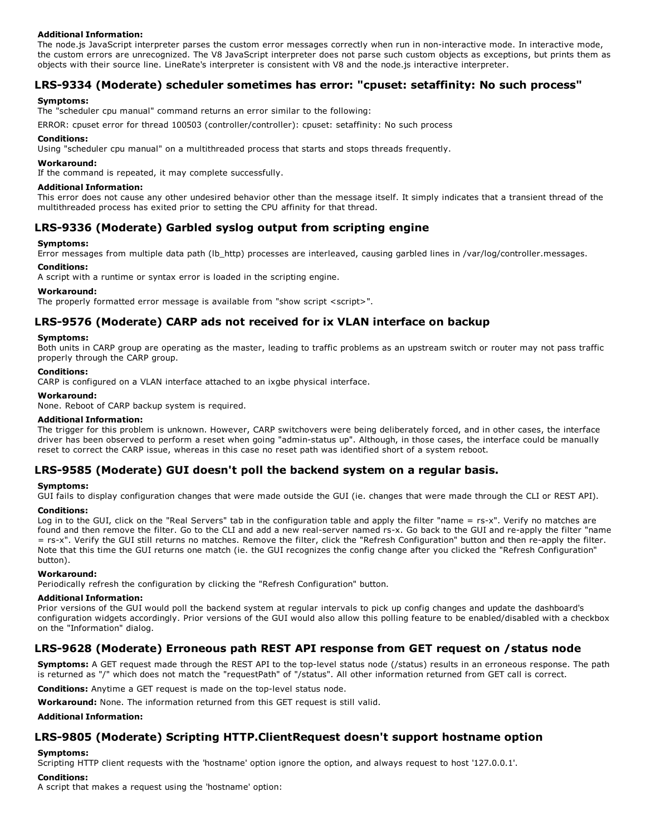#### **Additional Information:**

The node.js JavaScript interpreter parses the custom error messages correctly when run in non-interactive mode. In interactive mode, the custom errors are unrecognized. The V8 JavaScript interpreter does not parse such custom objects as exceptions, but prints them as objects with their source line. LineRate's interpreter is consistent with V8 and the node.js interactive interpreter.

### **LRS9334 (Moderate) scheduler sometimes has error: "cpuset: setaffinity: No such process"**

#### **Symptoms:**

The "scheduler cpu manual" command returns an error similar to the following:

ERROR: cpuset error for thread 100503 (controller/controller): cpuset: setaffinity: No such process

#### **Conditions:**

Using "scheduler cpu manual" on a multithreaded process that starts and stops threads frequently.

#### **Workaround:**

If the command is repeated, it may complete successfully.

#### **Additional Information:**

This error does not cause any other undesired behavior other than the message itself. It simply indicates that a transient thread of the multithreaded process has exited prior to setting the CPU affinity for that thread.

### **LRS9336 (Moderate) Garbled syslog output from scripting engine**

#### **Symptoms:**

Error messages from multiple data path (Ib\_http) processes are interleaved, causing garbled lines in /var/log/controller.messages.

#### **Conditions:**

A script with a runtime or syntax error is loaded in the scripting engine.

#### **Workaround:**

The properly formatted error message is available from "show script <script>".

### **LRS9576 (Moderate) CARP ads not received for ix VLAN interface on backup**

#### **Symptoms:**

Both units in CARP group are operating as the master, leading to traffic problems as an upstream switch or router may not pass traffic properly through the CARP group.

#### **Conditions:**

CARP is configured on a VLAN interface attached to an ixgbe physical interface.

#### **Workaround:**

None. Reboot of CARP backup system is required.

#### **Additional Information:**

The trigger for this problem is unknown. However, CARP switchovers were being deliberately forced, and in other cases, the interface driver has been observed to perform a reset when going "admin-status up". Although, in those cases, the interface could be manually reset to correct the CARP issue, whereas in this case no reset path was identified short of a system reboot.

### **LRS9585 (Moderate) GUI doesn't poll the backend system on a regular basis.**

### **Symptoms:**

GUI fails to display configuration changes that were made outside the GUI (ie. changes that were made through the CLI or REST API).

#### **Conditions:**

Log in to the GUI, click on the "Real Servers" tab in the configuration table and apply the filter "name = rs-x". Verify no matches are found and then remove the filter. Go to the CLI and add a new real-server named rs-x. Go back to the GUI and re-apply the filter "name = rs-x". Verify the GUI still returns no matches. Remove the filter, click the "Refresh Configuration" button and then re-apply the filter. Note that this time the GUI returns one match (ie. the GUI recognizes the config change after you clicked the "Refresh Configuration" button).

#### **Workaround:**

Periodically refresh the configuration by clicking the "Refresh Configuration" button.

#### **Additional Information:**

Prior versions of the GUI would poll the backend system at regular intervals to pick up config changes and update the dashboard's configuration widgets accordingly. Prior versions of the GUI would also allow this polling feature to be enabled/disabled with a checkbox on the "Information" dialog.

### **LRS9628 (Moderate) Erroneous path REST API response from GET request on /status node**

**Symptoms:** A GET request made through the REST API to the top-level status node (/status) results in an erroneous response. The path is returned as "/" which does not match the "requestPath" of "/status". All other information returned from GET call is correct.

**Conditions:** Anytime a GET request is made on the top-level status node.

**Workaround:** None. The information returned from this GET request is still valid.

#### **Additional Information:**

### **LRS9805 (Moderate) Scripting HTTP.ClientRequest doesn't support hostname option**

#### **Symptoms:**

Scripting HTTP client requests with the 'hostname' option ignore the option, and always request to host '127.0.0.1'.

#### **Conditions:**

A script that makes a request using the 'hostname' option: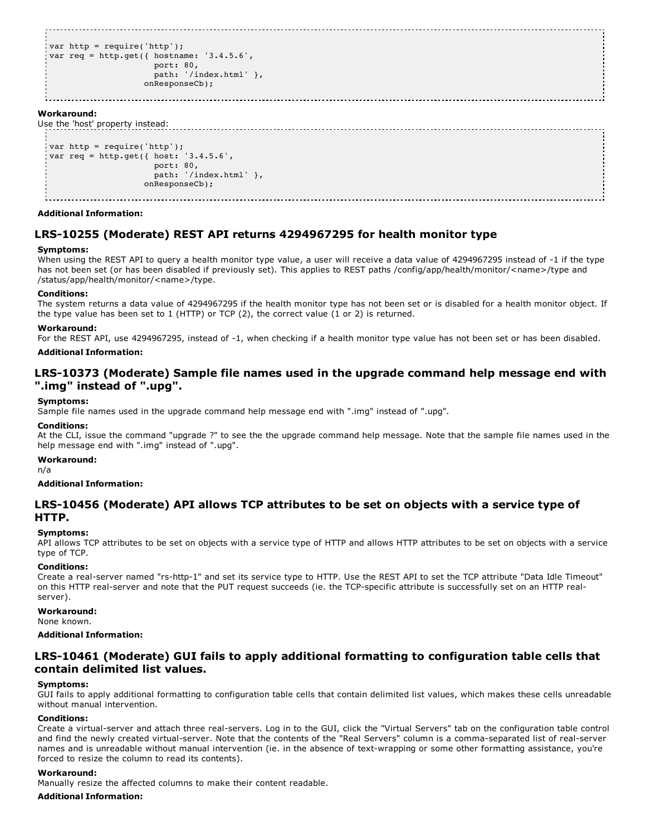```
var http = require('http');
var req = http.get({ hostname: '3.4.5.6',
                     port: 80,
                     path: '/index.html' },
                   onResponseCb);
```
#### **Workaround:**

Use the 'host' property instead:

```
var http = require('http');
var req = http.get({ host: '3.4.5.6',
                     port: 80,
                     path: '/index.html' },
                   onResponseCb);
```
#### **Additional Information:**

### **LRS10255 (Moderate) REST API returns 4294967295 for health monitor type**

#### **Symptoms:**

When using the REST API to query a health monitor type value, a user will receive a data value of 4294967295 instead of -1 if the type has not been set (or has been disabled if previously set). This applies to REST paths /config/app/health/monitor/<name>/type and /status/app/health/monitor/<name>/type.

#### **Conditions:**

The system returns a data value of 4294967295 if the health monitor type has not been set or is disabled for a health monitor object. If the type value has been set to 1 (HTTP) or TCP (2), the correct value (1 or 2) is returned.

#### **Workaround:**

For the REST API, use 4294967295, instead of -1, when checking if a health monitor type value has not been set or has been disabled. **Additional Information:**

### **LRS10373 (Moderate) Sample file names used in the upgrade command help message end with ".img" instead of ".upg".**

#### **Symptoms:**

Sample file names used in the upgrade command help message end with ".img" instead of ".upg".

#### **Conditions:**

At the CLI, issue the command "upgrade ?" to see the the upgrade command help message. Note that the sample file names used in the help message end with ".img" instead of ".upg".

#### **Workaround:**

n/a

#### **Additional Information:**

### **LRS10456 (Moderate) API allows TCP attributes to be set on objects with a service type of HTTP.**

#### **Symptoms:**

API allows TCP attributes to be set on objects with a service type of HTTP and allows HTTP attributes to be set on objects with a service type of TCP.

#### **Conditions:**

Create a real-server named "rs-http-1" and set its service type to HTTP. Use the REST API to set the TCP attribute "Data Idle Timeout" on this HTTP real-server and note that the PUT request succeeds (ie. the TCP-specific attribute is successfully set on an HTTP realserver).

#### **Workaround:**

None known.

#### **Additional Information:**

### **LRS10461 (Moderate) GUI fails to apply additional formatting to configuration table cells that contain delimited list values.**

#### **Symptoms:**

GUI fails to apply additional formatting to configuration table cells that contain delimited list values, which makes these cells unreadable without manual intervention.

#### **Conditions:**

Create a virtual-server and attach three real-servers. Log in to the GUI, click the "Virtual Servers" tab on the configuration table control and find the newly created virtual-server. Note that the contents of the "Real Servers" column is a comma-separated list of real-server names and is unreadable without manual intervention (ie. in the absence of text-wrapping or some other formatting assistance, you're forced to resize the column to read its contents).

#### **Workaround:**

Manually resize the affected columns to make their content readable.

#### **Additional Information:**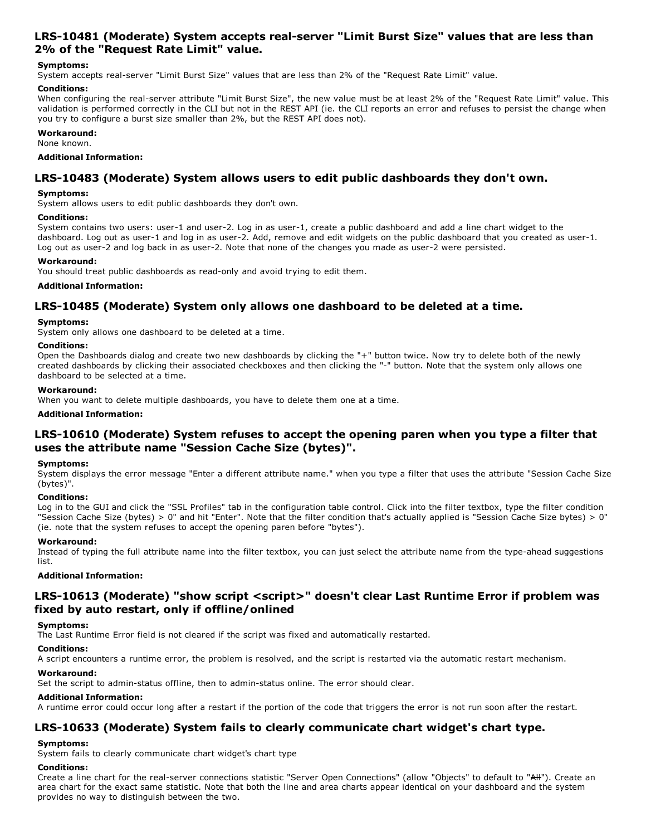### **LRS10481 (Moderate) System accepts realserver "Limit Burst Size" values that are less than 2% of the "Request Rate Limit" value.**

#### **Symptoms:**

System accepts real-server "Limit Burst Size" values that are less than 2% of the "Request Rate Limit" value.

#### **Conditions:**

When configuring the real-server attribute "Limit Burst Size", the new value must be at least 2% of the "Request Rate Limit" value. This validation is performed correctly in the CLI but not in the REST API (ie. the CLI reports an error and refuses to persist the change when you try to configure a burst size smaller than 2%, but the REST API does not).

#### **Workaround:**

None known.

#### **Additional Information:**

### **LRS10483 (Moderate) System allows users to edit public dashboards they don't own.**

#### **Symptoms:**

System allows users to edit public dashboards they don't own.

#### **Conditions:**

System contains two users: user-1 and user-2. Log in as user-1, create a public dashboard and add a line chart widget to the dashboard. Log out as user-1 and log in as user-2. Add, remove and edit widgets on the public dashboard that you created as user-1. Log out as user-2 and log back in as user-2. Note that none of the changes you made as user-2 were persisted.

#### **Workaround:**

You should treat public dashboards as read-only and avoid trying to edit them.

#### **Additional Information:**

### **LRS10485 (Moderate) System only allows one dashboard to be deleted at a time.**

#### **Symptoms:**

System only allows one dashboard to be deleted at a time.

#### **Conditions:**

Open the Dashboards dialog and create two new dashboards by clicking the "+" button twice. Now try to delete both of the newly created dashboards by clicking their associated checkboxes and then clicking the "" button. Note that the system only allows one dashboard to be selected at a time.

#### **Workaround:**

When you want to delete multiple dashboards, you have to delete them one at a time.

#### **Additional Information:**

### **LRS10610 (Moderate) System refuses to accept the opening paren when you type a filter that uses the attribute name "Session Cache Size (bytes)".**

#### **Symptoms:**

System displays the error message "Enter a different attribute name." when you type a filter that uses the attribute "Session Cache Size (bytes)".

#### **Conditions:**

Log in to the GUI and click the "SSL Profiles" tab in the configuration table control. Click into the filter textbox, type the filter condition "Session Cache Size (bytes) > 0" and hit "Enter". Note that the filter condition that's actually applied is "Session Cache Size bytes) > 0" (ie. note that the system refuses to accept the opening paren before "bytes").

#### **Workaround:**

Instead of typing the full attribute name into the filter textbox, you can just select the attribute name from the type-ahead suggestions list.

#### **Additional Information:**

### **LRS10613 (Moderate) "show script <script>" doesn't clear Last Runtime Error if problem was fixed by auto restart, only if offline/onlined**

#### **Symptoms:**

The Last Runtime Error field is not cleared if the script was fixed and automatically restarted.

#### **Conditions:**

A script encounters a runtime error, the problem is resolved, and the script is restarted via the automatic restart mechanism.

#### **Workaround:**

Set the script to admin-status offline, then to admin-status online. The error should clear.

#### **Additional Information:**

A runtime error could occur long after a restart if the portion of the code that triggers the error is not run soon after the restart.

#### **LRS10633 (Moderate) System fails to clearly communicate chart widget's chart type.**

#### **Symptoms:**

System fails to clearly communicate chart widget's chart type

#### **Conditions:**

Create a line chart for the real-server connections statistic "Server Open Connections" (allow "Objects" to default to "AH"). Create an area chart for the exact same statistic. Note that both the line and area charts appear identical on your dashboard and the system provides no way to distinguish between the two.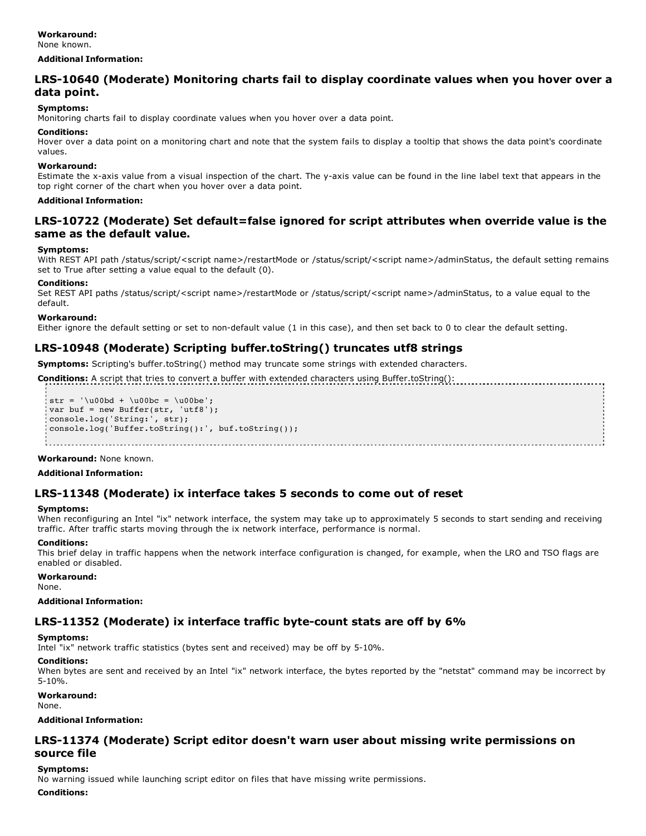#### **Additional Information:**

### **LRS10640 (Moderate) Monitoring charts fail to display coordinate values when you hover over a data point.**

#### **Symptoms:**

Monitoring charts fail to display coordinate values when you hover over a data point.

#### **Conditions:**

Hover over a data point on a monitoring chart and note that the system fails to display a tooltip that shows the data point's coordinate values.

#### **Workaround:**

Estimate the x-axis value from a visual inspection of the chart. The y-axis value can be found in the line label text that appears in the top right corner of the chart when you hover over a data point.

#### **Additional Information:**

### **LRS10722 (Moderate) Set default=false ignored for script attributes when override value is the same as the default value.**

#### **Symptoms:**

With REST API path /status/script/<script name>/restartMode or /status/script/<script name>/adminStatus, the default setting remains set to True after setting a value equal to the default (0).

#### **Conditions:**

Set REST API paths /status/script/<script name>/restartMode or /status/script/<script name>/adminStatus, to a value equal to the default.

#### **Workaround:**

Either ignore the default setting or set to non-default value (1 in this case), and then set back to 0 to clear the default setting.

### **LRS10948 (Moderate) Scripting buffer.toString() truncates utf8 strings**

**Symptoms:** Scripting's buffer.toString() method may truncate some strings with extended characters.

**Conditions:** A script that tries to convert a buffer with extended characters using Buffer.toString():

```
str = ' \u00bd + \u00bc = \u00be';
var buf = new Buffer(str, 'utf8');
console.log('String:', str);
console.log('Buffer.toString():', buf.toString());
```
#### **Workaround:** None known.

**Additional Information:**

### **LRS11348 (Moderate) ix interface takes 5 seconds to come out of reset**

#### **Symptoms:**

When reconfiguring an Intel "ix" network interface, the system may take up to approximately 5 seconds to start sending and receiving traffic. After traffic starts moving through the ix network interface, performance is normal.

#### **Conditions:**

This brief delay in traffic happens when the network interface configuration is changed, for example, when the LRO and TSO flags are enabled or disabled.

#### **Workaround:**

None.

#### **Additional Information:**

### **LRS11352 (Moderate) ix interface traffic bytecount stats are off by 6%**

#### **Symptoms:**

Intel "ix" network traffic statistics (bytes sent and received) may be off by 5-10%.

#### **Conditions:**

When bytes are sent and received by an Intel "ix" network interface, the bytes reported by the "netstat" command may be incorrect by  $5-10%$ .

**Workaround:**

None.

#### **Additional Information:**

### **LRS11374 (Moderate) Script editor doesn't warn user about missing write permissions on source file**

#### **Symptoms:**

No warning issued while launching script editor on files that have missing write permissions.

#### **Conditions:**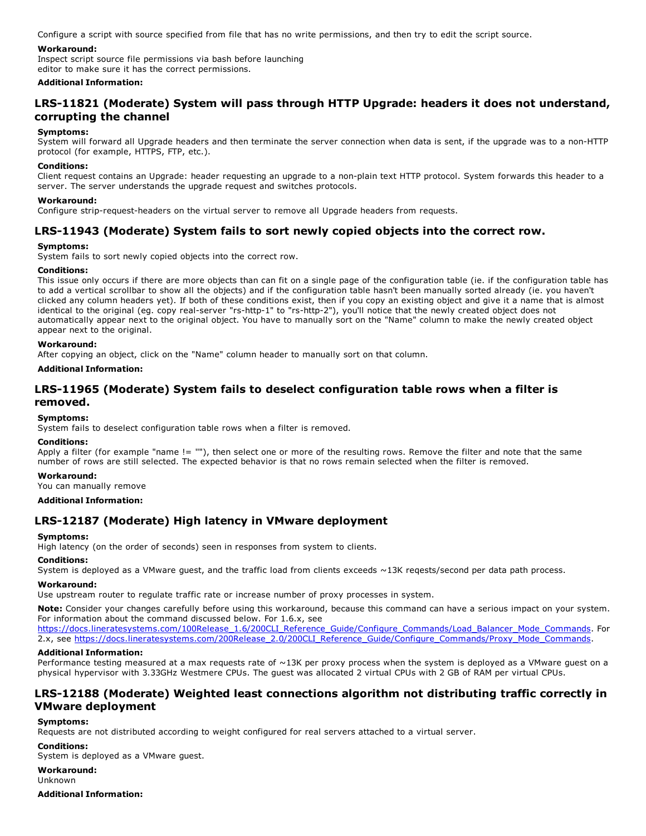Configure a script with source specified from file that has no write permissions, and then try to edit the script source.

#### **Workaround:**

Inspect script source file permissions via bash before launching editor to make sure it has the correct permissions.

#### **Additional Information:**

### **LRS11821 (Moderate) System will pass through HTTP Upgrade: headers it does not understand, corrupting the channel**

#### **Symptoms:**

System will forward all Upgrade headers and then terminate the server connection when data is sent, if the upgrade was to a non-HTTP protocol (for example, HTTPS, FTP, etc.).

#### **Conditions:**

Client request contains an Upgrade: header requesting an upgrade to a non-plain text HTTP protocol. System forwards this header to a server. The server understands the upgrade request and switches protocols.

#### **Workaround:**

Configure strip-request-headers on the virtual server to remove all Upgrade headers from requests.

### **LRS11943 (Moderate) System fails to sort newly copied objects into the correct row.**

#### **Symptoms:**

System fails to sort newly copied objects into the correct row.

#### **Conditions:**

This issue only occurs if there are more objects than can fit on a single page of the configuration table (ie. if the configuration table has to add a vertical scrollbar to show all the objects) and if the configuration table hasn't been manually sorted already (ie. you haven't clicked any column headers yet). If both of these conditions exist, then if you copy an existing object and give it a name that is almost identical to the original (eg. copy real-server "rs-http-1" to "rs-http-2"), you'll notice that the newly created object does not automatically appear next to the original object. You have to manually sort on the "Name" column to make the newly created object appear next to the original.

#### **Workaround:**

After copying an object, click on the "Name" column header to manually sort on that column.

#### **Additional Information:**

### **LRS11965 (Moderate) System fails to deselect configuration table rows when a filter is removed.**

#### **Symptoms:**

System fails to deselect configuration table rows when a filter is removed.

#### **Conditions:**

Apply a filter (for example "name != ""), then select one or more of the resulting rows. Remove the filter and note that the same number of rows are still selected. The expected behavior is that no rows remain selected when the filter is removed.

#### **Workaround:**

You can manually remove

#### **Additional Information:**

### **LRS12187 (Moderate) High latency in VMware deployment**

#### **Symptoms:**

High latency (on the order of seconds) seen in responses from system to clients.

#### **Conditions:**

System is deployed as a VMware guest, and the traffic load from clients exceeds ~13K reqests/second per data path process.

#### **Workaround:**

Use upstream router to regulate traffic rate or increase number of proxy processes in system.

**Note:** Consider your changes carefully before using this workaround, because this command can have a serious impact on your system. For information about the command discussed below. For 1.6.x, see

[https://docs.lineratesystems.com/100Release\\_1.6/200CLI\\_Reference\\_Guide/Configure\\_Commands/Load\\_Balancer\\_Mode\\_Commands](https://docs.lineratesystems.com/100Release_1.6/200CLI_Reference_Guide/Configure_Commands/Load_Balancer_Mode_Commands). For 2.x, see [https://docs.lineratesystems.com/200Release\\_2.0/200CLI\\_Reference\\_Guide/Configure\\_Commands/Proxy\\_Mode\\_Commands](https://docs.lineratesystems.com/200Release_2.0/200CLI_Reference_Guide/Configure_Commands/Proxy_Mode_Commands).

#### **Additional Information:**

Performance testing measured at a max requests rate of ~13K per proxy process when the system is deployed as a VMware guest on a physical hypervisor with 3.33GHz Westmere CPUs. The guest was allocated 2 virtual CPUs with 2 GB of RAM per virtual CPUs.

### **LRS12188 (Moderate) Weighted least connections algorithm not distributing traffic correctly in VMware deployment**

#### **Symptoms:**

Requests are not distributed according to weight configured for real servers attached to a virtual server.

#### **Conditions:**

System is deployed as a VMware guest.

**Workaround:** Unknown

**Additional Information:**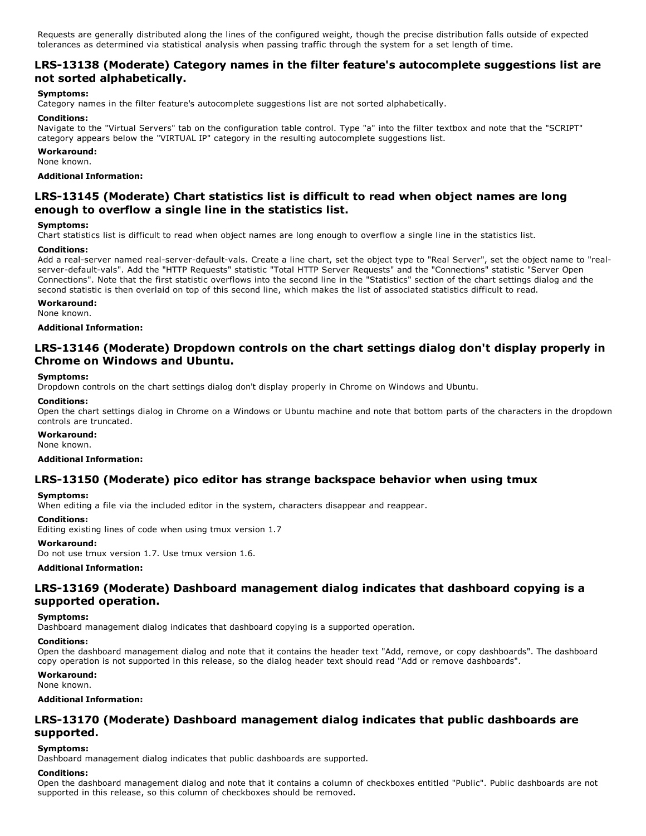Requests are generally distributed along the lines of the configured weight, though the precise distribution falls outside of expected tolerances as determined via statistical analysis when passing traffic through the system for a set length of time.

### **LRS13138 (Moderate) Category names in the filter feature's autocomplete suggestions list are not sorted alphabetically.**

#### **Symptoms:**

Category names in the filter feature's autocomplete suggestions list are not sorted alphabetically.

#### **Conditions:**

Navigate to the "Virtual Servers" tab on the configuration table control. Type "a" into the filter textbox and note that the "SCRIPT" category appears below the "VIRTUAL IP" category in the resulting autocomplete suggestions list.

#### **Workaround:**

None known.

#### **Additional Information:**

### **LRS13145 (Moderate) Chart statistics list is difficult to read when object names are long enough to overflow a single line in the statistics list.**

#### **Symptoms:**

Chart statistics list is difficult to read when object names are long enough to overflow a single line in the statistics list.

#### **Conditions:**

Add a real-server named real-server-default-vals. Create a line chart, set the object type to "Real Server", set the object name to "realserver-default-vals". Add the "HTTP Requests" statistic "Total HTTP Server Requests" and the "Connections" statistic "Server Open Connections". Note that the first statistic overflows into the second line in the "Statistics" section of the chart settings dialog and the second statistic is then overlaid on top of this second line, which makes the list of associated statistics difficult to read.

#### **Workaround:**

None known.

#### **Additional Information:**

### **LRS13146 (Moderate) Dropdown controls on the chart settings dialog don't display properly in Chrome on Windows and Ubuntu.**

#### **Symptoms:**

Dropdown controls on the chart settings dialog don't display properly in Chrome on Windows and Ubuntu.

#### **Conditions:**

Open the chart settings dialog in Chrome on a Windows or Ubuntu machine and note that bottom parts of the characters in the dropdown controls are truncated.

#### **Workaround:**

None known.

#### **Additional Information:**

### **LRS13150 (Moderate) pico editor has strange backspace behavior when using tmux**

#### **Symptoms:**

When editing a file via the included editor in the system, characters disappear and reappear.

### **Conditions:**

Editing existing lines of code when using tmux version 1.7

#### **Workaround:**

Do not use tmux version 1.7. Use tmux version 1.6.

#### **Additional Information:**

### **LRS13169 (Moderate) Dashboard management dialog indicates that dashboard copying is a supported operation.**

#### **Symptoms:**

Dashboard management dialog indicates that dashboard copying is a supported operation.

#### **Conditions:**

Open the dashboard management dialog and note that it contains the header text "Add, remove, or copy dashboards". The dashboard copy operation is not supported in this release, so the dialog header text should read "Add or remove dashboards".

#### **Workaround:**

None known.

#### **Additional Information:**

### **LRS13170 (Moderate) Dashboard management dialog indicates that public dashboards are supported.**

#### **Symptoms:**

Dashboard management dialog indicates that public dashboards are supported.

#### **Conditions:**

Open the dashboard management dialog and note that it contains a column of checkboxes entitled "Public". Public dashboards are not supported in this release, so this column of checkboxes should be removed.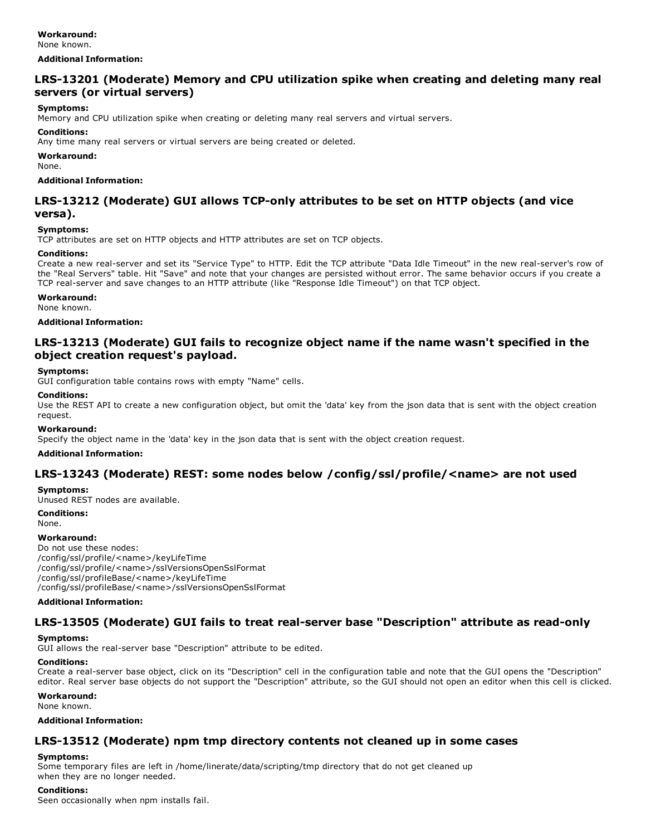#### **Additional Information:**

### **LRS13201 (Moderate) Memory and CPU utilization spike when creating and deleting many real servers (or virtual servers)**

#### **Symptoms:**

Memory and CPU utilization spike when creating or deleting many real servers and virtual servers.

#### **Conditions:**

Any time many real servers or virtual servers are being created or deleted.

#### **Workaround:**

None.

#### **Additional Information:**

### **LRS13212 (Moderate) GUI allows TCPonly attributes to be set on HTTP objects (and vice versa).**

#### **Symptoms:**

TCP attributes are set on HTTP objects and HTTP attributes are set on TCP objects.

#### **Conditions:**

Create a new real-server and set its "Service Type" to HTTP. Edit the TCP attribute "Data Idle Timeout" in the new real-server's row of the "Real Servers" table. Hit "Save" and note that your changes are persisted without error. The same behavior occurs if you create a TCP real-server and save changes to an HTTP attribute (like "Response Idle Timeout") on that TCP object.

#### **Workaround:**

None known.

#### **Additional Information:**

### **LRS13213 (Moderate) GUI fails to recognize object name if the name wasn't specified in the object creation request's payload.**

#### **Symptoms:**

GUI configuration table contains rows with empty "Name" cells.

#### **Conditions:**

Use the REST API to create a new configuration object, but omit the 'data' key from the json data that is sent with the object creation request.

#### **Workaround:**

Specify the object name in the 'data' key in the json data that is sent with the object creation request.

#### **Additional Information:**

### **LRS13243 (Moderate) REST: some nodes below /config/ssl/profile/<name> are not used**

#### **Symptoms:**

Unused REST nodes are available.

#### **Conditions:**

None.

#### **Workaround:**

Do not use these nodes: /config/ssl/profile/<name>/keyLifeTime /config/ssl/profile/<name>/sslVersionsOpenSslFormat /config/ssl/profileBase/<name>/keyLifeTime /config/ssl/profileBase/<name>/sslVersionsOpenSslFormat

#### **Additional Information:**

### **LRS-13505** (Moderate) GUI fails to treat real-server base "Description" attribute as read-only

#### **Symptoms:**

GUI allows the real-server base "Description" attribute to be edited.

#### **Conditions:**

Create a real-server base object, click on its "Description" cell in the configuration table and note that the GUI opens the "Description" editor. Real server base objects do not support the "Description" attribute, so the GUI should not open an editor when this cell is clicked.

#### **Workaround:**

None known.

### **Additional Information:**

### **LRS13512 (Moderate) npm tmp directory contents not cleaned up in some cases**

#### **Symptoms:**

Some temporary files are left in /home/linerate/data/scripting/tmp directory that do not get cleaned up when they are no longer needed.

#### **Conditions:**

Seen occasionally when npm installs fail.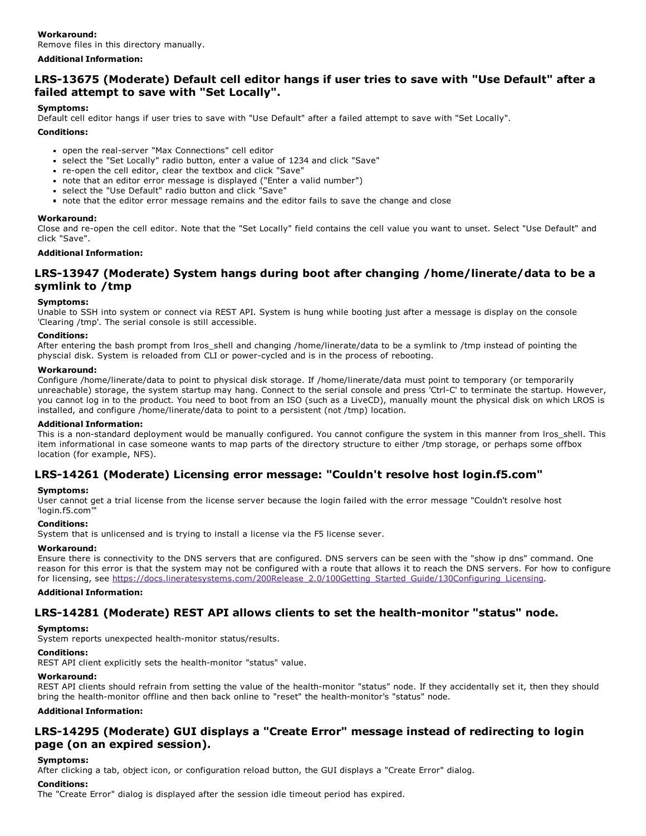### **Additional Information:**

### **LRS13675 (Moderate) Default cell editor hangs if user tries to save with "Use Default" after a failed attempt to save with "Set Locally".**

#### **Symptoms:**

Default cell editor hangs if user tries to save with "Use Default" after a failed attempt to save with "Set Locally".

#### **Conditions:**

- open the real-server "Max Connections" cell editor
- select the "Set Locally" radio button, enter a value of 1234 and click "Save"
- re-open the cell editor, clear the textbox and click "Save"
- note that an editor error message is displayed ("Enter a valid number")
- select the "Use Default" radio button and click "Save"
- note that the editor error message remains and the editor fails to save the change and close

#### **Workaround:**

Close and re-open the cell editor. Note that the "Set Locally" field contains the cell value you want to unset. Select "Use Default" and click "Save".

#### **Additional Information:**

### **LRS13947 (Moderate) System hangs during boot after changing /home/linerate/data to be a symlink to /tmp**

#### **Symptoms:**

Unable to SSH into system or connect via REST API. System is hung while booting just after a message is display on the console 'Clearing /tmp'. The serial console is still accessible.

#### **Conditions:**

After entering the bash prompt from lros\_shell and changing /home/linerate/data to be a symlink to /tmp instead of pointing the physcial disk. System is reloaded from CLI or power-cycled and is in the process of rebooting.

#### **Workaround:**

Configure /home/linerate/data to point to physical disk storage. If /home/linerate/data must point to temporary (or temporarily unreachable) storage, the system startup may hang. Connect to the serial console and press 'Ctrl-C' to terminate the startup. However, you cannot log in to the product. You need to boot from an ISO (such as a LiveCD), manually mount the physical disk on which LROS is installed, and configure /home/linerate/data to point to a persistent (not /tmp) location.

#### **Additional Information:**

This is a non-standard deployment would be manually configured. You cannot configure the system in this manner from lros\_shell. This item informational in case someone wants to map parts of the directory structure to either /tmp storage, or perhaps some offbox location (for example, NFS).

### **LRS14261 (Moderate) Licensing error message: "Couldn't resolve host login.f5.com"**

#### **Symptoms:**

User cannot get a trial license from the license server because the login failed with the error message "Couldn't resolve host 'login.f5.com'"

#### **Conditions:**

System that is unlicensed and is trying to install a license via the F5 license sever.

#### **Workaround:**

Ensure there is connectivity to the DNS servers that are configured. DNS servers can be seen with the "show ip dns" command. One reason for this error is that the system may not be configured with a route that allows it to reach the DNS servers. For how to configure for licensing, see [https://docs.lineratesystems.com/200Release\\_2.0/100Getting\\_Started\\_Guide/130Configuring\\_Licensing](https://docs.lineratesystems.com/200Release_2.0/100Getting_Started_Guide/130Configuring_Licensing).

#### **Additional Information:**

### **LRS14281 (Moderate) REST API allows clients to set the healthmonitor "status" node.**

### **Symptoms:**

System reports unexpected health-monitor status/results.

### **Conditions:**

REST API client explicitly sets the health-monitor "status" value.

### **Workaround:**

REST API clients should refrain from setting the value of the health-monitor "status" node. If they accidentally set it, then they should bring the health-monitor offline and then back online to "reset" the health-monitor's "status" node.

### **Additional Information:**

### **LRS14295 (Moderate) GUI displays a "Create Error" message instead of redirecting to login page (on an expired session).**

### **Symptoms:**

After clicking a tab, object icon, or configuration reload button, the GUI displays a "Create Error" dialog.

### **Conditions:**

The "Create Error" dialog is displayed after the session idle timeout period has expired.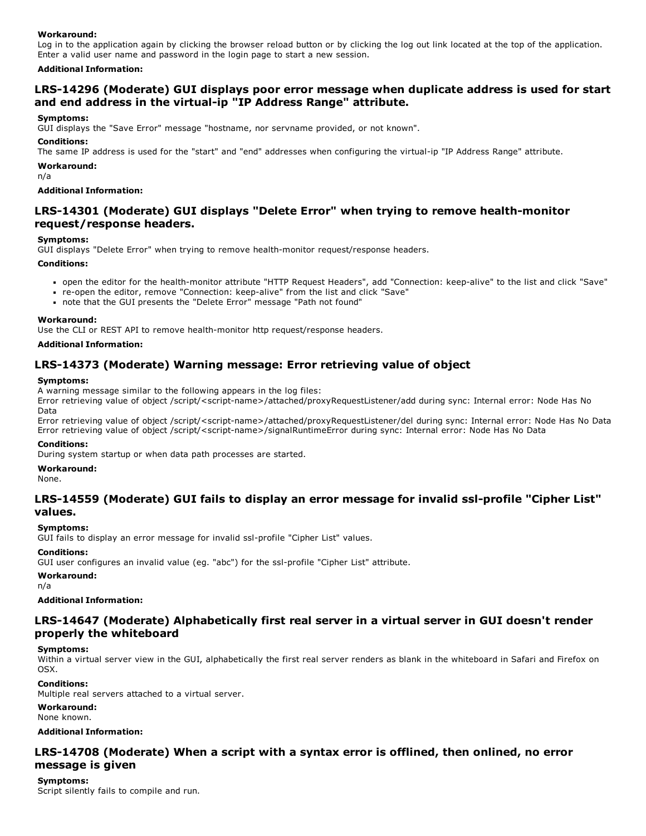#### **Workaround:**

Log in to the application again by clicking the browser reload button or by clicking the log out link located at the top of the application. Enter a valid user name and password in the login page to start a new session.

#### **Additional Information:**

### **LRS14296 (Moderate) GUI displays poor error message when duplicate address is used for start and end address in the virtualip "IP Address Range" attribute.**

#### **Symptoms:**

GUI displays the "Save Error" message "hostname, nor servname provided, or not known".

#### **Conditions:**

The same IP address is used for the "start" and "end" addresses when configuring the virtual-ip "IP Address Range" attribute.

#### **Workaround:**

n/a

#### **Additional Information:**

### **LRS14301 (Moderate) GUI displays "Delete Error" when trying to remove healthmonitor request/response headers.**

#### **Symptoms:**

GUI displays "Delete Error" when trying to remove health-monitor request/response headers.

#### **Conditions:**

- open the editor for the health-monitor attribute "HTTP Request Headers", add "Connection: keep-alive" to the list and click "Save"
- re-open the editor, remove "Connection: keep-alive" from the list and click "Save"
- note that the GUI presents the "Delete Error" message "Path not found"

#### **Workaround:**

Use the CLI or REST API to remove health-monitor http request/response headers.

#### **Additional Information:**

### **LRS14373 (Moderate) Warning message: Error retrieving value of object**

#### **Symptoms:**

A warning message similar to the following appears in the log files:

Error retrieving value of object /script/<script-name>/attached/proxyRequestListener/add during sync: Internal error: Node Has No Data

Error retrieving value of object /script/<script-name>/attached/proxyRequestListener/del during sync: Internal error: Node Has No Data Error retrieving value of object /script/<script-name>/signalRuntimeError during sync: Internal error: Node Has No Data

#### **Conditions:**

During system startup or when data path processes are started.

### **Workaround:**

None.

### **LRS14559 (Moderate) GUI fails to display an error message for invalid sslprofile "Cipher List" values.**

#### **Symptoms:**

GUI fails to display an error message for invalid ssl-profile "Cipher List" values.

#### **Conditions:**

GUI user configures an invalid value (eg. "abc") for the ssl-profile "Cipher List" attribute.

#### **Workaround:**

n/a

#### **Additional Information:**

### **LRS14647 (Moderate) Alphabetically first real server in a virtual server in GUI doesn't render properly the whiteboard**

#### **Symptoms:**

Within a virtual server view in the GUI, alphabetically the first real server renders as blank in the whiteboard in Safari and Firefox on OSX.

#### **Conditions:**

Multiple real servers attached to a virtual server.

#### **Workaround:**

None known.

**Additional Information:**

### **LRS14708 (Moderate) When a script with a syntax error is offlined, then onlined, no error message is given**

#### **Symptoms:**

Script silently fails to compile and run.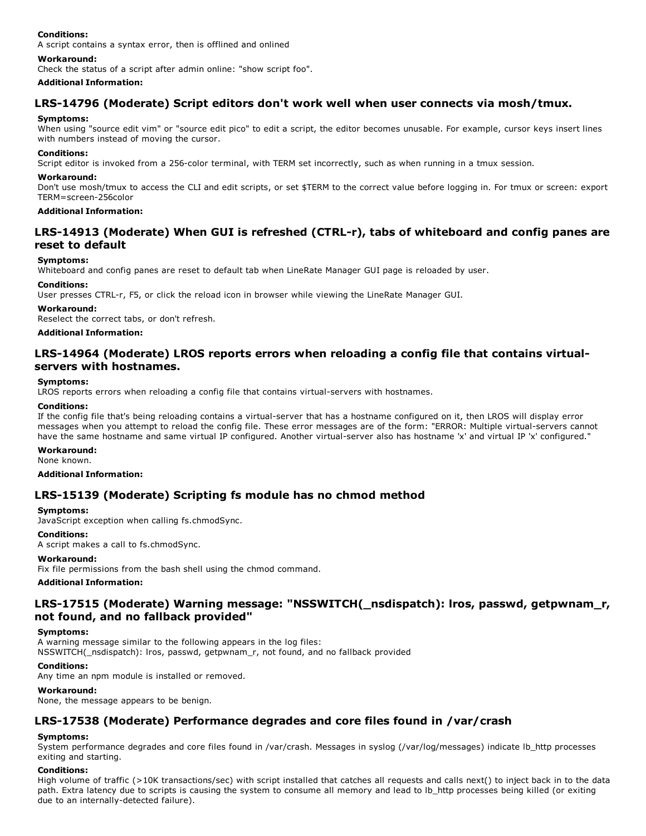#### **Conditions:**

A script contains a syntax error, then is offlined and onlined

#### **Workaround:**

Check the status of a script after admin online: "show script foo".

#### **Additional Information:**

### **LRS14796 (Moderate) Script editors don't work well when user connects via mosh/tmux.**

#### **Symptoms:**

When using "source edit vim" or "source edit pico" to edit a script, the editor becomes unusable. For example, cursor keys insert lines with numbers instead of moving the cursor.

#### **Conditions:**

Script editor is invoked from a 256-color terminal, with TERM set incorrectly, such as when running in a tmux session.

#### **Workaround:**

Don't use mosh/tmux to access the CLI and edit scripts, or set \$TERM to the correct value before logging in. For tmux or screen: export TERM=screen-256color

#### **Additional Information:**

### **LRS14913 (Moderate) When GUI is refreshed (CTRLr), tabs of whiteboard and config panes are reset to default**

#### **Symptoms:**

Whiteboard and config panes are reset to default tab when LineRate Manager GUI page is reloaded by user.

#### **Conditions:**

User presses CTRL-r, F5, or click the reload icon in browser while viewing the LineRate Manager GUI.

#### **Workaround:**

Reselect the correct tabs, or don't refresh.

#### **Additional Information:**

### **LRS14964 (Moderate) LROS reports errors when reloading a config file that contains virtualservers with hostnames.**

#### **Symptoms:**

LROS reports errors when reloading a config file that contains virtual-servers with hostnames.

#### **Conditions:**

If the config file that's being reloading contains a virtual-server that has a hostname configured on it, then LROS will display error messages when you attempt to reload the config file. These error messages are of the form: "ERROR: Multiple virtual-servers cannot have the same hostname and same virtual IP configured. Another virtual-server also has hostname 'x' and virtual IP 'x' configured."

#### **Workaround:**

None known.

#### **Additional Information:**

### **LRS15139 (Moderate) Scripting fs module has no chmod method**

#### **Symptoms:**

JavaScript exception when calling fs.chmodSync.

#### **Conditions:**

A script makes a call to fs.chmodSync.

#### **Workaround:**

Fix file permissions from the bash shell using the chmod command.

#### **Additional Information:**

### **LRS17515 (Moderate) Warning message: "NSSWITCH(\_nsdispatch): lros, passwd, getpwnam\_r, not found, and no fallback provided"**

#### **Symptoms:**

A warning message similar to the following appears in the log files: NSSWITCH(\_nsdispatch): lros, passwd, getpwnam\_r, not found, and no fallback provided

#### **Conditions:**

Any time an npm module is installed or removed.

### **Workaround:**

None, the message appears to be benign.

### **LRS17538 (Moderate) Performance degrades and core files found in /var/crash**

#### **Symptoms:**

System performance degrades and core files found in /var/crash. Messages in syslog (/var/log/messages) indicate lb\_http processes exiting and starting.

#### **Conditions:**

High volume of traffic (>10K transactions/sec) with script installed that catches all requests and calls next() to inject back in to the data path. Extra latency due to scripts is causing the system to consume all memory and lead to lb\_http processes being killed (or exiting due to an internally-detected failure).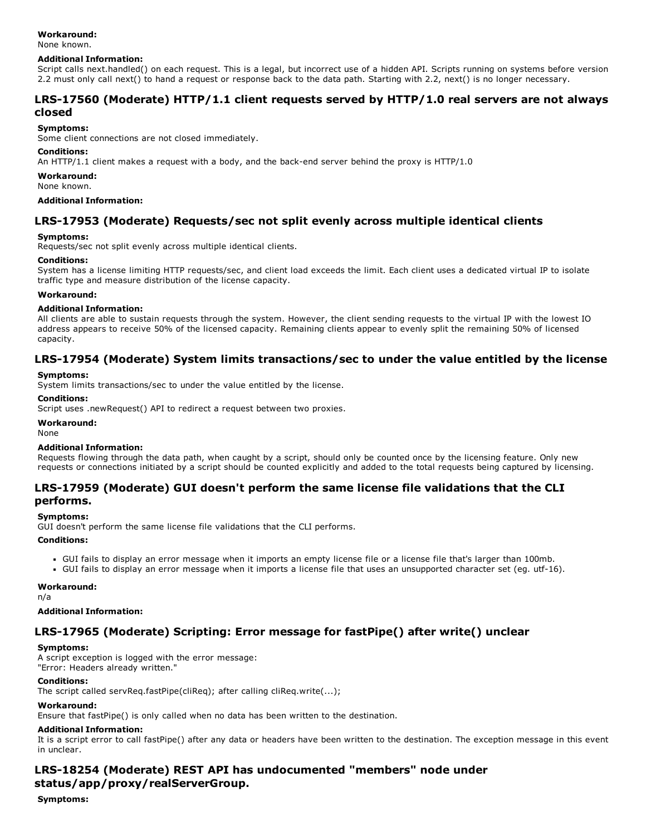### **Workaround:**

None known.

#### **Additional Information:**

Script calls next.handled() on each request. This is a legal, but incorrect use of a hidden API. Scripts running on systems before version 2.2 must only call next() to hand a request or response back to the data path. Starting with 2.2, next() is no longer necessary.

### **LRS17560 (Moderate) HTTP/1.1 client requests served by HTTP/1.0 real servers are not always closed**

#### **Symptoms:**

Some client connections are not closed immediately.

#### **Conditions:**

An HTTP/1.1 client makes a request with a body, and the back-end server behind the proxy is HTTP/1.0

**Workaround:**

None known.

#### **Additional Information:**

### **LRS17953 (Moderate) Requests/sec not split evenly across multiple identical clients**

#### **Symptoms:**

Requests/sec not split evenly across multiple identical clients.

#### **Conditions:**

System has a license limiting HTTP requests/sec, and client load exceeds the limit. Each client uses a dedicated virtual IP to isolate traffic type and measure distribution of the license capacity.

#### **Workaround:**

#### **Additional Information:**

All clients are able to sustain requests through the system. However, the client sending requests to the virtual IP with the lowest IO address appears to receive 50% of the licensed capacity. Remaining clients appear to evenly split the remaining 50% of licensed capacity.

### **LRS17954 (Moderate) System limits transactions/sec to under the value entitled by the license**

#### **Symptoms:**

System limits transactions/sec to under the value entitled by the license.

#### **Conditions:**

Script uses .newRequest() API to redirect a request between two proxies.

#### **Workaround:**

None

#### **Additional Information:**

Requests flowing through the data path, when caught by a script, should only be counted once by the licensing feature. Only new requests or connections initiated by a script should be counted explicitly and added to the total requests being captured by licensing.

### **LRS17959 (Moderate) GUI doesn't perform the same license file validations that the CLI performs.**

#### **Symptoms:**

GUI doesn't perform the same license file validations that the CLI performs.

#### **Conditions:**

- GUI fails to display an error message when it imports an empty license file or a license file that's larger than 100mb.
- GUI fails to display an error message when it imports a license file that uses an unsupported character set (eg. utf-16).

#### **Workaround:**

n/a

#### **Additional Information:**

### **LRS17965 (Moderate) Scripting: Error message for fastPipe() after write() unclear**

#### **Symptoms:**

A script exception is logged with the error message: "Error: Headers already written."

#### **Conditions:**

The script called servReq.fastPipe(cliReq); after calling cliReq.write(...);

#### **Workaround:**

Ensure that fastPipe() is only called when no data has been written to the destination.

#### **Additional Information:**

It is a script error to call fastPipe() after any data or headers have been written to the destination. The exception message in this event in unclear.

### **LRS18254 (Moderate) REST API has undocumented "members" node under status/app/proxy/realServerGroup.**

#### **Symptoms:**